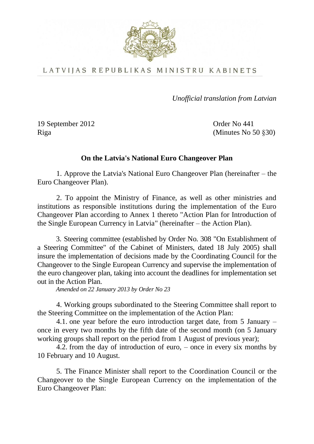

# LATVIJAS REPUBLIKAS MINISTRU KABINETS

*Unofficial translation from Latvian*

19 September 2012 Order No 441

Riga (Minutes No 50 §30)

# **On the Latvia's National Euro Changeover Plan**

1. Approve the Latvia's National Euro Changeover Plan (hereinafter – the Euro Changeover Plan).

2. To appoint the Ministry of Finance, as well as other ministries and institutions as responsible institutions during the implementation of the Euro Changeover Plan according to Annex 1 thereto "Action Plan for Introduction of the Single European Currency in Latvia" (hereinafter – the Action Plan).

3. Steering committee (established by Order No. 308 "On Establishment of a Steering Committee" of the Cabinet of Ministers, dated 18 July 2005) shall insure the implementation of decisions made by the Coordinating Council for the Changeover to the Single European Currency and supervise the implementation of the euro changeover plan, taking into account the deadlines for implementation set out in the Action Plan.

*Amended on 22 January 2013 by Order No 23*

4. Working groups subordinated to the Steering Committee shall report to the Steering Committee on the implementation of the Action Plan:

4.1. one year before the euro introduction target date, from 5 January – once in every two months by the fifth date of the second month (on 5 January working groups shall report on the period from 1 August of previous year);

4.2. from the day of introduction of euro, – once in every six months by 10 February and 10 August.

5. The Finance Minister shall report to the Coordination Council or the Changeover to the Single European Currency on the implementation of the Euro Changeover Plan: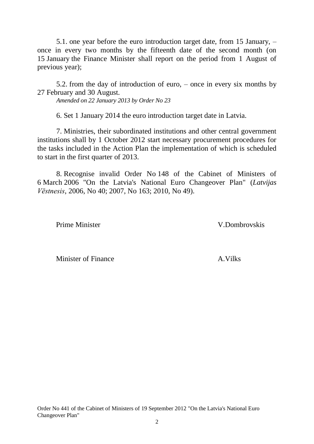5.1. one year before the euro introduction target date, from 15 January, – once in every two months by the fifteenth date of the second month (on 15 January the Finance Minister shall report on the period from 1 August of previous year);

5.2. from the day of introduction of euro, – once in every six months by 27 February and 30 August.

*Amended on 22 January 2013 by Order No 23*

6. Set 1 January 2014 the euro introduction target date in Latvia.

7. Ministries, their subordinated institutions and other central government institutions shall by 1 October 2012 start necessary procurement procedures for the tasks included in the Action Plan the implementation of which is scheduled to start in the first quarter of 2013.

8. Recognise invalid Order No 148 of the Cabinet of Ministers of 6 March 2006 "On the Latvia's National Euro Changeover Plan" (*Latvijas Vēstnesis*, 2006, No 40; 2007, No 163; 2010, No 49).

Prime Minister V.Dombrovskis

Minister of Finance A.Vilks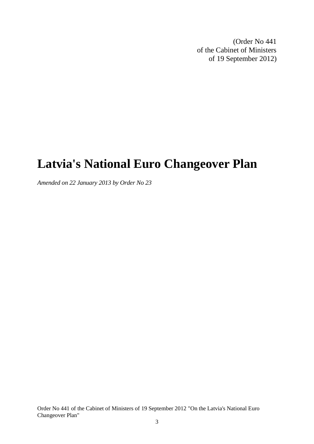(Order No 441 of the Cabinet of Ministers of 19 September 2012)

# **Latvia's National Euro Changeover Plan**

*Amended on 22 January 2013 by Order No 23*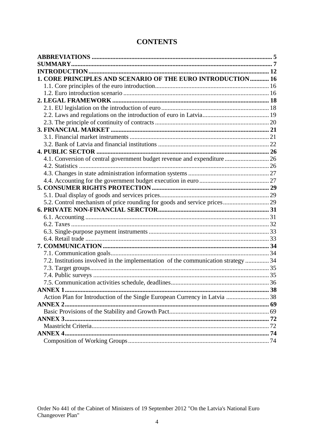| <b>CONTENTS</b> |
|-----------------|
|-----------------|

| 1. CORE PRINCIPLES AND SCENARIO OF THE EURO INTRODUCTION 16                        |  |
|------------------------------------------------------------------------------------|--|
|                                                                                    |  |
|                                                                                    |  |
|                                                                                    |  |
|                                                                                    |  |
|                                                                                    |  |
|                                                                                    |  |
|                                                                                    |  |
|                                                                                    |  |
|                                                                                    |  |
|                                                                                    |  |
| 4.1. Conversion of central government budget revenue and expenditure 26            |  |
|                                                                                    |  |
|                                                                                    |  |
|                                                                                    |  |
|                                                                                    |  |
|                                                                                    |  |
| 5.2. Control mechanism of price rounding for goods and service prices 29           |  |
|                                                                                    |  |
|                                                                                    |  |
|                                                                                    |  |
|                                                                                    |  |
|                                                                                    |  |
|                                                                                    |  |
|                                                                                    |  |
| 7.2. Institutions involved in the implementation of the communication strategy  34 |  |
|                                                                                    |  |
|                                                                                    |  |
|                                                                                    |  |
|                                                                                    |  |
|                                                                                    |  |
| <b>ANNEX 2.</b>                                                                    |  |
|                                                                                    |  |
| <b>ANNEX 3.</b>                                                                    |  |
|                                                                                    |  |
| <b>ANNEX 4.</b>                                                                    |  |
|                                                                                    |  |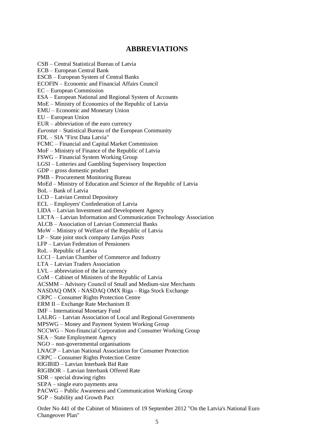# **ABBREVIATIONS**

<span id="page-4-0"></span>CSB – Central Statistical Bureau of Latvia ECB – European Central Bank ESCB – European System of Central Banks ECOFIN – Economic and Financial Affairs Council EC – European Commission ESA – European National and Regional System of Accounts MoE – Ministry of Economics of the Republic of Latvia EMU – Economic and Monetary Union EU – European Union EUR – abbreviation of the euro currency *Eurostat* – Statistical Bureau of the European Community FDL – SIA "First Data Latvia" FCMC – Financial and Capital Market Commission MoF – Ministry of Finance of the Republic of Latvia FSWG – Financial System Working Group LGSI – Lotteries and Gambling Supervisory Inspection GDP – gross domestic product PMB – Procurement Monitoring Bureau MoEd – Ministry of Education and Science of the Republic of Latvia BoL – Bank of Latvia LCD – Latvian Central Depository ECL – Employers' Confederation of Latvia LIDA – Latvian Investment and Development Agency LICTA – Latvian Information and Communication Technology Association ALCB – Association of Latvian Commercial Banks MoW – Ministry of Welfare of the Republic of Latvia LP – State joint stock company *Latvijas Pasts* LFP – Latvian Federation of Pensioners RoL – Republic of Latvia LCCI – Latvian Chamber of Commerce and Industry LTA – Latvian Traders Association LVL – abbreviation of the lat currency CoM – Cabinet of Ministers of the Republic of Latvia ACSMM – Advisory Council of Small and Medium-size Merchants NASDAQ OMX - NASDAQ OMX Riga – Riga Stock Exchange CRPC – Consumer Rights Protection Centre ERM II – Exchange Rate Mechanism II IMF – International Monetary Fund LALRG – Latvian Association of Local and Regional Governments MPSWG – Money and Payment System Working Group NCCWG – Non-financial Corporation and Consumer Working Group SEA – State Employment Agency NGO – non-governmental organisations LNACP – Latvian National Association for Consumer Protection CRPC – Consumer Rights Protection Centre RIGIBID – Latvian Interbank Bid Rate RIGIBOR – Latvian Interbank Offered Rate SDR – special drawing rights SEPA – single euro payments area PACWG – Public Awareness and Communication Working Group SGP – Stability and Growth Pact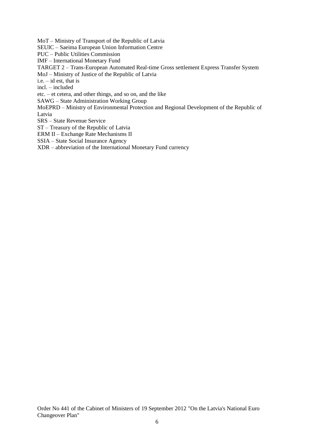MoT – Ministry of Transport of the Republic of Latvia SEUIC – Saeima European Union Information Centre PUC – Public Utilities Commission IMF – International Monetary Fund TARGET 2 – Trans-European Automated Real-time Gross settlement Express Transfer System MoJ – Ministry of Justice of the Republic of Latvia i.e. – id est, that is incl. – included etc. – et cetera, and other things, and so on, and the like SAWG – State Administration Working Group MoEPRD – Ministry of Environmental Protection and Regional Development of the Republic of Latvia SRS – State Revenue Service

ST – Treasury of the Republic of Latvia

ERM II – Exchange Rate Mechanisms II

SSIA – State Social Insurance Agency

XDR – abbreviation of the International Monetary Fund currency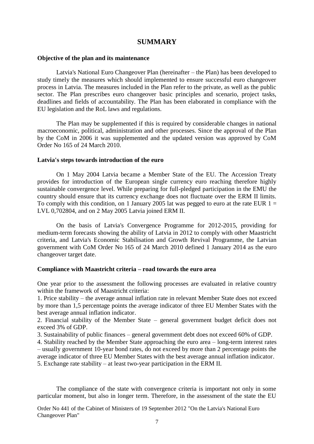# **SUMMARY**

#### <span id="page-6-0"></span>**Objective of the plan and its maintenance**

Latvia's National Euro Changeover Plan (hereinafter – the Plan) has been developed to study timely the measures which should implemented to ensure successful euro changeover process in Latvia. The measures included in the Plan refer to the private, as well as the public sector. The Plan prescribes euro changeover basic principles and scenario, project tasks, deadlines and fields of accountability. The Plan has been elaborated in compliance with the EU legislation and the RoL laws and regulations.

The Plan may be supplemented if this is required by considerable changes in national macroeconomic, political, administration and other processes. Since the approval of the Plan by the CoM in 2006 it was supplemented and the updated version was approved by CoM Order No 165 of 24 March 2010.

#### **Latvia's steps towards introduction of the euro**

On 1 May 2004 Latvia became a Member State of the EU. The Accession Treaty provides for introduction of the European single currency euro reaching therefore highly sustainable convergence level. While preparing for full-pledged participation in the EMU the country should ensure that its currency exchange does not fluctuate over the ERM II limits. To comply with this condition, on 1 January 2005 lat was pegged to euro at the rate EUR  $1 =$ LVL 0,702804, and on 2 May 2005 Latvia joined ERM II.

On the basis of Latvia's Convergence Programme for 2012-2015, providing for medium-term forecasts showing the ability of Latvia in 2012 to comply with other Maastricht criteria, and Latvia's Economic Stabilisation and Growth Revival Programme, the Latvian government with CoM Order No 165 of 24 March 2010 defined 1 January 2014 as the euro changeover target date.

#### **Compliance with Maastricht criteria – road towards the euro area**

One year prior to the assessment the following processes are evaluated in relative country within the framework of Maastricht criteria:

1. Price stability – the average annual inflation rate in relevant Member State does not exceed by more than 1,5 percentage points the average indicator of three EU Member States with the best average annual inflation indicator.

2. Financial stability of the Member State – general government budget deficit does not exceed 3% of GDP.

3. Sustainability of public finances – general government debt does not exceed 60% of GDP.

4. Stability reached by the Member State approaching the euro area – long-term interest rates – usually government 10-year bond rates, do not exceed by more than 2 percentage points the average indicator of three EU Member States with the best average annual inflation indicator.

5. Exchange rate stability – at least two-year participation in the ERM II.

The compliance of the state with convergence criteria is important not only in some particular moment, but also in longer term. Therefore, in the assessment of the state the EU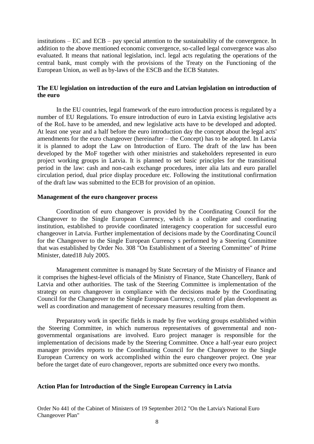institutions – EC and ECB – pay special attention to the sustainability of the convergence. In addition to the above mentioned economic convergence, so-called legal convergence was also evaluated. It means that national legislation, incl. legal acts regulating the operations of the central bank, must comply with the provisions of the Treaty on the Functioning of the European Union, as well as by-laws of the ESCB and the ECB Statutes.

## **The EU legislation on introduction of the euro and Latvian legislation on introduction of the euro**

In the EU countries, legal framework of the euro introduction process is regulated by a number of EU Regulations. To ensure introduction of euro in Latvia existing legislative acts of the RoL have to be amended, and new legislative acts have to be developed and adopted. At least one year and a half before the euro introduction day the concept about the legal acts' amendments for the euro changeover (hereinafter – the Concept) has to be adopted. In Latvia it is planned to adopt the Law on Introduction of Euro. The draft of the law has been developed by the MoF together with other ministries and stakeholders represented in euro project working groups in Latvia. It is planned to set basic principles for the transitional period in the law: cash and non-cash exchange procedures, inter alia lats and euro parallel circulation period, dual price display procedure etc. Following the institutional confirmation of the draft law was submitted to the ECB for provision of an opinion.

#### **Management of the euro changeover process**

Coordination of euro changeover is provided by the Coordinating Council for the Changeover to the Single European Currency, which is a collegiate and coordinating institution, established to provide coordinated interagency cooperation for successful euro changeover in Latvia. Further implementation of decisions made by the Coordinating Council for the Changeover to the Single European Currency s performed by a Steering Committee that was established by Order No. 308 "On Establishment of a Steering Committee" of Prime Minister, dated18 July 2005.

Management committee is managed by State Secretary of the Ministry of Finance and it comprises the highest-level officials of the Ministry of Finance, State Chancellery, Bank of Latvia and other authorities. The task of the Steering Committee is implementation of the strategy on euro changeover in compliance with the decisions made by the Coordinating Council for the Changeover to the Single European Currency, control of plan development as well as coordination and management of necessary measures resulting from them.

Preparatory work in specific fields is made by five working groups established within the Steering Committee, in which numerous representatives of governmental and nongovernmental organisations are involved. Euro project manager is responsible for the implementation of decisions made by the Steering Committee. Once a half-year euro project manager provides reports to the Coordinating Council for the Changeover to the Single European Currency on work accomplished within the euro changeover project. One year before the target date of euro changeover, reports are submitted once every two months.

#### **Action Plan for Introduction of the Single European Currency in Latvia**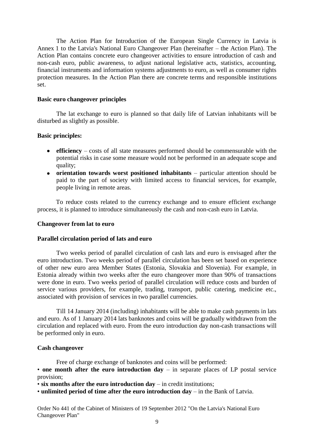The Action Plan for Introduction of the European Single Currency in Latvia is Annex 1 to the Latvia's National Euro Changeover Plan (hereinafter – the Action Plan). The Action Plan contains concrete euro changeover activities to ensure introduction of cash and non-cash euro, public awareness, to adjust national legislative acts, statistics, accounting, financial instruments and information systems adjustments to euro, as well as consumer rights protection measures. In the Action Plan there are concrete terms and responsible institutions set.

#### **Basic euro changeover principles**

The lat exchange to euro is planned so that daily life of Latvian inhabitants will be disturbed as slightly as possible.

## **Basic principles:**

- **efficiency**  costs of all state measures performed should be commensurable with the potential risks in case some measure would not be performed in an adequate scope and quality;
- **orientation towards worst positioned inhabitants** particular attention should be paid to the part of society with limited access to financial services, for example, people living in remote areas.

To reduce costs related to the currency exchange and to ensure efficient exchange process, it is planned to introduce simultaneously the cash and non-cash euro in Latvia.

#### **Changeover from lat to euro**

#### **Parallel circulation period of lats and euro**

Two weeks period of parallel circulation of cash lats and euro is envisaged after the euro introduction. Two weeks period of parallel circulation has been set based on experience of other new euro area Member States (Estonia, Slovakia and Slovenia). For example, in Estonia already within two weeks after the euro changeover more than 90% of transactions were done in euro. Two weeks period of parallel circulation will reduce costs and burden of service various providers, for example, trading, transport, public catering, medicine etc., associated with provision of services in two parallel currencies.

Till 14 January 2014 (including) inhabitants will be able to make cash payments in lats and euro. As of 1 January 2014 lats banknotes and coins will be gradually withdrawn from the circulation and replaced with euro. From the euro introduction day non-cash transactions will be performed only in euro.

#### **Cash changeover**

Free of charge exchange of banknotes and coins will be performed: • **one month after the euro introduction day** – in separate places of LP postal service provision;

• **six months after the euro introduction day** – in credit institutions;

• **unlimited period of time after the euro introduction day** – in the Bank of Latvia.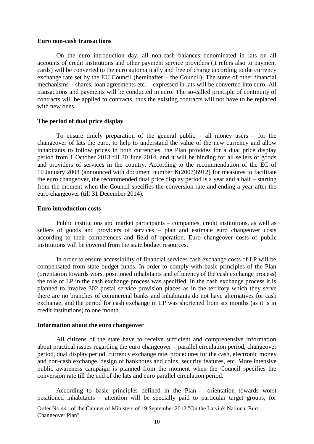#### **Euro non-cash transactions**

On the euro introduction day, all non-cash balances denominated in lats on all accounts of credit institutions and other payment service providers (it refers also to payment cards) will be converted to the euro automatically and free of charge according to the currency exchange rate set by the EU Council (hereinafter – the Council). The sums of other financial mechanisms – shares, loan agreements etc. – expressed in lats will be converted into euro. All transactions and payments will be conducted in euro. The so-called principle of continuity of contracts will be applied to contracts, thus the existing contracts will not have to be replaced with new ones.

#### **The period of dual price display**

To ensure timely preparation of the general public  $-$  all money users  $-$  for the changeover of lats the euro, to help to understand the value of the new currency and allow inhabitants to follow prices in both currencies, the Plan provides for a dual price display period from 1 October 2013 till 30 June 2014, and it will be binding for all sellers of goods and providers of services in the country. According to the recommendation of the EC of 10 January 2008 (announced with document number K(2007)6912) for measures to facilitate the euro changeover, the recommended dual price display period is a year and a half – starting from the moment when the Council specifies the conversion rate and ending a year after the euro changeover (till 31 December 2014).

#### **Euro introduction costs**

Public institutions and market participants – companies, credit institutions, as well as sellers of goods and providers of services – plan and estimate euro changeover costs according to their competences and field of operation. Euro changeover costs of public institutions will be covered from the state budget resources.

In order to ensure accessibility of financial services cash exchange costs of LP will be compensated from state budget funds. In order to comply with basic principles of the Plan (orientation towards worst positioned inhabitants and efficiency of the cash exchange process) the role of LP in the cash exchange process was specified. In the cash exchange process it is planned to involve 302 postal service provision places as in the territory which they serve there are no branches of commercial banks and inhabitants do not have alternatives for cash exchange, and the period for cash exchange in LP was shortened from six months (as it is in credit institutions) to one month.

#### **Information about the euro changeover**

All citizens of the state have to receive sufficient and comprehensive information about practical issues regarding the euro changeover – parallel circulation period, changeover period, dual display period, currency exchange rate, procedures for the cash, electronic money and non-cash exchange, design of banknotes and coins, security features, etc. More intensive public awareness campaign is planned from the moment when the Council specifies the conversion rate till the end of the lats and euro parallel circulation period.

According to basic principles defined in the Plan – orientation towards worst positioned inhabitants – attention will be specially paid to particular target groups, for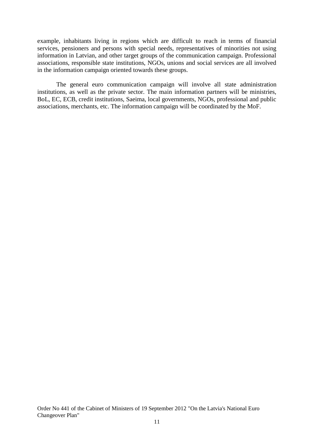example, inhabitants living in regions which are difficult to reach in terms of financial services, pensioners and persons with special needs, representatives of minorities not using information in Latvian, and other target groups of the communication campaign. Professional associations, responsible state institutions, NGOs, unions and social services are all involved in the information campaign oriented towards these groups.

The general euro communication campaign will involve all state administration institutions, as well as the private sector. The main information partners will be ministries, BoL, EC, ECB, credit institutions, Saeima, local governments, NGOs, professional and public associations, merchants, etc. The information campaign will be coordinated by the MoF.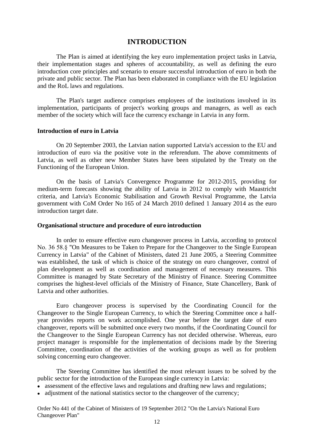# **INTRODUCTION**

<span id="page-11-0"></span>The Plan is aimed at identifying the key euro implementation project tasks in Latvia, their implementation stages and spheres of accountability, as well as defining the euro introduction core principles and scenario to ensure successful introduction of euro in both the private and public sector. The Plan has been elaborated in compliance with the EU legislation and the RoL laws and regulations.

The Plan's target audience comprises employees of the institutions involved in its implementation, participants of project's working groups and managers, as well as each member of the society which will face the currency exchange in Latvia in any form.

#### **Introduction of euro in Latvia**

On 20 September 2003, the Latvian nation supported Latvia's accession to the EU and introduction of euro via the positive vote in the referendum. The above commitments of Latvia, as well as other new Member States have been stipulated by the Treaty on the Functioning of the European Union.

On the basis of Latvia's Convergence Programme for 2012-2015, providing for medium-term forecasts showing the ability of Latvia in 2012 to comply with Maastricht criteria, and Latvia's Economic Stabilisation and Growth Revival Programme, the Latvia government with CoM Order No 165 of 24 March 2010 defined 1 January 2014 as the euro introduction target date.

#### **Organisational structure and procedure of euro introduction**

In order to ensure effective euro changeover process in Latvia, according to protocol No. 36 58.§ "On Measures to be Taken to Prepare for the Changeover to the Single European Currency in Latvia" of the Cabinet of Ministers, dated 21 June 2005, a Steering Committee was established, the task of which is choice of the strategy on euro changeover, control of plan development as well as coordination and management of necessary measures. This Committee is managed by State Secretary of the Ministry of Finance. Steering Committee comprises the highest-level officials of the Ministry of Finance, State Chancellery, Bank of Latvia and other authorities.

Euro changeover process is supervised by the Coordinating Council for the Changeover to the Single European Currency, to which the Steering Committee once a halfyear provides reports on work accomplished. One year before the target date of euro changeover, reports will be submitted once every two months, if the Coordinating Council for the Changeover to the Single European Currency has not decided otherwise. Whereas, euro project manager is responsible for the implementation of decisions made by the Steering Committee, coordination of the activities of the working groups as well as for problem solving concerning euro changeover.

The Steering Committee has identified the most relevant issues to be solved by the public sector for the introduction of the European single currency in Latvia:

- assessment of the effective laws and regulations and drafting new laws and regulations;
- adjustment of the national statistics sector to the changeover of the currency;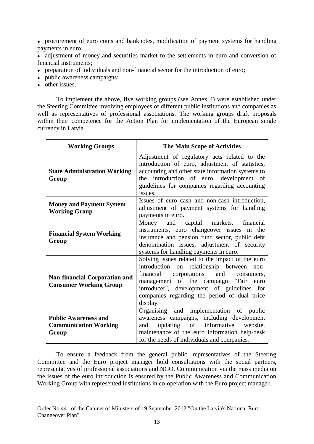• procurement of euro coins and banknotes, modification of payment systems for handling payments in euro;

• adjustment of money and securities market to the settlements in euro and conversion of financial instruments;

- preparation of individuals and non-financial sector for the introduction of euro;
- public awareness campaigns;
- **o** other issues.

To implement the above, five working groups (see Annex 4) were established under the Steering Committee involving employees of different public institutions and companies as well as representatives of professional associations. The working groups draft proposals within their competence for the Action Plan for implementation of the European single currency in Latvia.

| <b>Working Groups</b>                                                 | <b>The Main Scope of Activities</b>                                                                                                                                                                                                                                                                      |
|-----------------------------------------------------------------------|----------------------------------------------------------------------------------------------------------------------------------------------------------------------------------------------------------------------------------------------------------------------------------------------------------|
| <b>State Administration Working</b><br>Group                          | Adjustment of regulatory acts related to the<br>introduction of euro, adjustment of statistics,<br>accounting and other state information systems to<br>introduction of euro, development of<br>the<br>guidelines for companies regarding accounting<br>issues.                                          |
| <b>Money and Payment System</b><br><b>Working Group</b>               | Issues of euro cash and non-cash introduction,<br>adjustment of payment systems for handling<br>payments in euro.                                                                                                                                                                                        |
| <b>Financial System Working</b><br>Group                              | Money<br>capital markets,<br>financial<br>and<br>instruments, euro changeover issues in the<br>insurance and pension fund sector, public debt<br>denomination issues, adjustment of security<br>systems for handling payments in euro.                                                                   |
| <b>Non-financial Corporation and</b><br><b>Consumer Working Group</b> | Solving issues related to the impact of the euro<br>introduction on relationship between<br>non-<br>corporations<br>financial<br>and<br>consumers,<br>management of the campaign "Fair<br>euro<br>introducer", development of guidelines for<br>companies regarding the period of dual price<br>display. |
| <b>Public Awareness and</b><br><b>Communication Working</b><br>Group  | Organising and implementation of public<br>awareness campaigns, including development<br>updating<br>informative<br>of<br>website,<br>and<br>maintenance of the euro information help-desk<br>for the needs of individuals and companies.                                                                |

To ensure a feedback from the general public, representatives of the Steering Committee and the Euro project manager hold consultations with the social partners, representatives of professional associations and NGO. Communication via the mass media on the issues of the euro introduction is ensured by the Public Awareness and Communication Working Group with represented institutions in co-operation with the Euro project manager.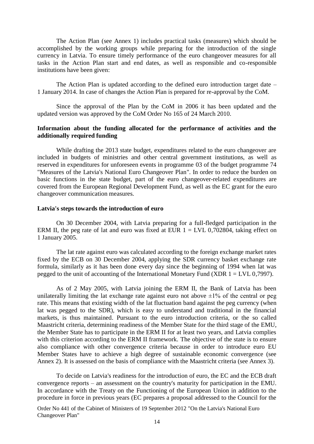The Action Plan (see Annex 1) includes practical tasks (measures) which should be accomplished by the working groups while preparing for the introduction of the single currency in Latvia. To ensure timely performance of the euro changeover measures for all tasks in the Action Plan start and end dates, as well as responsible and co-responsible institutions have been given:

The Action Plan is updated according to the defined euro introduction target date – 1 January 2014. In case of changes the Action Plan is prepared for re-approval by the CoM.

Since the approval of the Plan by the CoM in 2006 it has been updated and the updated version was approved by the CoM Order No 165 of 24 March 2010.

## **Information about the funding allocated for the performance of activities and the additionally required funding**

While drafting the 2013 state budget, expenditures related to the euro changeover are included in budgets of ministries and other central government institutions, as well as reserved in expenditures for unforeseen events in programme 03 of the budget programme 74 "Measures of the Latvia's National Euro Changeover Plan". In order to reduce the burden on basic functions in the state budget, part of the euro changeover-related expenditures are covered from the European Regional Development Fund, as well as the EC grant for the euro changeover communication measures.

#### **Latvia's steps towards the introduction of euro**

On 30 December 2004, with Latvia preparing for a full-fledged participation in the ERM II, the peg rate of lat and euro was fixed at EUR  $1 = LVL$  0,702804, taking effect on 1 January 2005.

The lat rate against euro was calculated according to the foreign exchange market rates fixed by the ECB on 30 December 2004, applying the SDR currency basket exchange rate formula, similarly as it has been done every day since the beginning of 1994 when lat was pegged to the unit of accounting of the International Monetary Fund (XDR  $1 = LVL$  0,7997).

As of 2 May 2005, with Latvia joining the ERM II, the Bank of Latvia has been unilaterally limiting the lat exchange rate against euro not above  $\pm 1\%$  of the central or peg rate. This means that existing width of the lat fluctuation band against the peg currency (when lat was pegged to the SDR), which is easy to understand and traditional in the financial markets, is thus maintained. Pursuant to the euro introduction criteria, or the so called Maastricht criteria, determining readiness of the Member State for the third stage of the EMU, the Member State has to participate in the ERM II for at least two years, and Latvia complies with this criterion according to the ERM II framework. The objective of the state is to ensure also compliance with other convergence criteria because in order to introduce euro EU Member States have to achieve a high degree of sustainable economic convergence (see Annex 2). It is assessed on the basis of compliance with the Maastricht criteria (see Annex 3).

To decide on Latvia's readiness for the introduction of euro, the EC and the ECB draft convergence reports – an assessment on the country's maturity for participation in the EMU. In accordance with the Treaty on the Functioning of the European Union in addition to the procedure in force in previous years (EC prepares a proposal addressed to the Council for the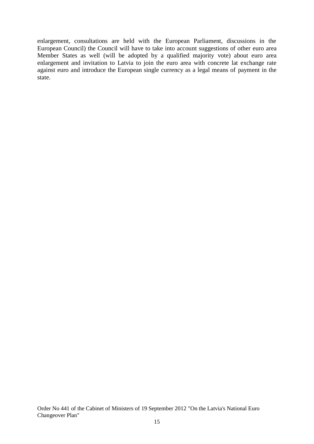enlargement, consultations are held with the European Parliament, discussions in the European Council) the Council will have to take into account suggestions of other euro area Member States as well (will be adopted by a qualified majority vote) about euro area enlargement and invitation to Latvia to join the euro area with concrete lat exchange rate against euro and introduce the European single currency as a legal means of payment in the state.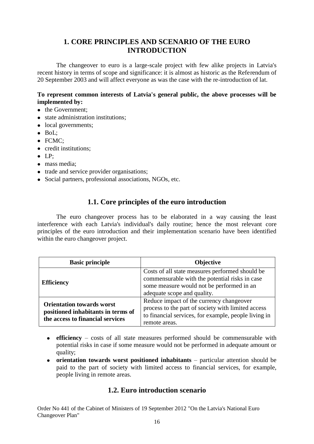# **1. CORE PRINCIPLES AND SCENARIO OF THE EURO INTRODUCTION**

<span id="page-15-0"></span>The changeover to euro is a large-scale project with few alike projects in Latvia's recent history in terms of scope and significance: it is almost as historic as the Referendum of 20 September 2003 and will affect everyone as was the case with the re-introduction of lat.

# **To represent common interests of Latvia's general public, the above processes will be implemented by:**

- the Government;
- state administration institutions;
- local governments;
- BoL;
- FCMC:
- credit institutions:
- $\bullet$  IP:
- mass media;
- trade and service provider organisations;
- Social partners, professional associations, NGOs, etc.

# **1.1. Core principles of the euro introduction**

<span id="page-15-1"></span>The euro changeover process has to be elaborated in a way causing the least interference with each Latvia's individual's daily routine; hence the most relevant core principles of the euro introduction and their implementation scenario have been identified within the euro changeover project.

| <b>Basic principle</b>                                                                                     | <b>Objective</b>                                                                                                                                                              |
|------------------------------------------------------------------------------------------------------------|-------------------------------------------------------------------------------------------------------------------------------------------------------------------------------|
| <b>Efficiency</b>                                                                                          | Costs of all state measures performed should be<br>commensurable with the potential risks in case<br>some measure would not be performed in an<br>adequate scope and quality. |
| <b>Orientation towards worst</b><br>positioned inhabitants in terms of<br>the access to financial services | Reduce impact of the currency changeover<br>process to the part of society with limited access<br>to financial services, for example, people living in<br>remote areas.       |

- **efficiency**  costs of all state measures performed should be commensurable with potential risks in case if some measure would not be performed in adequate amount or quality;
- <span id="page-15-2"></span> $\bullet$ **orientation towards worst positioned inhabitants** – particular attention should be paid to the part of society with limited access to financial services, for example, people living in remote areas.

# **1.2. Euro introduction scenario**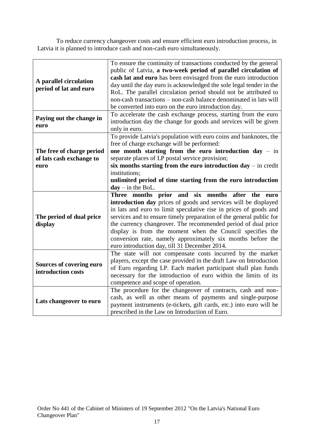To reduce currency changeover costs and ensure efficient euro introduction process, in Latvia it is planned to introduce cash and non-cash euro simultaneously.

| A parallel circulation<br>period of lat and euro              | To ensure the continuity of transactions conducted by the general<br>public of Latvia, a two-week period of parallel circulation of<br>cash lat and euro has been envisaged from the euro introduction<br>day until the day euro is acknowledged the sole legal tender in the<br>RoL. The parallel circulation period should not be attributed to<br>non-cash transactions – non-cash balance denominated in lats will<br>be converted into euro on the euro introduction day.                                |
|---------------------------------------------------------------|---------------------------------------------------------------------------------------------------------------------------------------------------------------------------------------------------------------------------------------------------------------------------------------------------------------------------------------------------------------------------------------------------------------------------------------------------------------------------------------------------------------|
| Paying out the change in<br>euro                              | To accelerate the cash exchange process, starting from the euro<br>introduction day the change for goods and services will be given<br>only in euro.                                                                                                                                                                                                                                                                                                                                                          |
| The free of charge period<br>of lats cash exchange to<br>euro | To provide Latvia's population with euro coins and banknotes, the<br>free of charge exchange will be performed:<br>one month starting from the euro introduction day $-$ in<br>separate places of LP postal service provision;<br>six months starting from the euro introduction $day - in credit$<br>institutions;<br>unlimited period of time starting from the euro introduction<br>$day - in the Bol.$                                                                                                    |
| The period of dual price<br>display                           | Three months prior and six months after the euro<br>introduction day prices of goods and services will be displayed<br>in lats and euro to limit speculative rise in prices of goods and<br>services and to ensure timely preparation of the general public for<br>the currency changeover. The recommended period of dual price<br>display is from the moment when the Council specifies the<br>conversion rate, namely approximately six months before the<br>euro introduction day, till 31 December 2014. |
| Sources of covering euro<br>introduction costs                | The state will not compensate costs incurred by the market<br>players, except the case provided in the draft Law on Introduction<br>of Euro regarding LP. Each market participant shall plan funds<br>necessary for the introduction of euro within the limits of its<br>competence and scope of operation.                                                                                                                                                                                                   |
| Lats changeover to euro                                       | The procedure for the changeover of contracts, cash and non-<br>cash, as well as other means of payments and single-purpose<br>payment instruments (e-tickets, gift cards, etc.) into euro will be<br>prescribed in the Law on Introduction of Euro.                                                                                                                                                                                                                                                          |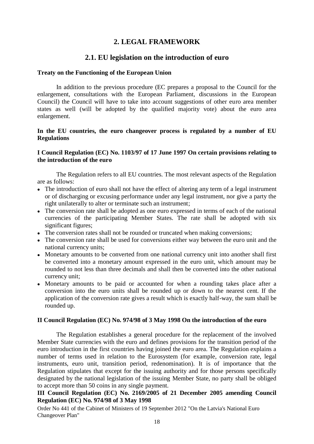# **2. LEGAL FRAMEWORK**

# **2.1. EU legislation on the introduction of euro**

#### <span id="page-17-1"></span><span id="page-17-0"></span>**Treaty on the Functioning of the European Union**

In addition to the previous procedure (EC prepares a proposal to the Council for the enlargement, consultations with the European Parliament, discussions in the European Council) the Council will have to take into account suggestions of other euro area member states as well (will be adopted by the qualified majority vote) about the euro area enlargement.

## **In the EU countries, the euro changeover process is regulated by a number of EU Regulations**

## **I Council Regulation (EC) No. 1103/97 of 17 June 1997 On certain provisions relating to the introduction of the euro**

The Regulation refers to all EU countries. The most relevant aspects of the Regulation are as follows:

- The introduction of euro shall not have the effect of altering any term of a legal instrument or of discharging or excusing performance under any legal instrument, nor give a party the right unilaterally to alter or terminate such an instrument;
- The conversion rate shall be adopted as one euro expressed in terms of each of the national currencies of the participating Member States. The rate shall be adopted with six significant figures;
- The conversion rates shall not be rounded or truncated when making conversions;
- The conversion rate shall be used for conversions either way between the euro unit and the national currency units;
- Monetary amounts to be converted from one national currency unit into another shall first be converted into a monetary amount expressed in the euro unit, which amount may be rounded to not less than three decimals and shall then be converted into the other national currency unit;
- Monetary amounts to be paid or accounted for when a rounding takes place after a conversion into the euro units shall be rounded up or down to the nearest cent. If the application of the conversion rate gives a result which is exactly half-way, the sum shall be rounded up.

#### **II Council Regulation (EC) No. 974/98 of 3 May 1998 On the introduction of the euro**

The Regulation establishes a general procedure for the replacement of the involved Member State currencies with the euro and defines provisions for the transition period of the euro introduction in the first countries having joined the euro area. The Regulation explains a number of terms used in relation to the Eurosystem (for example, conversion rate, legal instruments, euro unit, transition period, redenomination). It is of importance that the Regulation stipulates that except for the issuing authority and for those persons specifically designated by the national legislation of the issuing Member State, no party shall be obliged to accept more than 50 coins in any single payment.

# **III Council Regulation (EC) No. 2169/2005 of 21 December 2005 amending Council Regulation (EC) No. 974/98 of 3 May 1998**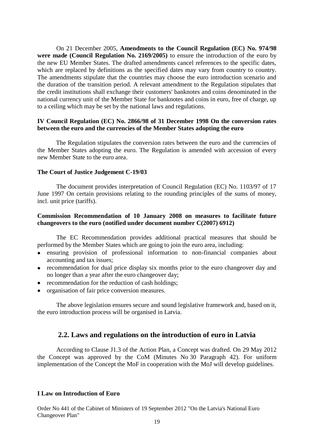On 21 December 2005, **Amendments to the Council Regulation (EC) No. 974/98 were made (Council Regulation No. 2169/2005)** to ensure the introduction of the euro by the new EU Member States. The drafted amendments cancel references to the specific dates, which are replaced by definitions as the specified dates may vary from country to country. The amendments stipulate that the countries may choose the euro introduction scenario and the duration of the transition period. A relevant amendment to the Regulation stipulates that the credit institutions shall exchange their customers' banknotes and coins denominated in the national currency unit of the Member State for banknotes and coins in euro, free of charge, up to a ceiling which may be set by the national laws and regulations.

#### **IV Council Regulation (EC) No. 2866/98 of 31 December 1998 On the conversion rates between the euro and the currencies of the Member States adopting the euro**

The Regulation stipulates the conversion rates between the euro and the currencies of the Member States adopting the euro. The Regulation is amended with accession of every new Member State to the euro area.

#### **The Court of Justice Judgement C-19/03**

The document provides interpretation of Council Regulation (EC) No. 1103/97 of 17 June 1997 On certain provisions relating to the rounding principles of the sums of money, incl. unit price (tariffs).

#### **Commission Recommendation of 10 January 2008 on measures to facilitate future changeovers to the euro (notified under document number C(2007) 6912)**

The EC Recommendation provides additional practical measures that should be performed by the Member States which are going to join the euro area, including:

- ensuring provision of professional information to non-financial companies about accounting and tax issues;
- recommendation for dual price display six months prior to the euro changeover day and no longer than a year after the euro changeover day;
- recommendation for the reduction of cash holdings;
- organisation of fair price conversion measures.

The above legislation ensures secure and sound legislative framework and, based on it, the euro introduction process will be organised in Latvia.

## **2.2. Laws and regulations on the introduction of euro in Latvia**

<span id="page-18-0"></span>According to Clause J1.3 of the Action Plan, a Concept was drafted. On 29 May 2012 the Concept was approved by the CoM (Minutes No 30 Paragraph 42). For uniform implementation of the Concept the MoF in cooperation with the MoJ will develop guidelines.

#### **I Law on Introduction of Euro**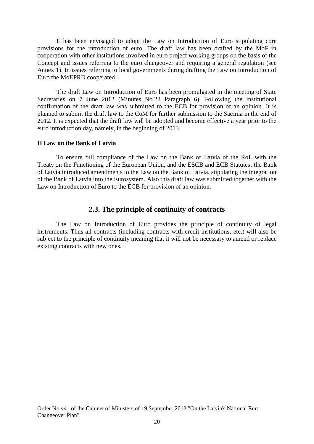It has been envisaged to adopt the Law on Introduction of Euro stipulating core provisions for the introduction of euro. The draft law has been drafted by the MoF in cooperation with other institutions involved in euro project working groups on the basis of the Concept and issues referring to the euro changeover and requiring a general regulation (see Annex 1). In issues referring to local governments during drafting the Law on Introduction of Euro the MoEPRD cooperated.

The draft Law on Introduction of Euro has been promulgated in the meeting of State Secretaries on 7 June 2012 (Minutes No 23 Paragraph 6). Following the institutional confirmation of the draft law was submitted to the ECB for provision of an opinion. It is planned to submit the draft law to the CoM for further submission to the Saeima in the end of 2012. It is expected that the draft law will be adopted and become effective a year prior to the euro introduction day, namely, in the beginning of 2013.

#### **II Law on the Bank of Latvia**

To ensure full compliance of the Law on the Bank of Latvia of the RoL with the Treaty on the Functioning of the European Union, and the ESCB and ECB Statutes, the Bank of Latvia introduced amendments to the Law on the Bank of Latvia, stipulating the integration of the Bank of Latvia into the Eurosystem. Also this draft law was submitted together with the Law on Introduction of Euro to the ECB for provision of an opinion.

## **2.3. The principle of continuity of contracts**

<span id="page-19-0"></span>The Law on Introduction of Euro provides the principle of continuity of legal instruments. Thus all contracts (including contracts with credit institutions, etc.) will also be subject to the principle of continuity meaning that it will not be necessary to amend or replace existing contracts with new ones.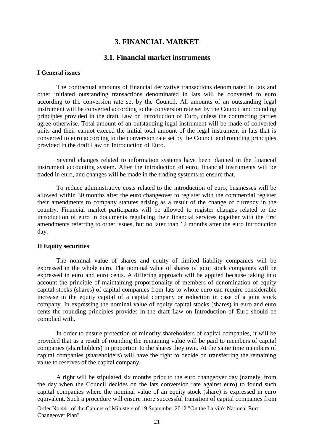# **3. FINANCIAL MARKET**

# **3.1. Financial market instruments**

#### <span id="page-20-1"></span><span id="page-20-0"></span>**I General issues**

The contractual amounts of financial derivative transactions denominated in lats and other initiated outstanding transactions denominated in lats will be converted to euro according to the conversion rate set by the Council. All amounts of an outstanding legal instrument will be converted according to the conversion rate set by the Council and rounding principles provided in the draft Law on Introduction of Euro, unless the contracting parties agree otherwise. Total amount of an outstanding legal instrument will be made of converted units and their cannot exceed the initial total amount of the legal instrument in lats that is converted to euro according to the conversion rate set by the Council and rounding principles provided in the draft Law on Introduction of Euro.

Several changes related to information systems have been planned in the financial instrument accounting system. After the introduction of euro, financial instruments will be traded in euro, and changes will be made in the trading systems to ensure that.

To reduce administrative costs related to the introduction of euro, businesses will be allowed within 30 months after the euro changeover to register with the commercial register their amendments to company statutes arising as a result of the change of currency in the country. Financial market participants will be allowed to register changes related to the introduction of euro in documents regulating their financial services together with the first amendments referring to other issues, but no later than 12 months after the euro introduction day.

#### **II Equity securities**

The nominal value of shares and equity of limited liability companies will be expressed in the whole euro. The nominal value of shares of joint stock companies will be expressed in euro and euro cents. A differing approach will be applied because taking into account the principle of maintaining proportionality of members of denomination of equity capital stocks (shares) of capital companies from lats to whole euro can require considerable increase in the equity capital of a capital company or reduction in case of a joint stock company. In expressing the nominal value of equity capital stocks (shares) in euro and euro cents the rounding principles provides in the draft Law on Introduction of Euro should be complied with.

In order to ensure protection of minority shareholders of capital companies, it will be provided that as a result of rounding the remaining value will be paid to members of capital companies (shareholders) in proportion to the shares they own. At the same time members of capital companies (shareholders) will have the right to decide on transferring the remaining value to reserves of the capital company.

A right will be stipulated six months prior to the euro changeover day (namely, from the day when the Council decides on the lats conversion rate against euro) to found such capital companies where the nominal value of an equity stock (share) is expressed in euro equivalent. Such a procedure will ensure more successful transition of capital companies from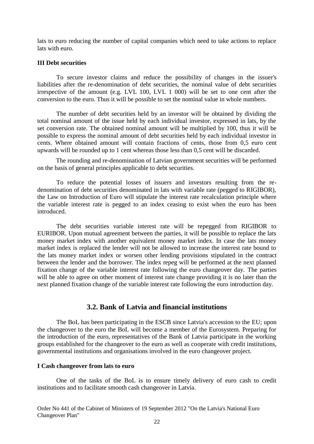lats to euro reducing the number of capital companies which need to take actions to replace lats with euro.

# **III Debt securities**

To secure investor claims and reduce the possibility of changes in the issuer's liabilities after the re-denomination of debt securities, the nominal value of debt securities irrespective of the amount (e.g. LVL 100, LVL 1 000) will be set to one cent after the conversion to the euro. Thus it will be possible to set the nominal value in whole numbers.

The number of debt securities held by an investor will be obtained by dividing the total nominal amount of the issue held by each individual investor, expressed in lats, by the set conversion rate. The obtained nominal amount will be multiplied by 100, thus it will be possible to express the nominal amount of debt securities held by each individual investor in cents. Where obtained amount will contain fractions of cents, those from 0,5 euro cent upwards will be rounded up to 1 cent whereas those less than 0,5 cent will be discarded.

The rounding and re-denomination of Latvian government securities will be performed on the basis of general principles applicable to debt securities.

To reduce the potential losses of issuers and investors resulting from the redenomination of debt securities denominated in lats with variable rate (pegged to RIGIBOR), the Law on Introduction of Euro will stipulate the interest rate recalculation principle where the variable interest rate is pegged to an index ceasing to exist when the euro has been introduced.

The debt securities variable interest rate will be repegged from RIGIBOR to EURIBOR. Upon mutual agreement between the parties, it will be possible to replace the lats money market index with another equivalent money market index. In case the lats money market index is replaced the lender will not be allowed to increase the interest rate bound to the lats money market index or worsen other lending provisions stipulated in the contract between the lender and the borrower. The index repeg will be performed at the next planned fixation change of the variable interest rate following the euro changeover day. The parties will be able to agree on other moment of interest rate change providing it is no later than the next planned fixation change of the variable interest rate following the euro introduction day.

# **3.2. Bank of Latvia and financial institutions**

<span id="page-21-0"></span>The BoL has been participating in the ESCB since Latvia's accession to the EU; upon the changeover to the euro the BoL will become a member of the Eurosystem. Preparing for the introduction of the euro, representatives of the Bank of Latvia participate in the working groups established for the changeover to the euro as well as cooperate with credit institutions, governmental institutions and organisations involved in the euro changeover project.

#### **I Cash changeover from lats to euro**

One of the tasks of the BoL is to ensure timely delivery of euro cash to credit institutions and to facilitate smooth cash changeover in Latvia.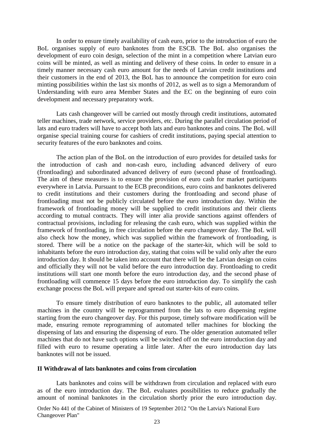In order to ensure timely availability of cash euro, prior to the introduction of euro the BoL organises supply of euro banknotes from the ESCB. The BoL also organises the development of euro coin design, selection of the mint in a competition where Latvian euro coins will be minted, as well as minting and delivery of these coins. In order to ensure in a timely manner necessary cash euro amount for the needs of Latvian credit institutions and their customers in the end of 2013, the BoL has to announce the competition for euro coin minting possibilities within the last six months of 2012, as well as to sign a Memorandum of Understanding with euro area Member States and the EC on the beginning of euro coin development and necessary preparatory work.

Lats cash changeover will be carried out mostly through credit institutions, automated teller machines, trade network, service providers, etc. During the parallel circulation period of lats and euro traders will have to accept both lats and euro banknotes and coins. The BoL will organise special training course for cashiers of credit institutions, paying special attention to security features of the euro banknotes and coins.

The action plan of the BoL on the introduction of euro provides for detailed tasks for the introduction of cash and non-cash euro, including advanced delivery of euro (frontloading) and subordinated advanced delivery of euro (second phase of frontloading). The aim of these measures is to ensure the provision of euro cash for market participants everywhere in Latvia. Pursuant to the ECB preconditions, euro coins and banknotes delivered to credit institutions and their customers during the frontloading and second phase of frontloading must not be publicly circulated before the euro introduction day. Within the framework of frontloading money will be supplied to credit institutions and their clients according to mutual contracts. They will inter alia provide sanctions against offenders of contractual provisions, including for releasing the cash euro, which was supplied within the framework of frontloading, in free circulation before the euro changeover day. The BoL will also check how the money, which was supplied within the framework of frontloading, is stored. There will be a notice on the package of the starter-kit, which will be sold to inhabitants before the euro introduction day, stating that coins will be valid only after the euro introduction day. It should be taken into account that there will be the Latvian design on coins and officially they will not be valid before the euro introduction day. Frontloading to credit institutions will start one month before the euro introduction day, and the second phase of frontloading will commence 15 days before the euro introduction day. To simplify the cash exchange process the BoL will prepare and spread out starter-kits of euro coins.

To ensure timely distribution of euro banknotes to the public, all automated teller machines in the country will be reprogrammed from the lats to euro dispensing regime starting from the euro changeover day. For this purpose, timely software modification will be made, ensuring remote reprogramming of automated teller machines for blocking the dispensing of lats and ensuring the dispensing of euro. The older generation automated teller machines that do not have such options will be switched off on the euro introduction day and filled with euro to resume operating a little later. After the euro introduction day lats banknotes will not be issued.

#### **II Withdrawal of lats banknotes and coins from circulation**

Lats banknotes and coins will be withdrawn from circulation and replaced with euro as of the euro introduction day. The BoL evaluates possibilities to reduce gradually the amount of nominal banknotes in the circulation shortly prior the euro introduction day.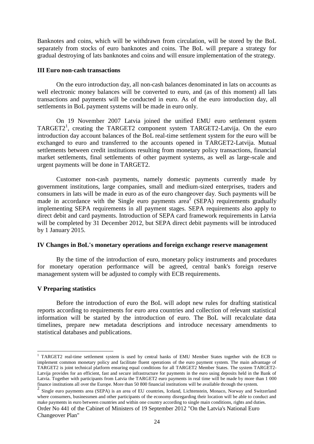Banknotes and coins, which will be withdrawn from circulation, will be stored by the BoL separately from stocks of euro banknotes and coins. The BoL will prepare a strategy for gradual destroying of lats banknotes and coins and will ensure implementation of the strategy.

#### **III Euro non-cash transactions**

On the euro introduction day, all non-cash balances denominated in lats on accounts as well electronic money balances will be converted to euro, and (as of this moment) all lats transactions and payments will be conducted in euro. As of the euro introduction day, all settlements in BoL payment systems will be made in euro only.

On 19 November 2007 Latvia joined the unified EMU euro settlement system TARGET2<sup>1</sup>, creating the TARGET2 component system TARGET2-Latvija. On the euro introduction day account balances of the BoL real-time settlement system for the euro will be exchanged to euro and transferred to the accounts opened in TARGET2-Latvija. Mutual settlements between credit institutions resulting from monetary policy transactions, financial market settlements, final settlements of other payment systems, as well as large-scale and urgent payments will be done in TARGET2.

Customer non-cash payments, namely domestic payments currently made by government institutions, large companies, small and medium-sized enterprises, traders and consumers in lats will be made in euro as of the euro changeover day. Such payments will be made in accordance with the Single euro payments area<sup>2</sup> (SEPA) requirements gradually implementing SEPA requirements in all payment stages. SEPA requirements also apply to direct debit and card payments. Introduction of SEPA card framework requirements in Latvia will be completed by 31 December 2012, but SEPA direct debit payments will be introduced by 1 January 2015.

## **IV Changes in BoL's monetary operations and foreign exchange reserve management**

By the time of the introduction of euro, monetary policy instruments and procedures for monetary operation performance will be agreed, central bank's foreign reserve management system will be adjusted to comply with ECB requirements.

## **V Preparing statistics**

 $\overline{a}$ 

Before the introduction of euro the BoL will adopt new rules for drafting statistical reports according to requirements for euro area countries and collection of relevant statistical information will be started by the introduction of euro. The BoL will recalculate data timelines, prepare new metadata descriptions and introduce necessary amendments to statistical databases and publications.

<sup>&</sup>lt;sup>1</sup> TARGET2 real-time settlement system is used by central banks of EMU Member States together with the ECB to implement common monetary policy and facilitate fluent operations of the euro payment system. The main advantage of TARGET2 is joint technical platform ensuring equal conditions for all TARGET2 Member States. The system TARGET2- Latvija provides for an efficient, fast and secure infrastructure for payments in the euro using deposits held in the Bank of Latvia. Together with participants from Latvia the TARGET2 euro payments in real time will be made by more than 1 000 finance institutions all over the Europe. More than 50 800 financial institutions will be available through the system.

Order No 441 of the Cabinet of Ministers of 19 September 2012 "On the Latvia's National Euro Changeover Plan" <sup>2</sup> Single euro payments area (SEPA) is an area of EU countries, Iceland, Lichtenstein, Monaco, Norway and Switzerland where consumers, businessmen and other participants of the economy disregarding their location will be able to conduct and make payments in euro between countries and within one country according to single main conditions, rights and duties.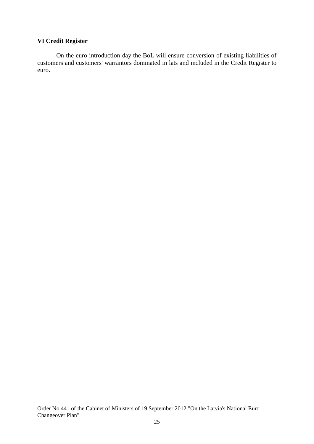# **VI Credit Register**

On the euro introduction day the BoL will ensure conversion of existing liabilities of customers and customers' warrantors dominated in lats and included in the Credit Register to euro.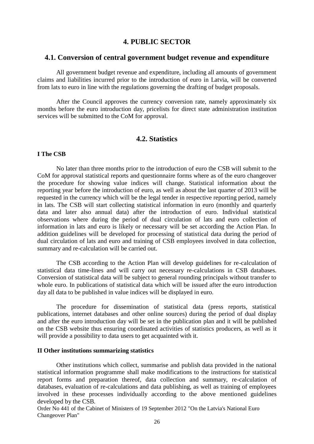## **4. PUBLIC SECTOR**

# <span id="page-25-1"></span><span id="page-25-0"></span>**4.1. Conversion of central government budget revenue and expenditure**

All government budget revenue and expenditure, including all amounts of government claims and liabilities incurred prior to the introduction of euro in Latvia, will be converted from lats to euro in line with the regulations governing the drafting of budget proposals.

After the Council approves the currency conversion rate, namely approximately six months before the euro introduction day, pricelists for direct state administration institution services will be submitted to the CoM for approval.

# **4.2. Statistics**

#### <span id="page-25-2"></span>**I The CSB**

No later than three months prior to the introduction of euro the CSB will submit to the CoM for approval statistical reports and questionnaire forms where as of the euro changeover the procedure for showing value indices will change. Statistical information about the reporting year before the introduction of euro, as well as about the last quarter of 2013 will be requested in the currency which will be the legal tender in respective reporting period, namely in lats. The CSB will start collecting statistical information in euro (monthly and quarterly data and later also annual data) after the introduction of euro. Individual statistical observations where during the period of dual circulation of lats and euro collection of information in lats and euro is likely or necessary will be set according the Action Plan. In addition guidelines will be developed for processing of statistical data during the period of dual circulation of lats and euro and training of CSB employees involved in data collection, summary and re-calculation will be carried out.

The CSB according to the Action Plan will develop guidelines for re-calculation of statistical data time-lines and will carry out necessary re-calculations in CSB databases. Conversion of statistical data will be subject to general rounding principals without transfer to whole euro. In publications of statistical data which will be issued after the euro introduction day all data to be published in value indices will be displayed in euro.

The procedure for dissemination of statistical data (press reports, statistical publications, internet databases and other online sources) during the period of dual display and after the euro introduction day will be set in the publication plan and it will be published on the CSB website thus ensuring coordinated activities of statistics producers, as well as it will provide a possibility to data users to get acquainted with it.

#### **II Other institutions summarizing statistics**

Other institutions which collect, summarise and publish data provided in the national statistical information programme shall make modifications to the instructions for statistical report forms and preparation thereof, data collection and summary, re-calculation of databases, evaluation of re-calculations and data publishing, as well as training of employees involved in these processes individually according to the above mentioned guidelines developed by the CSB.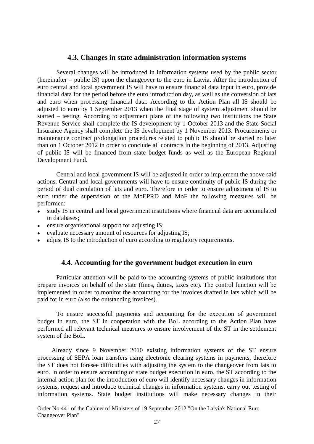# **4.3. Changes in state administration information systems**

<span id="page-26-0"></span>Several changes will be introduced in information systems used by the public sector (hereinafter – public IS) upon the changeover to the euro in Latvia. After the introduction of euro central and local government IS will have to ensure financial data input in euro, provide financial data for the period before the euro introduction day, as well as the conversion of lats and euro when processing financial data. According to the Action Plan all IS should be adjusted to euro by 1 September 2013 when the final stage of system adjustment should be started – testing. According to adjustment plans of the following two institutions the State Revenue Service shall complete the IS development by 1 October 2013 and the State Social Insurance Agency shall complete the IS development by 1 November 2013. Procurements or maintenance contract prolongation procedures related to public IS should be started no later than on 1 October 2012 in order to conclude all contracts in the beginning of 2013. Adjusting of public IS will be financed from state budget funds as well as the European Regional Development Fund.

Central and local government IS will be adjusted in order to implement the above said actions. Central and local governments will have to ensure continuity of public IS during the period of dual circulation of lats and euro. Therefore in order to ensure adjustment of IS to euro under the supervision of the MoEPRD and MoF the following measures will be performed:

- study IS in central and local government institutions where financial data are accumulated  $\bullet$ in databases;
- ensure organisational support for adjusting IS;
- evaluate necessary amount of resources for adjusting IS;
- adjust IS to the introduction of euro according to regulatory requirements.

# **4.4. Accounting for the government budget execution in euro**

<span id="page-26-1"></span>Particular attention will be paid to the accounting systems of public institutions that prepare invoices on behalf of the state (fines, duties, taxes etc). The control function will be implemented in order to monitor the accounting for the invoices drafted in lats which will be paid for in euro (also the outstanding invoices).

To ensure successful payments and accounting for the execution of government budget in euro, the ST in cooperation with the BoL according to the Action Plan have performed all relevant technical measures to ensure involvement of the ST in the settlement system of the BoL.

Already since 9 November 2010 existing information systems of the ST ensure processing of SEPA loan transfers using electronic clearing systems in payments, therefore the ST does not foresee difficulties with adjusting the system to the changeover from lats to euro. In order to ensure accounting of state budget execution in euro, the ST according to the internal action plan for the introduction of euro will identify necessary changes in information systems, request and introduce technical changes in information systems, carry out testing of information systems. State budget institutions will make necessary changes in their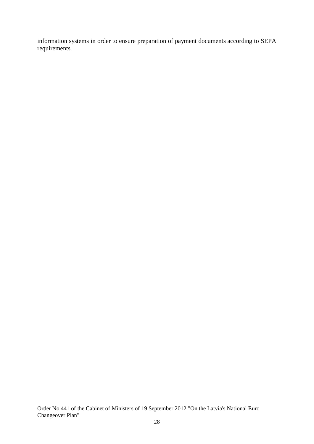information systems in order to ensure preparation of payment documents according to SEPA requirements.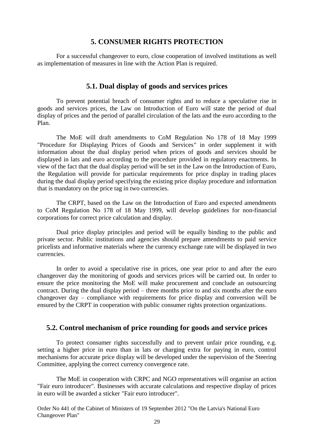# **5. CONSUMER RIGHTS PROTECTION**

<span id="page-28-0"></span>For a successful changeover to euro, close cooperation of involved institutions as well as implementation of measures in line with the Action Plan is required.

# **5.1. Dual display of goods and services prices**

<span id="page-28-1"></span>To prevent potential breach of consumer rights and to reduce a speculative rise in goods and services prices, the Law on Introduction of Euro will state the period of dual display of prices and the period of parallel circulation of the lats and the euro according to the Plan.

The MoE will draft amendments to CoM Regulation No 178 of 18 May 1999 "Procedure for Displaying Prices of Goods and Services" in order supplement it with information about the dual display period when prices of goods and services should be displayed in lats and euro according to the procedure provided in regulatory enactments. In view of the fact that the dual display period will be set in the Law on the Introduction of Euro, the Regulation will provide for particular requirements for price display in trading places during the dual display period specifying the existing price display procedure and information that is mandatory on the price tag in two currencies.

The CRPT, based on the Law on the Introduction of Euro and expected amendments to CoM Regulation No 178 of 18 May 1999, will develop guidelines for non-financial corporations for correct price calculation and display.

Dual price display principles and period will be equally binding to the public and private sector. Public institutions and agencies should prepare amendments to paid service pricelists and informative materials where the currency exchange rate will be displayed in two currencies.

In order to avoid a speculative rise in prices, one year prior to and after the euro changeover day the monitoring of goods and services prices will be carried out. In order to ensure the price monitoring the MoE will make procurement and conclude an outsourcing contract. During the dual display period – three months prior to and six months after the euro changeover day – compliance with requirements for price display and conversion will be ensured by the CRPT in cooperation with public consumer rights protection organizations.

# <span id="page-28-2"></span>**5.2. Control mechanism of price rounding for goods and service prices**

To protect consumer rights successfully and to prevent unfair price rounding, e.g. setting a higher price in euro than in lats or charging extra for paying in euro, control mechanisms for accurate price display will be developed under the supervision of the Steering Committee, applying the correct currency convergence rate.

The MoE in cooperation with CRPC and NGO representatives will organise an action "Fair euro introducer". Businesses with accurate calculations and respective display of prices in euro will be awarded a sticker "Fair euro introducer".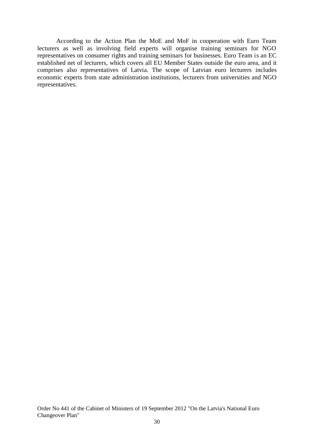According to the Action Plan the MoE and MoF in cooperation with Euro Team lecturers as well as involving field experts will organise training seminars for NGO representatives on consumer rights and training seminars for businesses. Euro Team is an EC established net of lecturers, which covers all EU Member States outside the euro area, and it comprises also representatives of Latvia. The scope of Latvian euro lecturers includes economic experts from state administration institutions, lecturers from universities and NGO representatives.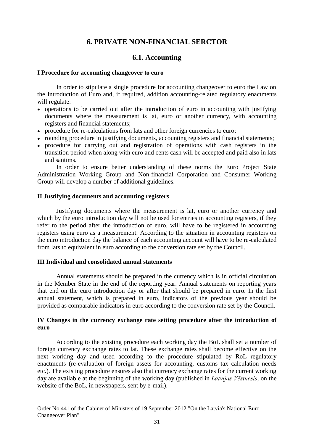# **6. PRIVATE NON-FINANCIAL SERCTOR**

# **6.1. Accounting**

#### <span id="page-30-1"></span><span id="page-30-0"></span>**I Procedure for accounting changeover to euro**

In order to stipulate a single procedure for accounting changeover to euro the Law on the Introduction of Euro and, if required, addition accounting-related regulatory enactments will regulate:

- operations to be carried out after the introduction of euro in accounting with justifying documents where the measurement is lat, euro or another currency, with accounting registers and financial statements;
- procedure for re-calculations from lats and other foreign currencies to euro;
- rounding procedure in justifying documents, accounting registers and financial statements;
- procedure for carrying out and registration of operations with cash registers in the transition period when along with euro and cents cash will be accepted and paid also in lats and santims.

In order to ensure better understanding of these norms the Euro Project State Administration Working Group and Non-financial Corporation and Consumer Working Group will develop a number of additional guidelines.

#### **II Justifying documents and accounting registers**

Justifying documents where the measurement is lat, euro or another currency and which by the euro introduction day will not be used for entries in accounting registers, if they refer to the period after the introduction of euro, will have to be registered in accounting registers using euro as a measurement. According to the situation in accounting registers on the euro introduction day the balance of each accounting account will have to be re-calculated from lats to equivalent in euro according to the conversion rate set by the Council.

#### **III Individual and consolidated annual statements**

Annual statements should be prepared in the currency which is in official circulation in the Member State in the end of the reporting year. Annual statements on reporting years that end on the euro introduction day or after that should be prepared in euro. In the first annual statement, which is prepared in euro, indicators of the previous year should be provided as comparable indicators in euro according to the conversion rate set by the Council.

## **IV Changes in the currency exchange rate setting procedure after the introduction of euro**

According to the existing procedure each working day the BoL shall set a number of foreign currency exchange rates to lat. These exchange rates shall become effective on the next working day and used according to the procedure stipulated by RoL regulatory enactments (re-evaluation of foreign assets for accounting, customs tax calculation needs etc.). The existing procedure ensures also that currency exchange rates for the current working day are available at the beginning of the working day (published in *Latvijas Vēstnesis*, on the website of the BoL, in newspapers, sent by e-mail).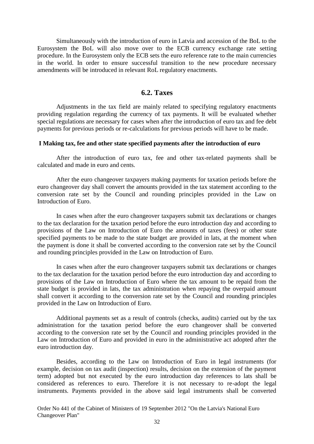Simultaneously with the introduction of euro in Latvia and accession of the BoL to the Eurosystem the BoL will also move over to the ECB currency exchange rate setting procedure. In the Eurosystem only the ECB sets the euro reference rate to the main currencies in the world. In order to ensure successful transition to the new procedure necessary amendments will be introduced in relevant RoL regulatory enactments.

# **6.2. Taxes**

<span id="page-31-0"></span>Adjustments in the tax field are mainly related to specifying regulatory enactments providing regulation regarding the currency of tax payments. It will be evaluated whether special regulations are necessary for cases when after the introduction of euro tax and fee debt payments for previous periods or re-calculations for previous periods will have to be made.

#### **I Making tax, fee and other state specified payments after the introduction of euro**

After the introduction of euro tax, fee and other tax-related payments shall be calculated and made in euro and cents.

After the euro changeover taxpayers making payments for taxation periods before the euro changeover day shall convert the amounts provided in the tax statement according to the conversion rate set by the Council and rounding principles provided in the Law on Introduction of Euro.

In cases when after the euro changeover taxpayers submit tax declarations or changes to the tax declaration for the taxation period before the euro introduction day and according to provisions of the Law on Introduction of Euro the amounts of taxes (fees) or other state specified payments to be made to the state budget are provided in lats, at the moment when the payment is done it shall be converted according to the conversion rate set by the Council and rounding principles provided in the Law on Introduction of Euro.

In cases when after the euro changeover taxpayers submit tax declarations or changes to the tax declaration for the taxation period before the euro introduction day and according to provisions of the Law on Introduction of Euro where the tax amount to be repaid from the state budget is provided in lats, the tax administration when repaying the overpaid amount shall convert it according to the conversion rate set by the Council and rounding principles provided in the Law on Introduction of Euro.

Additional payments set as a result of controls (checks, audits) carried out by the tax administration for the taxation period before the euro changeover shall be converted according to the conversion rate set by the Council and rounding principles provided in the Law on Introduction of Euro and provided in euro in the administrative act adopted after the euro introduction day.

Besides, according to the Law on Introduction of Euro in legal instruments (for example, decision on tax audit (inspection) results, decision on the extension of the payment term) adopted but not executed by the euro introduction day references to lats shall be considered as references to euro. Therefore it is not necessary to re-adopt the legal instruments. Payments provided in the above said legal instruments shall be converted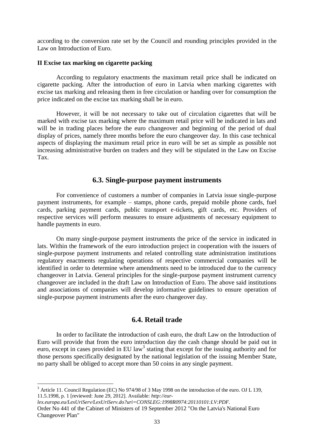according to the conversion rate set by the Council and rounding principles provided in the Law on Introduction of Euro.

#### **II Excise tax marking on cigarette packing**

According to regulatory enactments the maximum retail price shall be indicated on cigarette packing. After the introduction of euro in Latvia when marking cigarettes with excise tax marking and releasing them in free circulation or handing over for consumption the price indicated on the excise tax marking shall be in euro.

However, it will be not necessary to take out of circulation cigarettes that will be marked with excise tax marking where the maximum retail price will be indicated in lats and will be in trading places before the euro changeover and beginning of the period of dual display of prices, namely three months before the euro changeover day. In this case technical aspects of displaying the maximum retail price in euro will be set as simple as possible not increasing administrative burden on traders and they will be stipulated in the Law on Excise Tax.

## **6.3. Single-purpose payment instruments**

<span id="page-32-0"></span>For convenience of customers a number of companies in Latvia issue single-purpose payment instruments, for example – stamps, phone cards, prepaid mobile phone cards, fuel cards, parking payment cards, public transport e-tickets, gift cards, etc. Providers of respective services will perform measures to ensure adjustments of necessary equipment to handle payments in euro.

On many single-purpose payment instruments the price of the service in indicated in lats. Within the framework of the euro introduction project in cooperation with the issuers of single-purpose payment instruments and related controlling state administration institutions regulatory enactments regulating operations of respective commercial companies will be identified in order to determine where amendments need to be introduced due to the currency changeover in Latvia. General principles for the single-purpose payment instrument currency changeover are included in the draft Law on Introduction of Euro. The above said institutions and associations of companies will develop informative guidelines to ensure operation of single-purpose payment instruments after the euro changeover day.

# **6.4. Retail trade**

<span id="page-32-1"></span>In order to facilitate the introduction of cash euro, the draft Law on the Introduction of Euro will provide that from the euro introduction day the cash change should be paid out in euro, except in cases provided in EU law<sup>3</sup> stating that except for the issuing authority and for those persons specifically designated by the national legislation of the issuing Member State, no party shall be obliged to accept more than 50 coins in any single payment.

 $\overline{a}$ 

 $3$  Article 11. Council Regulation (EC) No 974/98 of 3 May 1998 on the introduction of the euro. OJ L 139, 11.5.1998, p. 1 [reviewed: June 29, 2012]. Available: *http://eur-*

*lex.europa.eu/LexUriServ/LexUriServ.do?uri=CONSLEG:1998R0974:20110101:LV:PDF*.

Order No 441 of the Cabinet of Ministers of 19 September 2012 "On the Latvia's National Euro Changeover Plan"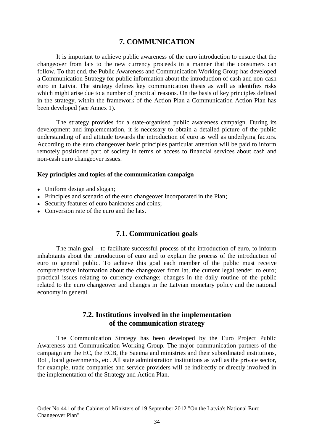# **7. COMMUNICATION**

<span id="page-33-0"></span>It is important to achieve public awareness of the euro introduction to ensure that the changeover from lats to the new currency proceeds in a manner that the consumers can follow. To that end, the Public Awareness and Communication Working Group has developed a Communication Strategy for public information about the introduction of cash and non-cash euro in Latvia. The strategy defines key communication thesis as well as identifies risks which might arise due to a number of practical reasons. On the basis of key principles defined in the strategy, within the framework of the Action Plan a Communication Action Plan has been developed (see Annex 1).

The strategy provides for a state-organised public awareness campaign. During its development and implementation, it is necessary to obtain a detailed picture of the public understanding of and attitude towards the introduction of euro as well as underlying factors. According to the euro changeover basic principles particular attention will be paid to inform remotely positioned part of society in terms of access to financial services about cash and non-cash euro changeover issues.

#### **Key principles and topics of the communication campaign**

- Uniform design and slogan;
- Principles and scenario of the euro changeover incorporated in the Plan;
- Security features of euro banknotes and coins;
- Conversion rate of the euro and the lats.

# **7.1. Communication goals**

<span id="page-33-1"></span>The main goal – to facilitate successful process of the introduction of euro, to inform inhabitants about the introduction of euro and to explain the process of the introduction of euro to general public. To achieve this goal each member of the public must receive comprehensive information about the changeover from lat, the current legal tender, to euro; practical issues relating to currency exchange; changes in the daily routine of the public related to the euro changeover and changes in the Latvian monetary policy and the national economy in general.

# **7.2. Institutions involved in the implementation of the communication strategy**

<span id="page-33-2"></span>The Communication Strategy has been developed by the Euro Project Public Awareness and Communication Working Group. The major communication partners of the campaign are the EC, the ECB, the Saeima and ministries and their subordinated institutions, BoL, local governments, etc. All state administration institutions as well as the private sector, for example, trade companies and service providers will be indirectly or directly involved in the implementation of the Strategy and Action Plan.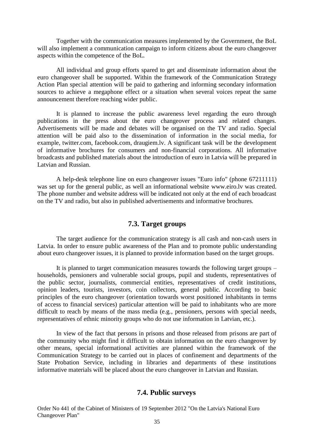Together with the communication measures implemented by the Government, the BoL will also implement a communication campaign to inform citizens about the euro changeover aspects within the competence of the BoL.

All individual and group efforts spared to get and disseminate information about the euro changeover shall be supported. Within the framework of the Communication Strategy Action Plan special attention will be paid to gathering and informing secondary information sources to achieve a megaphone effect or a situation when several voices repeat the same announcement therefore reaching wider public.

It is planned to increase the public awareness level regarding the euro through publications in the press about the euro changeover process and related changes. Advertisements will be made and debates will be organised on the TV and radio. Special attention will be paid also to the dissemination of information in the social media, for example, twitter.com, facebook.com, draugiem.lv. A significant task will be the development of informative brochures for consumers and non-financial corporations. All informative broadcasts and published materials about the introduction of euro in Latvia will be prepared in Latvian and Russian.

A help-desk telephone line on euro changeover issues "Euro info" (phone 67211111) was set up for the general public, as well an informational website www.eiro.lv was created. The phone number and website address will be indicated not only at the end of each broadcast on the TV and radio, but also in published advertisements and informative brochures.

# **7.3. Target groups**

<span id="page-34-0"></span>The target audience for the communication strategy is all cash and non-cash users in Latvia. In order to ensure public awareness of the Plan and to promote public understanding about euro changeover issues, it is planned to provide information based on the target groups.

It is planned to target communication measures towards the following target groups – households, pensioners and vulnerable social groups, pupil and students, representatives of the public sector, journalists, commercial entities, representatives of credit institutions, opinion leaders, tourists, investors, coin collectors, general public. According to basic principles of the euro changeover (orientation towards worst positioned inhabitants in terms of access to financial services) particular attention will be paid to inhabitants who are more difficult to reach by means of the mass media (e.g., pensioners, persons with special needs, representatives of ethnic minority groups who do not use information in Latvian, etc.).

In view of the fact that persons in prisons and those released from prisons are part of the community who might find it difficult to obtain information on the euro changeover by other means, special informational activities are planned within the framework of the Communication Strategy to be carried out in places of confinement and departments of the State Probation Service, including in libraries and departments of these institutions informative materials will be placed about the euro changeover in Latvian and Russian.

#### <span id="page-34-1"></span>**7.4. Public surveys**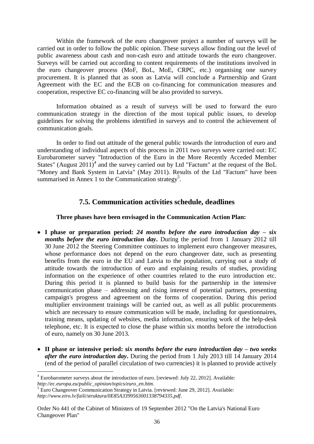Within the framework of the euro changeover project a number of surveys will be carried out in order to follow the public opinion. These surveys allow finding out the level of public awareness about cash and non-cash euro and attitude towards the euro changeover. Surveys will be carried out according to content requirements of the institutions involved in the euro changeover process (MoF, BoL, MoE, CRPC, etc.) organising one survey procurement. It is planned that as soon as Latvia will conclude a Partnership and Grant Agreement with the EC and the ECB on co-financing for communication measures and cooperation, respective EC co-financing will be also provided to surveys.

Information obtained as a result of surveys will be used to forward the euro communication strategy in the direction of the most topical public issues, to develop guidelines for solving the problems identified in surveys and to control the achievement of communication goals.

In order to find out attitude of the general public towards the introduction of euro and understanding of individual aspects of this process in 2011 two surveys were carried out: EC Eurobarometer survey "Introduction of the Euro in the More Recently Acceded Member States" (August  $2011$ )<sup>4</sup> and the survey carried out by Ltd "Factum" at the request of the BoL "Money and Bank System in Latvia" (May 2011). Results of the Ltd "Factum" have been summarised in Annex 1 to the Communication strategy<sup>5</sup>.

# **7.5. Communication activities schedule, deadlines**

# <span id="page-35-0"></span>**Three phases have been envisaged in the Communication Action Plan:**

- **I phase or preparation period:** *24 months before the euro introduction day – six months before the euro introduction day*. During the period from 1 January 2012 till 30 June 2012 the Steering Committee continues to implement euro changeover measures, whose performance does not depend on the euro changeover date, such as presenting benefits from the euro in the EU and Latvia to the population, carrying out a study of attitude towards the introduction of euro and explaining results of studies, providing information on the experience of other countries related to the euro introduction etc. During this period it is planned to build basis for the partnership in the intensive communication phase – addressing and rising interest of potential partners, presenting campaign's progress and agreement on the forms of cooperation. During this period multiplier environment trainings will be carried out, as well as all public procurements which are necessary to ensure communication will be made, including for questionnaires, training means, updating of websites, media information, ensuring work of the help-desk telephone, etc. It is expected to close the phase within six months before the introduction of euro, namely on 30 June 2013.
- **II phase or intensive period:** *six months before the euro introduction day – two weeks after the euro introduction day***.** During the period from 1 July 2013 till 14 January 2014 (end of the period of parallel circulation of two currencies) it is planned to provide actively

 $\overline{a}$ 

<sup>&</sup>lt;sup>4</sup> Eurobarometer surveys about the introduction of euro. [reviewed: July 22, 2012]. Available: *http://ec.europa.eu/public\_opinion/topics/euro\_en.htm*.

<sup>&</sup>lt;sup>5</sup> Euro Changeover Communication Strategy in Latvia. [reviewed: June 29, 2012]. Available: *http://www.eiro.lv/faili/struktura/0E85A3399563001338794335.pdf*.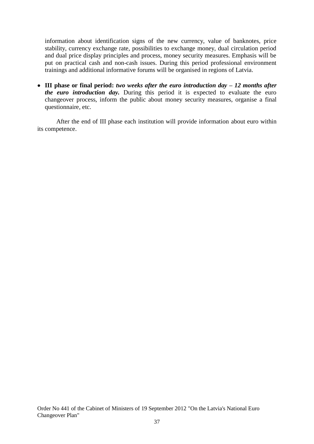information about identification signs of the new currency, value of banknotes, price stability, currency exchange rate, possibilities to exchange money, dual circulation period and dual price display principles and process, money security measures. Emphasis will be put on practical cash and non-cash issues. During this period professional environment trainings and additional informative forums will be organised in regions of Latvia.

**III phase or final period:** *two weeks after the euro introduction day – 12 months after the euro introduction day.* During this period it is expected to evaluate the euro changeover process, inform the public about money security measures, organise a final questionnaire, etc.

After the end of III phase each institution will provide information about euro within its competence.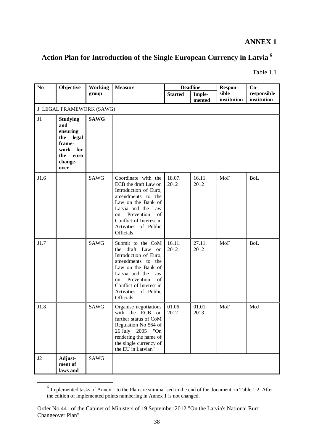## **ANNEX 1**

# **Action Plan for Introduction of the Single European Currency in Latvia <sup>6</sup>**

Table 1.1

| $\overline{No}$ | Objective                                                                                                  | Working     | <b>Measure</b>                                                                                                                                                                                                                  |                | <b>Deadline</b>  | $Co-$<br>Respon-     |                            |
|-----------------|------------------------------------------------------------------------------------------------------------|-------------|---------------------------------------------------------------------------------------------------------------------------------------------------------------------------------------------------------------------------------|----------------|------------------|----------------------|----------------------------|
|                 |                                                                                                            | group       |                                                                                                                                                                                                                                 | <b>Started</b> | Imple-<br>mented | sible<br>institution | responsible<br>institution |
|                 | J. LEGAL FRAMEWORK (SAWG)                                                                                  |             |                                                                                                                                                                                                                                 |                |                  |                      |                            |
| J1              | <b>Studying</b><br>and<br>ensuring<br>the legal<br>frame-<br>for<br>work<br>the<br>euro<br>change-<br>over | <b>SAWG</b> |                                                                                                                                                                                                                                 |                |                  |                      |                            |
| J1.6            |                                                                                                            | <b>SAWG</b> | Coordinate with the<br>ECB the draft Law on<br>Introduction of Euro,<br>amendments to the<br>Law on the Bank of<br>Latvia and the Law<br>Prevention<br>of<br>on<br>Conflict of Interest in<br>Activities of Public<br>Officials | 18.07.<br>2012 | 16.11.<br>2012   | MoF                  | BoL                        |
| J1.7            |                                                                                                            | <b>SAWG</b> | Submit to the CoM<br>the draft Law on<br>Introduction of Euro,<br>amendments to the<br>Law on the Bank of<br>Latvia and the Law<br>Prevention<br>of<br>on<br>Conflict of Interest in<br>Activities of Public<br>Officials       | 16.11.<br>2012 | 27.11.<br>2012   | MoF                  | <b>BoL</b>                 |
| J1.8            |                                                                                                            | <b>SAWG</b> | Organise negotiations<br>with the ECB on<br>further status of CoM<br>Regulation No 564 of<br>26 July 2005<br>"On<br>rendering the name of<br>the single currency of<br>the EU in Latvian"                                       | 01.06.<br>2012 | 01.01.<br>2013   | MoF                  | MoJ                        |
| J2              | Adjust-<br>ment of<br>laws and                                                                             | <b>SAWG</b> |                                                                                                                                                                                                                                 |                |                  |                      |                            |

<sup>&</sup>lt;sup>6</sup> Implemented tasks of Annex 1 to the Plan are summarised in the end of the document, in Table 1.2. After the edition of implemented points numbering in Annex 1 is not changed.

 $\overline{a}$ 

Order No 441 of the Cabinet of Ministers of 19 September 2012 "On the Latvia's National Euro Changeover Plan"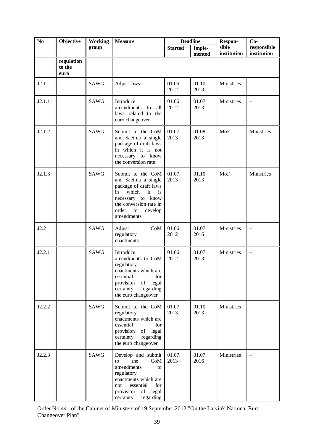| N <sub>0</sub> | Objective                    | <b>Working</b> | <b>Measure</b>                                                                                                                                                                      |                | <b>Deadline</b>  | Respon-              | $Co-$                      |
|----------------|------------------------------|----------------|-------------------------------------------------------------------------------------------------------------------------------------------------------------------------------------|----------------|------------------|----------------------|----------------------------|
|                |                              | group          |                                                                                                                                                                                     | <b>Started</b> | Imple-<br>mented | sible<br>institution | responsible<br>institution |
|                | regulation<br>to the<br>euro |                |                                                                                                                                                                                     |                |                  |                      |                            |
| J2.1           |                              | <b>SAWG</b>    | Adjust laws                                                                                                                                                                         | 01.06.<br>2012 | 01.10.<br>2013   | Ministries           |                            |
| J2.1.1         |                              | <b>SAWG</b>    | Introduce<br>amendments<br>all<br>to<br>laws related to<br>the<br>euro changeover                                                                                                   | 01.06.<br>2012 | 01.07.<br>2013   | Ministries           | $\overline{\phantom{0}}$   |
| J2.1.2         |                              | <b>SAWG</b>    | Submit to the CoM<br>and Saeima a single<br>package of draft laws<br>in which it is not<br>necessary to know<br>the conversion rate                                                 | 01.07.<br>2013 | 01.08.<br>2013   | <b>MoF</b>           | Ministries                 |
| J2.1.3         |                              | <b>SAWG</b>    | Submit to the CoM<br>and Saeima a single<br>package of draft laws<br>which<br>it<br>in<br>is<br>necessary to know<br>the conversion rate in<br>order<br>to<br>develop<br>amendments | 01.07.<br>2013 | 01.10.<br>2013   | MoF                  | Ministries                 |
| J2.2           |                              | <b>SAWG</b>    | CoM<br>Adjust<br>regulatory<br>enactments                                                                                                                                           | 01.06.<br>2012 | 01.07.<br>2016   | Ministries           |                            |
| J2.2.1         |                              | <b>SAWG</b>    | Introduce<br>amendments to CoM<br>regulatory<br>enactments which are<br>essential<br>for<br>legal<br>provision<br>of<br>regarding<br>certainty<br>the euro changeover               | 01.06.<br>2012 | 01.07.<br>2013   | Ministries           |                            |
| J2.2.2         |                              | <b>SAWG</b>    | Submit to the CoM<br>regulatory<br>enactments which are<br>essential<br>for<br>provision<br>of legal<br>certainty<br>regarding<br>the euro changeover                               | 01.07.<br>2013 | 01.10.<br>2013   | <b>Ministries</b>    |                            |
| J2.2.3         |                              | <b>SAWG</b>    | Develop and submit<br>the<br>CoM<br>to<br>amendments<br>to<br>regulatory<br>enactments which are<br>essential<br>for<br>not<br>of legal<br>provision<br>regarding<br>certainty      | 01.07.<br>2013 | 01.07.<br>2016   | Ministries           |                            |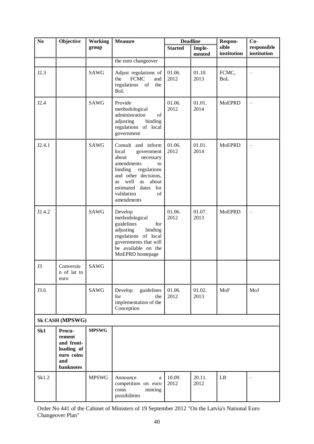| N <sub>0</sub> | Objective                                                                             | <b>Working</b> | <b>Measure</b>                                                                                                                                                                                                                 |                | <b>Deadline</b>  | Respon-                | $Co-$                      |
|----------------|---------------------------------------------------------------------------------------|----------------|--------------------------------------------------------------------------------------------------------------------------------------------------------------------------------------------------------------------------------|----------------|------------------|------------------------|----------------------------|
|                |                                                                                       | group          |                                                                                                                                                                                                                                | <b>Started</b> | Imple-<br>mented | sible<br>institution   | responsible<br>institution |
|                |                                                                                       |                | the euro changeover                                                                                                                                                                                                            |                |                  |                        |                            |
| J2.3           |                                                                                       | <b>SAWG</b>    | Adjust regulations of<br><b>FCMC</b><br>the<br>and<br>regulations of<br>the<br><b>BoL</b>                                                                                                                                      | 01.06.<br>2012 | 01.10.<br>2013   | FCMC,<br><b>BoL</b>    |                            |
| J2.4           |                                                                                       | <b>SAWG</b>    | Provide<br>methodological<br>administration<br>of<br>binding<br>adjusting<br>regulations of local<br>government                                                                                                                | 01.06.<br>2012 | 01.01.<br>2014   | <b>MoEPRD</b>          |                            |
| J2.4.1         |                                                                                       | <b>SAWG</b>    | Consult and inform<br>local<br>government<br>about<br>necessary<br>amendments<br>to<br>binding<br>regulations<br>and other decisions,<br>well<br>as<br>about<br>as<br>estimated dates<br>for<br>validation<br>of<br>amendments | 01.06.<br>2012 | 01.01.<br>2014   | <b>MoEPRD</b>          |                            |
| J2.4.2         |                                                                                       | <b>SAWG</b>    | Develop<br>methodological<br>guidelines<br>for<br>adjusting<br>binding<br>regulations of local<br>governments that will<br>be available on the<br>MoEPRD homepage                                                              | 01.06.<br>2012 | 01.07.<br>2013   | <b>MoEPRD</b>          |                            |
| J3             | Conversio<br>n of lat to<br>euro                                                      | <b>SAWG</b>    |                                                                                                                                                                                                                                |                |                  |                        |                            |
| J3.6           |                                                                                       | SAWG           | guidelines<br>Develop<br>for<br>the<br>implementation of the<br>Conception                                                                                                                                                     | 01.06.<br>2012 | 01.02.<br>2013   | <b>MoF</b>             | MoJ                        |
|                | Sk CASH (MPSWG)                                                                       |                |                                                                                                                                                                                                                                |                |                  |                        |                            |
| Sk1            | Procu-<br>rement<br>and front-<br>loading of<br>euro coins<br>and<br><b>banknotes</b> | <b>MPSWG</b>   |                                                                                                                                                                                                                                |                |                  |                        |                            |
| Sk1.2          |                                                                                       | <b>MPSWG</b>   | Announce<br>a<br>competition on euro<br>coins<br>minting<br>possibilities                                                                                                                                                      | 10.09.<br>2012 | 20.11.<br>2012   | $\mathbf{L}\mathbf{B}$ |                            |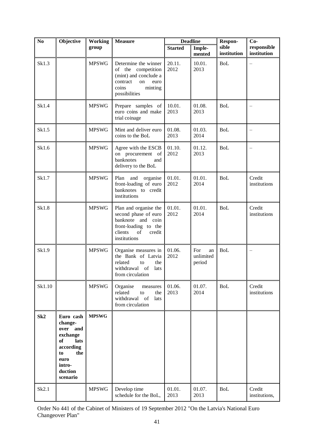| N <sub>0</sub>  | Objective                                                                                                                     | <b>Working</b> | <b>Measure</b>                                                                                                                           |                | <b>Deadline</b>                  | <b>Respon-</b>       | $Co-$                      |
|-----------------|-------------------------------------------------------------------------------------------------------------------------------|----------------|------------------------------------------------------------------------------------------------------------------------------------------|----------------|----------------------------------|----------------------|----------------------------|
|                 |                                                                                                                               | group          |                                                                                                                                          | <b>Started</b> | Imple-<br>mented                 | sible<br>institution | responsible<br>institution |
| Sk1.3           |                                                                                                                               | <b>MPSWG</b>   | Determine the winner<br>of the competition<br>(mint) and conclude a<br>contract<br>on<br>euro<br>coins<br>minting<br>possibilities       | 20.11.<br>2012 | 10.01.<br>2013                   | <b>BoL</b>           | $\overline{\phantom{0}}$   |
| Sk1.4           |                                                                                                                               | <b>MPSWG</b>   | Prepare samples of<br>euro coins and make<br>trial coinage                                                                               | 10.01.<br>2013 | 01.08.<br>2013                   | <b>BoL</b>           |                            |
| Sk1.5           |                                                                                                                               | <b>MPSWG</b>   | Mint and deliver euro<br>coins to the BoL                                                                                                | 01.08.<br>2013 | 01.03.<br>2014                   | <b>BoL</b>           |                            |
| Sk1.6           |                                                                                                                               | <b>MPSWG</b>   | Agree with the ESCB<br>on procurement<br>of<br>banknotes<br>and<br>delivery to the BoL                                                   | 01.10.<br>2012 | 01.12.<br>2013                   | <b>BoL</b>           |                            |
| Sk1.7           |                                                                                                                               | <b>MPSWG</b>   | Plan<br>and<br>organise<br>front-loading of euro<br>banknotes to credit<br>institutions                                                  | 01.01.<br>2012 | 01.01.<br>2014                   | <b>BoL</b>           | Credit<br>institutions     |
| Sk1.8           |                                                                                                                               | <b>MPSWG</b>   | Plan and organise the<br>second phase of euro<br>banknote and<br>coin<br>front-loading to the<br>clients<br>of<br>credit<br>institutions | 01.01.<br>2012 | 01.01.<br>2014                   | <b>BoL</b>           | Credit<br>institutions     |
| Sk1.9           |                                                                                                                               | <b>MPSWG</b>   | Organise measures in<br>the Bank of Latvia<br>related<br>the<br>to<br>withdrawal of<br>lats<br>from circulation                          | 01.06.<br>2012 | For<br>an<br>unlimited<br>period | <b>BoL</b>           |                            |
| Sk1.10          |                                                                                                                               | <b>MPSWG</b>   | Organise<br>measures<br>related<br>the<br>to<br>withdrawal of<br>lats<br>from circulation                                                | 01.06.<br>2013 | 01.07.<br>2014                   | <b>BoL</b>           | Credit<br>institutions     |
| Sk <sub>2</sub> | Euro cash<br>change-<br>over and<br>exchange<br>of<br>lats<br>according<br>the<br>to<br>euro<br>intro-<br>duction<br>scenario | <b>MPSWG</b>   |                                                                                                                                          |                |                                  |                      |                            |
| Sk2.1           |                                                                                                                               | <b>MPSWG</b>   | Develop time<br>schedule for the BoL,                                                                                                    | 01.01.<br>2013 | 01.07.<br>2013                   | <b>BoL</b>           | Credit<br>institutions,    |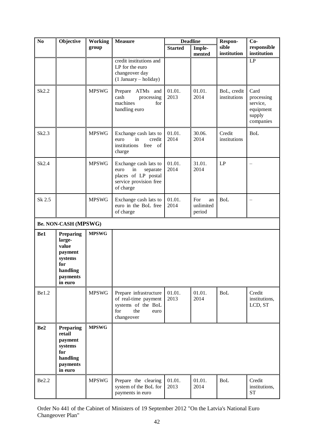| N <sub>0</sub>  | Objective                                                                                    | <b>Working</b> | <b>Measure</b>                                                                                                |                | <b>Deadline</b>                  | Respon-                     | $Co-$                                                              |
|-----------------|----------------------------------------------------------------------------------------------|----------------|---------------------------------------------------------------------------------------------------------------|----------------|----------------------------------|-----------------------------|--------------------------------------------------------------------|
|                 |                                                                                              | group          |                                                                                                               | <b>Started</b> | Imple-<br>mented                 | sible<br>institution        | responsible<br>institution                                         |
|                 |                                                                                              |                | credit institutions and<br>LP for the euro<br>changeover day<br>(1 January – holiday)                         |                |                                  |                             | LP                                                                 |
| Sk2.2           |                                                                                              | <b>MPSWG</b>   | Prepare ATMs and<br>cash<br>processing<br>machines<br>for<br>handling euro                                    | 01.01.<br>2013 | 01.01.<br>2014                   | BoL, credit<br>institutions | Card<br>processing<br>service,<br>equipment<br>supply<br>companies |
| Sk2.3           |                                                                                              | <b>MPSWG</b>   | Exchange cash lats to<br>in<br>credit<br>euro<br>free of<br>institutions<br>charge                            | 01.01.<br>2014 | 30.06.<br>2014                   | Credit<br>institutions      | <b>BoL</b>                                                         |
| Sk2.4           |                                                                                              | <b>MPSWG</b>   | Exchange cash lats to<br>in<br>separate<br>euro<br>places of LP postal<br>service provision free<br>of charge | 01.01.<br>2014 | 31.01.<br>2014                   | LP                          |                                                                    |
| Sk 2.5          |                                                                                              | <b>MPSWG</b>   | Exchange cash lats to<br>euro in the BoL free<br>of charge                                                    | 01.01.<br>2014 | For<br>an<br>unlimited<br>period | <b>BoL</b>                  |                                                                    |
|                 | <b>Be. NON-CASH (MPSWG)</b>                                                                  |                |                                                                                                               |                |                                  |                             |                                                                    |
| Be1             | Preparing<br>large-<br>value<br>payment<br>systems<br>for<br>handling<br>payments<br>in euro | <b>MPSWG</b>   |                                                                                                               |                |                                  |                             |                                                                    |
| Be1.2           |                                                                                              | <b>MPSWG</b>   | Prepare infrastructure<br>of real-time payment<br>systems of the BoL<br>the<br>for<br>euro<br>changeover      | 01.01.<br>2013 | 01.01.<br>2014                   | <b>BoL</b>                  | Credit<br>institutions,<br>LCD, ST                                 |
| Be <sub>2</sub> | Preparing<br>retail<br>payment<br>systems<br>for<br>handling<br>payments<br>in euro          | <b>MPSWG</b>   |                                                                                                               |                |                                  |                             |                                                                    |
| Be2.2           |                                                                                              | <b>MPSWG</b>   | Prepare the clearing<br>system of the BoL for<br>payments in euro                                             | 01.01.<br>2013 | 01.01.<br>2014                   | <b>BoL</b>                  | Credit<br>institutions,<br><b>ST</b>                               |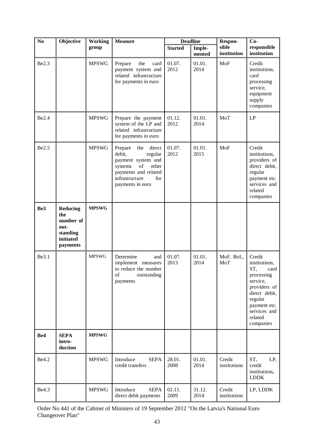| N <sub>0</sub>  | Objective                                                                        | <b>Working</b> | <b>Measure</b>                                                                                                                                                     |                | <b>Deadline</b>  | Respon-                | $Co-$                                                                                                                                                                |
|-----------------|----------------------------------------------------------------------------------|----------------|--------------------------------------------------------------------------------------------------------------------------------------------------------------------|----------------|------------------|------------------------|----------------------------------------------------------------------------------------------------------------------------------------------------------------------|
|                 |                                                                                  | group          |                                                                                                                                                                    | <b>Started</b> | Imple-<br>mented | sible<br>institution   | responsible<br>institution                                                                                                                                           |
| Be2.3           |                                                                                  | <b>MPSWG</b>   | Prepare<br>the<br>card<br>payment system and<br>related infrastructure<br>for payments in euro                                                                     | 01.07.<br>2012 | 01.01.<br>2014   | MoF                    | Credit<br>institutions,<br>card<br>processing<br>service,<br>equipment<br>supply<br>companies                                                                        |
| Be2.4           |                                                                                  | <b>MPSWG</b>   | Prepare the payment<br>system of the LP and<br>related infrastructure<br>for payments in euro                                                                      | 01.12.<br>2012 | 01.01.<br>2014   | MoT                    | LP                                                                                                                                                                   |
| Be2.5           |                                                                                  | <b>MPSWG</b>   | Prepare<br>the<br>direct<br>debit,<br>regular<br>payment system and<br>of<br>other<br>systems<br>payments and related<br>infrastructure<br>for<br>payments in euro | 01.07.<br>2012 | 01.01.<br>2015   | MoF                    | Credit<br>institutions,<br>providers of<br>direct debit,<br>regular<br>payment etc.<br>services and<br>related<br>companies                                          |
| Be3             | <b>Reducing</b><br>the<br>number of<br>out-<br>standing<br>initiated<br>payments | <b>MPSWG</b>   |                                                                                                                                                                    |                |                  |                        |                                                                                                                                                                      |
| Be3.1           |                                                                                  | <b>MPSWG</b>   | Determine<br>and<br>implement measures<br>to reduce the number<br>of<br>outstanding<br>payments                                                                    | 01.07.<br>2013 | 01.01.<br>2014   | MoF, BoL,<br>MoT       | Credit<br>institutions,<br>ST,<br>card<br>processing<br>service,<br>providers of<br>direct debit,<br>regular<br>payment etc.<br>services and<br>related<br>companies |
| Be <sub>4</sub> | <b>SEPA</b><br>intro-<br>duction                                                 | <b>MPSWG</b>   |                                                                                                                                                                    |                |                  |                        |                                                                                                                                                                      |
| Be4.2           |                                                                                  | <b>MPSWG</b>   | Introduce<br><b>SEPA</b><br>credit transfers                                                                                                                       | 28.01.<br>2008 | 01.01.<br>2014   | Credit<br>institutions | ST,<br>LP,<br>credit<br>institutions,<br><b>LDDK</b>                                                                                                                 |
| Be4.3           |                                                                                  | <b>MPSWG</b>   | Introduce<br><b>SEPA</b><br>direct debit payments                                                                                                                  | 02.11.<br>2009 | 31.12.<br>2014   | Credit<br>institutions | LP, LDDK                                                                                                                                                             |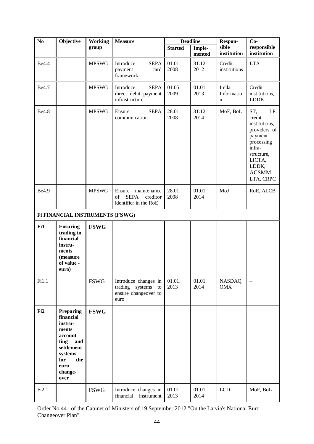| N <sub>o</sub> | Objective                                                                                                                                      | <b>Working</b><br>group | <b>Measure</b>                                                                  | <b>Started</b> | <b>Deadline</b><br>Imple- | Respon-<br>sible            | $Co-$<br>responsible                                                                                                                             |
|----------------|------------------------------------------------------------------------------------------------------------------------------------------------|-------------------------|---------------------------------------------------------------------------------|----------------|---------------------------|-----------------------------|--------------------------------------------------------------------------------------------------------------------------------------------------|
|                |                                                                                                                                                |                         |                                                                                 |                | mented                    | institution                 | institution                                                                                                                                      |
| Be4.4          |                                                                                                                                                | <b>MPSWG</b>            | Introduce<br><b>SEPA</b><br>payment<br>card<br>framework                        | 01.01.<br>2008 | 31.12.<br>2012            | Credit<br>institutions      | <b>LTA</b>                                                                                                                                       |
| Be4.7          |                                                                                                                                                | <b>MPSWG</b>            | Introduce<br><b>SEPA</b><br>direct debit payment<br>infrastructure              | 01.05.<br>2009 | 01.01.<br>2013            | Itella<br>Informatio<br>n   | Credit<br>institutions,<br><b>LDDK</b>                                                                                                           |
| Be4.8          |                                                                                                                                                | <b>MPSWG</b>            | <b>SEPA</b><br>Ensure<br>communication                                          | 28.01.<br>2008 | 31.12.<br>2014            | MoF, BoL                    | ST,<br>LP,<br>credit<br>institutions,<br>providers of<br>payment<br>processing<br>infra-<br>structure,<br>LICTA,<br>LDDK,<br>ACSMM,<br>LTA, CRPC |
| Be4.9          |                                                                                                                                                | <b>MPSWG</b>            | maintenance<br>Ensure<br>of<br><b>SEPA</b><br>creditor<br>identifier in the RoE | 28.01.<br>2008 | 01.01.<br>2014            | MoJ                         | RoE, ALCB                                                                                                                                        |
|                | Fi FINANCIAL INSTRUMENTS (FSWG)                                                                                                                |                         |                                                                                 |                |                           |                             |                                                                                                                                                  |
| Fi1            | <b>Ensuring</b><br>trading in<br>financial<br>instru-<br>ments<br>(measure<br>of value -<br>euro)                                              | <b>FSWG</b>             |                                                                                 |                |                           |                             |                                                                                                                                                  |
| Fi1.1          |                                                                                                                                                | <b>FSWG</b>             | Introduce changes in<br>trading systems<br>to<br>ensure changeover to<br>euro   | 01.01.<br>2013 | 01.01.<br>2014            | <b>NASDAQ</b><br><b>OMX</b> |                                                                                                                                                  |
| Fi2            | <b>Preparing</b><br>financial<br>instru-<br>ments<br>account-<br>ting<br>and<br>settlement<br>systems<br>for<br>the<br>euro<br>change-<br>over | <b>FSWG</b>             |                                                                                 |                |                           |                             |                                                                                                                                                  |
| Fi2.1          |                                                                                                                                                | <b>FSWG</b>             | Introduce changes in<br>financial<br>instrument                                 | 01.01.<br>2013 | 01.01.<br>2014            | <b>LCD</b>                  | MoF, BoL                                                                                                                                         |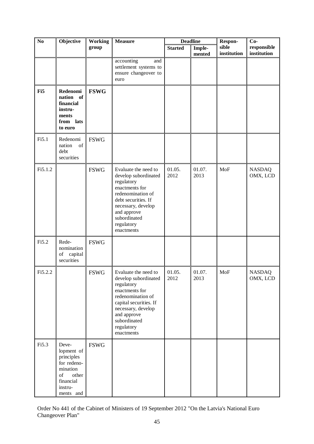| N <sub>o</sub>  | Objective                                                                                                        | Working     | <b>Measure</b>                                                                                                                                                                                               |                | <b>Deadline</b> | Respon-     | $Co-$                     |
|-----------------|------------------------------------------------------------------------------------------------------------------|-------------|--------------------------------------------------------------------------------------------------------------------------------------------------------------------------------------------------------------|----------------|-----------------|-------------|---------------------------|
|                 |                                                                                                                  | group       |                                                                                                                                                                                                              | <b>Started</b> | Imple-          | sible       | responsible               |
|                 |                                                                                                                  |             |                                                                                                                                                                                                              |                | mented          | institution | institution               |
|                 |                                                                                                                  |             | accounting<br>and                                                                                                                                                                                            |                |                 |             |                           |
|                 |                                                                                                                  |             | settlement systems to<br>ensure changeover to                                                                                                                                                                |                |                 |             |                           |
|                 |                                                                                                                  |             | euro                                                                                                                                                                                                         |                |                 |             |                           |
|                 |                                                                                                                  |             |                                                                                                                                                                                                              |                |                 |             |                           |
| F <sub>i5</sub> | Redenomi<br>nation of<br>financial<br>instru-<br>ments<br>from lats<br>to euro                                   | <b>FSWG</b> |                                                                                                                                                                                                              |                |                 |             |                           |
| Fi5.1           | Redenomi<br>of<br>nation<br>debt<br>securities                                                                   | <b>FSWG</b> |                                                                                                                                                                                                              |                |                 |             |                           |
| Fi5.1.2         |                                                                                                                  | <b>FSWG</b> | Evaluate the need to<br>develop subordinated<br>regulatory<br>enactments for<br>redenomination of<br>debt securities. If<br>necessary, develop<br>and approve<br>subordinated<br>regulatory<br>enactments    | 01.05.<br>2012 | 01.07.<br>2013  | MoF         | <b>NASDAQ</b><br>OMX, LCD |
| Fi5.2           | Rede-<br>nomination<br>capital<br>of<br>securities                                                               | <b>FSWG</b> |                                                                                                                                                                                                              |                |                 |             |                           |
| Fi5.2.2         |                                                                                                                  | <b>FSWG</b> | Evaluate the need to<br>develop subordinated<br>regulatory<br>enactments for<br>redenomination of<br>capital securities. If<br>necessary, develop<br>and approve<br>subordinated<br>regulatory<br>enactments | 01.05.<br>2012 | 01.07.<br>2013  | MoF         | <b>NASDAQ</b><br>OMX, LCD |
| Fi5.3           | Deve-<br>lopment of<br>principles<br>for redeno-<br>mination<br>other<br>of<br>financial<br>instru-<br>ments and | <b>FSWG</b> |                                                                                                                                                                                                              |                |                 |             |                           |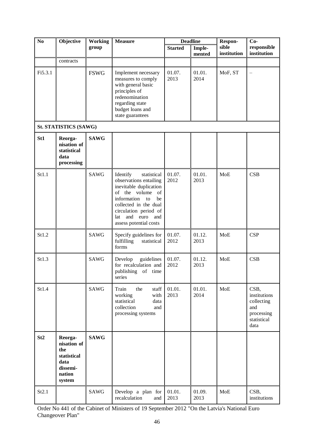| No      | Objective                                                                            | <b>Working</b> | <b>Measure</b>                                                                                                                                                                                                                      |                | <b>Deadline</b>  | Respon-              | $Co-$                                                                          |
|---------|--------------------------------------------------------------------------------------|----------------|-------------------------------------------------------------------------------------------------------------------------------------------------------------------------------------------------------------------------------------|----------------|------------------|----------------------|--------------------------------------------------------------------------------|
|         |                                                                                      | group          |                                                                                                                                                                                                                                     | <b>Started</b> | Imple-<br>mented | sible<br>institution | responsible<br>institution                                                     |
|         | contracts                                                                            |                |                                                                                                                                                                                                                                     |                |                  |                      |                                                                                |
| Fi5.3.1 |                                                                                      | <b>FSWG</b>    | Implement necessary<br>measures to comply<br>with general basic<br>principles of<br>redenomination<br>regarding state<br>budget loans and<br>state guarantees                                                                       | 01.07.<br>2013 | 01.01.<br>2014   | MoF, ST              |                                                                                |
|         | <b>St. STATISTICS (SAWG)</b>                                                         |                |                                                                                                                                                                                                                                     |                |                  |                      |                                                                                |
| St1     | Reorga-<br>nisation of<br>statistical<br>data<br>processing                          | <b>SAWG</b>    |                                                                                                                                                                                                                                     |                |                  |                      |                                                                                |
| St1.1   |                                                                                      | <b>SAWG</b>    | Identify<br>statistical<br>observations entailing<br>inevitable duplication<br>of the volume<br>of<br>information<br>be<br>to<br>collected in the dual<br>circulation period of<br>and euro<br>and<br>lat<br>assess potential costs | 01.07.<br>2012 | 01.01.<br>2013   | MoE                  | <b>CSB</b>                                                                     |
| St1.2   |                                                                                      | <b>SAWG</b>    | Specify guidelines for<br>fulfilling<br>statistical<br>forms                                                                                                                                                                        | 01.07.<br>2012 | 01.12.<br>2013   | MoE                  | <b>CSP</b>                                                                     |
| St1.3   |                                                                                      | <b>SAWG</b>    | guidelines<br>Develop<br>for recalculation and<br>publishing of time<br>series                                                                                                                                                      | 01.07.<br>2012 | 01.12.<br>2013   | <b>MoE</b>           | CSB                                                                            |
| St1.4   |                                                                                      | <b>SAWG</b>    | Train<br>the<br>staff<br>working<br>with<br>statistical<br>data<br>collection<br>and<br>processing systems                                                                                                                          | 01.01.<br>2013 | 01.01.<br>2014   | MoE                  | CSB,<br>institutions<br>collecting<br>and<br>processing<br>statistical<br>data |
| St2     | Reorga-<br>nisation of<br>the<br>statistical<br>data<br>dissemi-<br>nation<br>system | <b>SAWG</b>    |                                                                                                                                                                                                                                     |                |                  |                      |                                                                                |
| St2.1   |                                                                                      | <b>SAWG</b>    | Develop a plan for<br>recalculation<br>and                                                                                                                                                                                          | 01.01.<br>2013 | 01.09.<br>2013   | MoE                  | CSB,<br>institutions                                                           |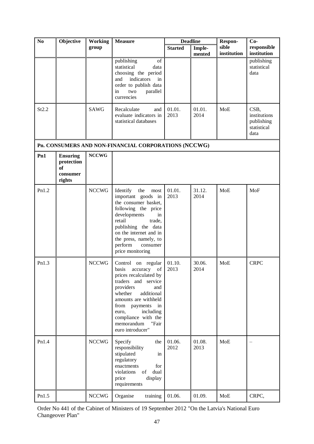| N <sub>0</sub> | Objective                                                        | <b>Working</b> | <b>Measure</b>                                                                                                                                                                                                                                                                              |                | <b>Deadline</b>  | Respon-              | $Co-$                                                     |
|----------------|------------------------------------------------------------------|----------------|---------------------------------------------------------------------------------------------------------------------------------------------------------------------------------------------------------------------------------------------------------------------------------------------|----------------|------------------|----------------------|-----------------------------------------------------------|
|                |                                                                  | group          |                                                                                                                                                                                                                                                                                             | <b>Started</b> | Imple-<br>mented | sible<br>institution | responsible<br>institution                                |
|                |                                                                  |                | publishing<br>of<br>statistical<br>data<br>choosing the period<br>indicators<br>and<br>in<br>order to publish data<br>parallel<br>two<br>in<br>currencies                                                                                                                                   |                |                  |                      | publishing<br>statistical<br>data                         |
| St2.2          |                                                                  | <b>SAWG</b>    | Recalculate<br>and<br>evaluate indicators in<br>statistical databases                                                                                                                                                                                                                       | 01.01.<br>2013 | 01.01.<br>2014   | <b>MoE</b>           | CSB,<br>institutions<br>publishing<br>statistical<br>data |
|                |                                                                  |                | Pn. CONSUMERS AND NON-FINANCIAL CORPORATIONS (NCCWG)                                                                                                                                                                                                                                        |                |                  |                      |                                                           |
| Pn1            | <b>Ensuring</b><br>protection<br><b>of</b><br>consumer<br>rights | <b>NCCWG</b>   |                                                                                                                                                                                                                                                                                             |                |                  |                      |                                                           |
| Pn1.2          |                                                                  | <b>NCCWG</b>   | Identify<br>the<br>most<br>important goods in<br>the consumer basket,<br>following the price<br>developments<br>in<br>retail<br>trade,<br>publishing the data<br>on the internet and in<br>the press, namely, to<br>perform<br>consumer<br>price monitoring                                 | 01.01.<br>2013 | 31.12.<br>2014   | MoE                  | MoF                                                       |
| Pn1.3          |                                                                  | <b>NCCWG</b>   | Control<br>on regular<br>basis<br>accuracy<br>of<br>prices recalculated by<br>traders and<br>service<br>providers<br>and<br>whether<br>additional<br>amounts are withheld<br>from<br>payments<br>in<br>including<br>euro,<br>compliance with the<br>memorandum<br>"Fair<br>euro introducer" | 01.10.<br>2013 | 30.06.<br>2014   | <b>MoE</b>           | <b>CRPC</b>                                               |
| Pn1.4          |                                                                  | <b>NCCWG</b>   | Specify<br>the<br>responsibility<br>stipulated<br>in<br>regulatory<br>enactments<br>for<br>of<br>violations<br>dual<br>price<br>display<br>requirements                                                                                                                                     | 01.06.<br>2012 | 01.08.<br>2013   | MoE                  |                                                           |
| Pn1.5          |                                                                  | $\sf{NCCWG}$   | Organise<br>training                                                                                                                                                                                                                                                                        | 01.06.         | 01.09.           | MoE                  | CRPC,                                                     |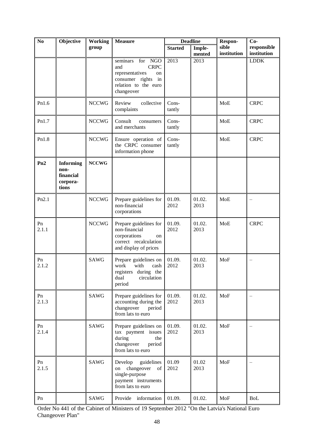| N <sub>0</sub> | Objective                                                  | <b>Working</b> | <b>Measure</b>                                                                                                                              |                 | <b>Deadline</b>  | Respon-              | $Co-$                      |
|----------------|------------------------------------------------------------|----------------|---------------------------------------------------------------------------------------------------------------------------------------------|-----------------|------------------|----------------------|----------------------------|
|                |                                                            | group          |                                                                                                                                             | <b>Started</b>  | Imple-<br>mented | sible<br>institution | responsible<br>institution |
|                |                                                            |                | <b>NGO</b><br>seminars<br>for<br><b>CRPC</b><br>and<br>representatives<br>on<br>consumer rights<br>in<br>relation to the euro<br>changeover | 2013            | 2013             |                      | <b>LDDK</b>                |
| Pn1.6          |                                                            | <b>NCCWG</b>   | Review<br>collective<br>complaints                                                                                                          | Cons-<br>tantly |                  | <b>MoE</b>           | <b>CRPC</b>                |
| Pn1.7          |                                                            | <b>NCCWG</b>   | Consult<br>consumers<br>and merchants                                                                                                       | Cons-<br>tantly |                  | <b>MoE</b>           | <b>CRPC</b>                |
| Pn1.8          |                                                            | <b>NCCWG</b>   | Ensure operation of<br>the CRPC consumer<br>information phone                                                                               | Cons-<br>tantly |                  | <b>MoE</b>           | <b>CRPC</b>                |
| Pn2            | <b>Informing</b><br>non-<br>financial<br>corpora-<br>tions | <b>NCCWG</b>   |                                                                                                                                             |                 |                  |                      |                            |
| Pn2.1          |                                                            | <b>NCCWG</b>   | Prepare guidelines for<br>non-financial<br>corporations                                                                                     | 01.09.<br>2012  | 01.02.<br>2013   | <b>MoE</b>           |                            |
| Pn<br>2.1.1    |                                                            | <b>NCCWG</b>   | Prepare guidelines for<br>non-financial<br>corporations<br>on<br>correct recalculation<br>and display of prices                             | 01.09.<br>2012  | 01.02.<br>2013   | MoE                  | <b>CRPC</b>                |
| Pn<br>2.1.2    |                                                            | <b>SAWG</b>    | Prepare guidelines on<br>work<br>with<br>cash<br>registers during the<br>circulation<br>dual<br>period                                      | 01.09.<br>2012  | 01.02.<br>2013   | MoF                  |                            |
| Pn<br>2.1.3    |                                                            | <b>SAWG</b>    | Prepare guidelines for<br>accounting during the<br>changeover<br>period<br>from lats to euro                                                | 01.09.<br>2012  | 01.02.<br>2013   | MoF                  |                            |
| Pn<br>2.1.4    |                                                            | <b>SAWG</b>    | Prepare guidelines on<br>tax payment issues<br>during<br>the<br>changeover<br>period<br>from lats to euro                                   | 01.09.<br>2012  | 01.02.<br>2013   | MoF                  |                            |
| Pn<br>2.1.5    |                                                            | <b>SAWG</b>    | Develop<br>guidelines<br>on changeover of<br>single-purpose<br>payment instruments<br>from lats to euro                                     | 01.09<br>2012   | 01.02<br>2013    | <b>MoF</b>           |                            |
| Pn             |                                                            | SAWG           | Provide information                                                                                                                         | 01.09.          | 01.02.           | MoF                  | <b>BoL</b>                 |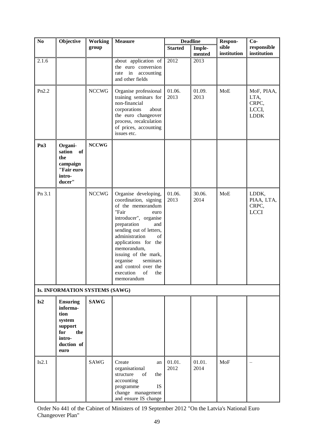| No              | Objective                                                                                              | <b>Working</b> | <b>Measure</b>                                                                                                                                                                                                                                                                                                                         |                | <b>Deadline</b>  | Respon-              | $Co-$                                               |
|-----------------|--------------------------------------------------------------------------------------------------------|----------------|----------------------------------------------------------------------------------------------------------------------------------------------------------------------------------------------------------------------------------------------------------------------------------------------------------------------------------------|----------------|------------------|----------------------|-----------------------------------------------------|
|                 |                                                                                                        | group          |                                                                                                                                                                                                                                                                                                                                        | <b>Started</b> | Imple-<br>mented | sible<br>institution | responsible<br>institution                          |
| 2.1.6           |                                                                                                        |                | about application of<br>the euro conversion<br>accounting<br>rate in<br>and other fields                                                                                                                                                                                                                                               | 2012           | 2013             |                      |                                                     |
| Pn2.2           |                                                                                                        | <b>NCCWG</b>   | Organise professional<br>training seminars for<br>non-financial<br>corporations<br>about<br>the euro changeover<br>process, recalculation<br>of prices, accounting<br>issues etc.                                                                                                                                                      | 01.06.<br>2013 | 01.09.<br>2013   | <b>MoE</b>           | MoF, PIAA,<br>LTA,<br>CRPC,<br>LCCI,<br><b>LDDK</b> |
| Pn <sub>3</sub> | Organi-<br>sation<br>of<br>the<br>campaign<br>"Fair euro<br>intro-<br>ducer"                           | <b>NCCWG</b>   |                                                                                                                                                                                                                                                                                                                                        |                |                  |                      |                                                     |
| Pn 3.1          |                                                                                                        | <b>NCCWG</b>   | Organise developing,<br>coordination, signing<br>of the memorandum<br>"Fair<br>euro<br>introducer", organise<br>preparation<br>and<br>sending out of letters,<br>administration<br>of<br>applications for the<br>memorandum,<br>issuing of the mark,<br>organise<br>seminars<br>and control over the<br>execution of the<br>memorandum | 01.06.<br>2013 | 30.06.<br>2014   | <b>MoE</b>           | LDDK,<br>PIAA, LTA,<br>CRPC,<br><b>LCCI</b>         |
|                 | Is. INFORMATION SYSTEMS (SAWG)                                                                         |                |                                                                                                                                                                                                                                                                                                                                        |                |                  |                      |                                                     |
| Is2             | <b>Ensuring</b><br>informa-<br>tion<br>system<br>support<br>the<br>for<br>intro-<br>duction of<br>euro | <b>SAWG</b>    |                                                                                                                                                                                                                                                                                                                                        |                |                  |                      |                                                     |
| Is2.1           |                                                                                                        | SAWG           | Create<br>an<br>organisational<br>structure<br>of<br>the<br>accounting<br>programme<br><b>IS</b><br>change management<br>and ensure IS change                                                                                                                                                                                          | 01.01.<br>2012 | 01.01.<br>2014   | <b>MoF</b>           |                                                     |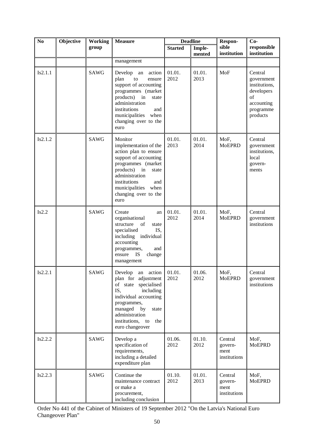| N <sub>o</sub> | Objective | <b>Working</b> | <b>Measure</b>                                                                                                                                                                                                                       |                | <b>Deadline</b>  | <b>Respon-</b>                             | $Co-$                                                                                             |
|----------------|-----------|----------------|--------------------------------------------------------------------------------------------------------------------------------------------------------------------------------------------------------------------------------------|----------------|------------------|--------------------------------------------|---------------------------------------------------------------------------------------------------|
|                |           | group          |                                                                                                                                                                                                                                      | <b>Started</b> | Imple-<br>mented | sible<br>institution                       | responsible<br>institution                                                                        |
|                |           |                | management                                                                                                                                                                                                                           |                |                  |                                            |                                                                                                   |
| Is2.1.1        |           | <b>SAWG</b>    | Develop an<br>action<br>plan<br>${\rm to}$<br>ensure<br>support of accounting<br>programmes (market<br>products)<br>in<br>state<br>administration<br>institutions<br>and<br>when<br>municipalities<br>changing over to the<br>euro   | 01.01.<br>2012 | 01.01.<br>2013   | MoF                                        | Central<br>government<br>institutions,<br>developers<br>of<br>accounting<br>programme<br>products |
| Is2.1.2        |           | <b>SAWG</b>    | Monitor<br>implementation of the<br>action plan to ensure<br>support of accounting<br>programmes (market<br>products)<br>in<br>state<br>administration<br>institutions<br>and<br>municipalities when<br>changing over to the<br>euro | 01.01.<br>2013 | 01.01.<br>2014   | MoF,<br><b>MoEPRD</b>                      | Central<br>government<br>institutions,<br>local<br>govern-<br>ments                               |
| Is2.2          |           | <b>SAWG</b>    | Create<br>an<br>organisational<br>structure<br>of<br>state<br>specialised<br>IS,<br>including individual<br>accounting<br>programmes,<br>and<br>ensure<br><b>IS</b><br>change<br>management                                          | 01.01.<br>2012 | 01.01.<br>2014   | MoF,<br><b>MoEPRD</b>                      | Central<br>government<br>institutions                                                             |
| Is2.2.1        |           | SAWG           | Develop an action<br>plan for adjustment<br>of state specialised<br>including<br>IS,<br>individual accounting<br>programmes,<br>by<br>managed<br>state<br>administration<br>institutions, to<br>the<br>euro changeover               | 01.01.<br>2012 | 01.06.<br>2012   | MoF,<br><b>MoEPRD</b>                      | Central<br>government<br>institutions                                                             |
| Is2.2.2        |           | <b>SAWG</b>    | Develop a<br>specification of<br>requirements,<br>including a detailed<br>expenditure plan                                                                                                                                           | 01.06.<br>2012 | 01.10.<br>2012   | Central<br>govern-<br>ment<br>institutions | MoF,<br><b>MoEPRD</b>                                                                             |
| Is2.2.3        |           | <b>SAWG</b>    | Continue the<br>maintenance contract<br>or make a<br>procurement,<br>including conclusion                                                                                                                                            | 01.10.<br>2012 | 01.01.<br>2013   | Central<br>govern-<br>ment<br>institutions | MoF,<br><b>MoEPRD</b>                                                                             |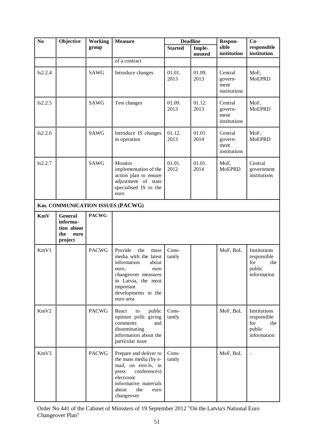| N <sub>o</sub> | Objective                                                          | <b>Working</b> | <b>Measure</b>                                                                                                                                                                          |                 | <b>Deadline</b>  | Respon-                                    | $Co-$                                                              |
|----------------|--------------------------------------------------------------------|----------------|-----------------------------------------------------------------------------------------------------------------------------------------------------------------------------------------|-----------------|------------------|--------------------------------------------|--------------------------------------------------------------------|
|                |                                                                    | group          |                                                                                                                                                                                         | <b>Started</b>  | Imple-<br>mented | sible<br>institution                       | responsible<br>institution                                         |
|                |                                                                    |                | of a contract                                                                                                                                                                           |                 |                  |                                            |                                                                    |
| Is2.2.4        |                                                                    | <b>SAWG</b>    | Introduce changes                                                                                                                                                                       | 01.01.<br>2013  | 01.09.<br>2013   | Central<br>govern-<br>ment<br>institutions | MoF,<br><b>MoEPRD</b>                                              |
| Is2.2.5        |                                                                    | <b>SAWG</b>    | Test changes                                                                                                                                                                            | 01.09.<br>2013  | 01.12.<br>2013   | Central<br>govern-<br>ment<br>institutions | MoF,<br><b>MoEPRD</b>                                              |
| Is2.2.6        |                                                                    | <b>SAWG</b>    | Introduce IS changes<br>in operation                                                                                                                                                    | 01.12.<br>2013  | 01.01.<br>2014   | Central<br>govern-<br>ment<br>institutions | MoF,<br><b>MoEPRD</b>                                              |
| Is2.2.7        |                                                                    | <b>SAWG</b>    | Monitor<br>implementation of the<br>action plan to ensure<br>adjustment of state<br>specialised IS to the<br>euro                                                                       | 01.01.<br>2012  | 01.01.<br>2014   | MoF,<br><b>MoEPRD</b>                      | Central<br>government<br>institutions                              |
|                |                                                                    |                | Km. COMMUNICATION ISSUES (PACWG)                                                                                                                                                        |                 |                  |                                            |                                                                    |
| <b>KmV</b>     | <b>General</b><br>informa-<br>tion about<br>the<br>euro<br>project | <b>PACWG</b>   |                                                                                                                                                                                         |                 |                  |                                            |                                                                    |
| KmV1           |                                                                    | <b>PACWG</b>   | Provide<br>the<br>mass<br>media with the latest<br>information<br>about<br>euro<br>euro,<br>changeover measures<br>in Latvia, the most<br>important<br>developments in the<br>euro area | Cons-<br>tantly |                  | MoF, BoL                                   | Institutions<br>responsible<br>for<br>the<br>public<br>information |
| KmV2           |                                                                    | <b>PACWG</b>   | React<br>public<br>to<br>opinion polls giving<br>comments<br>and<br>disseminating<br>information about the<br>particular issue                                                          | Cons-<br>tantly |                  | MoF, BoL                                   | Institutions<br>responsible<br>the<br>for<br>public<br>information |
| KmV3           |                                                                    | <b>PACWG</b>   | Prepare and deliver to<br>the mass media (by e-<br>mail, on eiro.lv, in<br>conferences)<br>press<br>electronic<br>informative materials<br>about<br>the<br>euro<br>changeover           | Cons-<br>tantly |                  | MoF, BoL                                   |                                                                    |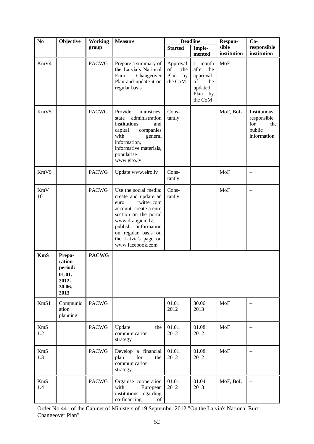| No                | Objective                                                        | <b>Working</b> | <b>Measure</b>                                                                                                                                                                                                                           |                                                | <b>Deadline</b>                                                                      | Respon-              | $Co-$                                                              |
|-------------------|------------------------------------------------------------------|----------------|------------------------------------------------------------------------------------------------------------------------------------------------------------------------------------------------------------------------------------------|------------------------------------------------|--------------------------------------------------------------------------------------|----------------------|--------------------------------------------------------------------|
|                   |                                                                  | group          |                                                                                                                                                                                                                                          | <b>Started</b>                                 | Imple-<br>mented                                                                     | sible<br>institution | responsible<br>institution                                         |
| KmV4              |                                                                  | <b>PACWG</b>   | Prepare a summary of<br>the Latvia's National<br>Euro<br>Changeover<br>Plan and update it on<br>regular basis                                                                                                                            | Approval<br>of<br>the<br>Plan<br>by<br>the CoM | month<br>1<br>after the<br>approval<br>of<br>the<br>updated<br>Plan<br>by<br>the CoM | MoF                  | $\overline{\phantom{0}}$                                           |
| KmV5              |                                                                  | <b>PACWG</b>   | Provide<br>ministries,<br>administration<br>state<br>institutions<br>and<br>capital<br>companies<br>with<br>general<br>information,<br>informative materials,<br>popularise<br>www.eiro.lv                                               | Cons-<br>tantly                                |                                                                                      | MoF, BoL             | Institutions<br>responsible<br>for<br>the<br>public<br>information |
| KmV9              |                                                                  | <b>PACWG</b>   | Update www.eiro.lv                                                                                                                                                                                                                       | Cons-<br>tantly                                |                                                                                      | MoF                  |                                                                    |
| KmV<br>10         |                                                                  | <b>PACWG</b>   | Use the social media:<br>create and update an<br>twitter.com<br>euro<br>account, create a euro<br>section on the portal<br>www.draugiem.lv,<br>information<br>publish<br>on regular basis on<br>the Latvia's page on<br>www.facebook.com | Cons-<br>tantly                                |                                                                                      | MoF                  |                                                                    |
| <b>KmS</b>        | Prepa-<br>ration<br>period:<br>01.01.<br>2012-<br>30.06.<br>2013 | <b>PACWG</b>   |                                                                                                                                                                                                                                          |                                                |                                                                                      |                      |                                                                    |
| KmS1              | Communic<br>ation<br>planning                                    | <b>PACWG</b>   |                                                                                                                                                                                                                                          | 01.01.<br>2012                                 | 30.06.<br>2013                                                                       | <b>MoF</b>           |                                                                    |
| KmS<br>1.2        |                                                                  | <b>PACWG</b>   | Update<br>the<br>communication<br>strategy                                                                                                                                                                                               | 01.01.<br>2012                                 | 01.08.<br>2012                                                                       | <b>MoF</b>           |                                                                    |
| KmS<br>1.3        |                                                                  | <b>PACWG</b>   | Develop a financial<br>for<br>plan<br>the<br>communication<br>strategy                                                                                                                                                                   | 01.01.<br>2012                                 | 01.08.<br>2012                                                                       | MoF                  |                                                                    |
| <b>KmS</b><br>1.4 |                                                                  | <b>PACWG</b>   | Organise cooperation<br>European<br>with<br>institutions regarding<br>co-financing<br>of                                                                                                                                                 | 01.01.<br>2012                                 | 01.04.<br>2013                                                                       | MoF, BoL             |                                                                    |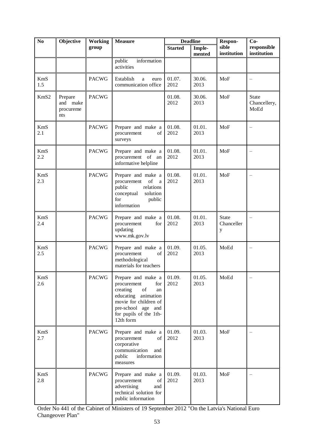| N <sub>0</sub>    | Objective                               | <b>Working</b> | <b>Measure</b>                                                                                                                                                                |                | <b>Deadline</b>  | Respon-                  | $Co-$                         |
|-------------------|-----------------------------------------|----------------|-------------------------------------------------------------------------------------------------------------------------------------------------------------------------------|----------------|------------------|--------------------------|-------------------------------|
|                   |                                         | group          |                                                                                                                                                                               | <b>Started</b> | Imple-<br>mented | sible<br>institution     | responsible<br>institution    |
|                   |                                         |                | information<br>public<br>activities                                                                                                                                           |                |                  |                          |                               |
| <b>KmS</b><br>1.5 |                                         | <b>PACWG</b>   | Establish<br>euro<br>a<br>communication office                                                                                                                                | 01.07.<br>2012 | 30.06.<br>2013   | MoF                      |                               |
| KmS2              | Prepare<br>and make<br>procureme<br>nts | <b>PACWG</b>   |                                                                                                                                                                               | 01.08.<br>2012 | 30.06.<br>2013   | MoF                      | State<br>Chancellery,<br>MoEd |
| <b>KmS</b><br>2.1 |                                         | <b>PACWG</b>   | Prepare and make a<br>procurement<br>of<br>surveys                                                                                                                            | 01.08.<br>2012 | 01.01.<br>2013   | MoF                      |                               |
| <b>KmS</b><br>2.2 |                                         | <b>PACWG</b>   | Prepare and make a<br>procurement of an<br>informative helpline                                                                                                               | 01.08.<br>2012 | 01.01.<br>2013   | MoF                      |                               |
| <b>KmS</b><br>2.3 |                                         | <b>PACWG</b>   | Prepare and make a<br>of<br>procurement<br>a<br>public<br>relations<br>conceptual<br>solution<br>for<br>public<br>information                                                 | 01.08.<br>2012 | 01.01.<br>2013   | MoF                      |                               |
| <b>KmS</b><br>2.4 |                                         | <b>PACWG</b>   | Prepare and make a<br>procurement<br>for<br>updating<br>www.mk.gov.lv                                                                                                         | 01.08.<br>2012 | 01.01.<br>2013   | State<br>Chanceller<br>y |                               |
| <b>KmS</b><br>2.5 |                                         | <b>PACWG</b>   | Prepare and make a<br>procurement<br>of<br>methodological<br>materials for teachers                                                                                           | 01.09.<br>2012 | 01.05.<br>2013   | MoEd                     |                               |
| <b>KmS</b><br>2.6 |                                         | <b>PACWG</b>   | Prepare and make a<br>procurement<br>for<br>creating<br>of<br>an<br>educating animation<br>movie for children of<br>pre-school age and<br>for pupils of the 1th-<br>12th form | 01.09.<br>2012 | 01.05.<br>2013   | MoEd                     |                               |
| KmS<br>2.7        |                                         | <b>PACWG</b>   | Prepare and make a<br>procurement<br>of<br>corporative<br>communication<br>and<br>information<br>public<br>measures                                                           | 01.09.<br>2012 | 01.03.<br>2013   | MoF                      |                               |
| KmS<br>2.8        |                                         | <b>PACWG</b>   | Prepare and make a<br>procurement<br>of<br>advertising<br>and<br>technical solution for<br>public information                                                                 | 01.09.<br>2012 | 01.03.<br>2013   | MoF                      |                               |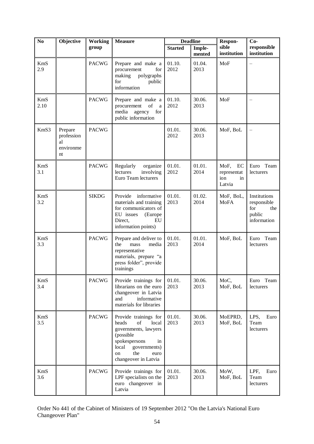| N <sub>0</sub>     | Objective                                      | <b>Working</b> | <b>Measure</b>                                                                                                                                                                   |                | <b>Deadline</b>         | Respon-                                          | $Co-$                                                              |
|--------------------|------------------------------------------------|----------------|----------------------------------------------------------------------------------------------------------------------------------------------------------------------------------|----------------|-------------------------|--------------------------------------------------|--------------------------------------------------------------------|
|                    |                                                | group          |                                                                                                                                                                                  | <b>Started</b> | Imple-<br>$\bf{mented}$ | sible<br>institution                             | responsible<br>institution                                         |
| <b>KmS</b><br>2.9  |                                                | <b>PACWG</b>   | Prepare and make a<br>for<br>procurement<br>making<br>polygraphs<br>for<br>public<br>information                                                                                 | 01.10.<br>2012 | 01.04.<br>2013          | MoF                                              | $\overline{\phantom{0}}$                                           |
| <b>KmS</b><br>2.10 |                                                | <b>PACWG</b>   | Prepare and make a<br>of<br>procurement<br>a<br>media<br>agency<br>for<br>public information                                                                                     | 01.10.<br>2012 | 30.06.<br>2013          | MoF                                              |                                                                    |
| KmS3               | Prepare<br>profession<br>al<br>environme<br>nt | <b>PACWG</b>   |                                                                                                                                                                                  | 01.01.<br>2012 | 30.06.<br>2013          | MoF, BoL                                         |                                                                    |
| <b>KmS</b><br>3.1  |                                                | <b>PACWG</b>   | Regularly<br>organize<br>lectures<br>involving<br>Euro Team lecturers                                                                                                            | 01.01.<br>2012 | 01.01.<br>2014          | MoF,<br>EC<br>representat<br>ion<br>in<br>Latvia | Euro Team<br>lecturers                                             |
| <b>KmS</b><br>3.2  |                                                | <b>SIKDG</b>   | informative<br>Provide<br>materials and training<br>for communicators of<br>EU issues<br>(Europe<br>Direct,<br>EU<br>information points)                                         | 01.01.<br>2013 | 01.02.<br>2014          | MoF, BoL,<br>MoFA                                | Institutions<br>responsible<br>for<br>the<br>public<br>information |
| <b>KmS</b><br>3.3  |                                                | <b>PACWG</b>   | Prepare and deliver to<br>the<br>mass<br>media<br>representative<br>materials, prepare "a<br>press folder", provide<br>trainings                                                 | 01.01.<br>2013 | 01.01.<br>2014          | MoF, BoL                                         | Team<br>Euro<br>lecturers                                          |
| <b>KmS</b><br>3.4  |                                                | <b>PACWG</b>   | Provide trainings for<br>librarians on the euro<br>changeover in Latvia<br>and<br>informative<br>materials for libraries                                                         | 01.01.<br>2013 | 30.06.<br>2013          | MoC,<br>MoF, BoL                                 | Euro Team<br>lecturers                                             |
| KmS<br>3.5         |                                                | <b>PACWG</b>   | Provide trainings for<br>of<br>local<br>heads<br>governments, lawyers<br>(possible)<br>spokespersons<br>in<br>local<br>governments)<br>the<br>euro<br>on<br>changeover in Latvia | 01.01.<br>2013 | 30.06.<br>2013          | MoEPRD,<br>MoF, BoL                              | LPS,<br>Euro<br>Team<br>lecturers                                  |
| <b>KmS</b><br>3.6  |                                                | <b>PACWG</b>   | Provide trainings for<br>LPF specialists on the<br>euro changeover in<br>Latvia                                                                                                  | 01.01.<br>2013 | 30.06.<br>2013          | MoW,<br>MoF, BoL                                 | LPF,<br>Euro<br>Team<br>lecturers                                  |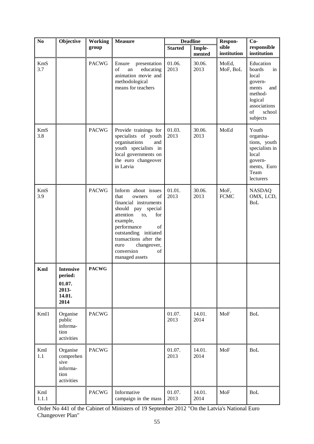| N <sub>0</sub>    | Objective                                                        | <b>Working</b> | <b>Measure</b>                                                                                                                                                                                                                                                         |                | <b>Deadline</b> | Respon-              | $Co-$                                                                                                                           |
|-------------------|------------------------------------------------------------------|----------------|------------------------------------------------------------------------------------------------------------------------------------------------------------------------------------------------------------------------------------------------------------------------|----------------|-----------------|----------------------|---------------------------------------------------------------------------------------------------------------------------------|
|                   |                                                                  | group          |                                                                                                                                                                                                                                                                        | <b>Started</b> | Imple-          | sible<br>institution | responsible<br>institution                                                                                                      |
|                   |                                                                  |                |                                                                                                                                                                                                                                                                        |                | mented          |                      |                                                                                                                                 |
| <b>KmS</b><br>3.7 |                                                                  | <b>PACWG</b>   | Ensure<br>presentation<br>of<br>educating<br>${\rm an}$<br>animation movie and<br>methodological<br>means for teachers                                                                                                                                                 | 01.06.<br>2013 | 30.06.<br>2013  | MoEd,<br>MoF, BoL    | Education<br>boards<br>in<br>local<br>govern-<br>ments<br>and<br>method-<br>logical<br>associations<br>of<br>school<br>subjects |
| <b>KmS</b><br>3.8 |                                                                  | <b>PACWG</b>   | Provide trainings for<br>specialists of youth<br>organisations<br>and<br>youth specialists in<br>local governments on<br>the euro changeover<br>in Latvia                                                                                                              | 01.03.<br>2013 | 30.06.<br>2013  | MoEd                 | Youth<br>organisa-<br>tions, youth<br>specialists in<br>local<br>govern-<br>ments, Euro<br>Team<br>lecturers                    |
| <b>KmS</b><br>3.9 |                                                                  | <b>PACWG</b>   | Inform about issues<br>that<br>of<br>owners<br>financial instruments<br>should pay special<br>attention<br>for<br>to,<br>example,<br>performance<br>of<br>outstanding initiated<br>transactions after the<br>changeover,<br>euro<br>conversion<br>of<br>managed assets | 01.01.<br>2013 | 30.06.<br>2013  | MoF,<br><b>FCMC</b>  | <b>NASDAQ</b><br>OMX, LCD,<br><b>BoL</b>                                                                                        |
| KmI               | <b>Intensive</b><br>period:<br>01.07.<br>2013-<br>14.01.<br>2014 | <b>PACWG</b>   |                                                                                                                                                                                                                                                                        |                |                 |                      |                                                                                                                                 |
| KmI1              | Organise<br>public<br>informa-<br>tion<br>activities             | <b>PACWG</b>   |                                                                                                                                                                                                                                                                        | 01.07.<br>2013 | 14.01.<br>2014  | MoF                  | <b>BoL</b>                                                                                                                      |
| $\rm KmI$<br>1.1  | Organise<br>comprehen<br>sive<br>informa-<br>tion<br>activities  | <b>PACWG</b>   |                                                                                                                                                                                                                                                                        | 01.07.<br>2013 | 14.01.<br>2014  | <b>MoF</b>           | <b>BoL</b>                                                                                                                      |
| KmI<br>1.1.1      |                                                                  | <b>PACWG</b>   | Informative<br>campaign in the mass                                                                                                                                                                                                                                    | 01.07.<br>2013 | 14.01.<br>2014  | MoF                  | BoL                                                                                                                             |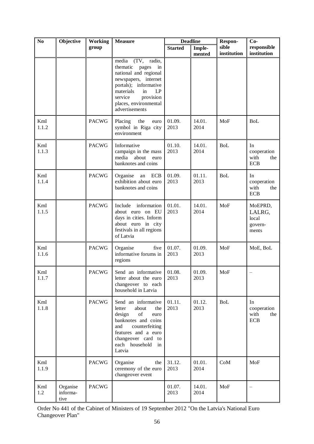| No                 | Objective                    | <b>Working</b> | <b>Measure</b>                                                                                                                                                                                                        |                | <b>Deadline</b>  | Respon-              | $Co-$                                          |
|--------------------|------------------------------|----------------|-----------------------------------------------------------------------------------------------------------------------------------------------------------------------------------------------------------------------|----------------|------------------|----------------------|------------------------------------------------|
|                    |                              | group          |                                                                                                                                                                                                                       | <b>Started</b> | Imple-<br>mented | sible<br>institution | responsible<br>institution                     |
|                    |                              |                | (TV, radio,<br>media<br>thematic<br>pages<br>in<br>national and regional<br>newspapers, internet<br>portals); informative<br>materials<br>LP<br>in<br>provision<br>service<br>places, environmental<br>advertisements |                |                  |                      |                                                |
| KmI<br>1.1.2       |                              | <b>PACWG</b>   | Placing<br>the<br>euro<br>symbol in Riga city<br>environment                                                                                                                                                          | 01.09.<br>2013 | 14.01.<br>2014   | MoF                  | <b>BoL</b>                                     |
| KmI<br>1.1.3       |                              | <b>PACWG</b>   | Informative<br>campaign in the mass<br>media<br>about<br>euro<br>banknotes and coins                                                                                                                                  | 01.10.<br>2013 | 14.01.<br>2014   | <b>BoL</b>           | In<br>cooperation<br>with<br>the<br><b>ECB</b> |
| KmI<br>1.1.4       |                              | <b>PACWG</b>   | Organise<br><b>ECB</b><br>${\rm an}$<br>exhibition about euro<br>banknotes and coins                                                                                                                                  | 01.09.<br>2013 | 01.11.<br>2013   | <b>BoL</b>           | In<br>cooperation<br>with<br>the<br><b>ECB</b> |
| KmI<br>1.1.5       |                              | <b>PACWG</b>   | Include<br>information<br>about euro on EU<br>days in cities. Inform<br>about euro in city<br>festivals in all regions<br>of Latvia                                                                                   | 01.01.<br>2013 | 14.01.<br>2014   | MoF                  | MoEPRD,<br>LALRG,<br>local<br>govern-<br>ments |
| KmI<br>1.1.6       |                              | <b>PACWG</b>   | five<br>Organise<br>informative forums in<br>regions                                                                                                                                                                  | 01.07.<br>2013 | 01.09.<br>2013   | MoF                  | MoE, BoL                                       |
| KmI<br>1.1.7       |                              | <b>PACWG</b>   | Send an informative<br>letter about the euro<br>changeover to each<br>household in Latvia                                                                                                                             | 01.08.<br>2013 | 01.09.<br>2013   | MoF                  |                                                |
| KmI<br>1.1.8       |                              | <b>PACWG</b>   | Send an informative<br>letter<br>about<br>the<br>of<br>design<br>euro<br>banknotes and coins<br>counterfeiting<br>and<br>features and a euro<br>changeover card to<br>each household<br>in<br>Latvia                  | 01.11.<br>2013 | 01.12.<br>2013   | <b>BoL</b>           | In<br>cooperation<br>with<br>the<br><b>ECB</b> |
| $\rm KmI$<br>1.1.9 |                              | <b>PACWG</b>   | Organise<br>the<br>ceremony of the euro<br>changeover event                                                                                                                                                           | 31.12.<br>2013 | 01.01.<br>2014   | CoM                  | MoF                                            |
| KmI<br>1.2         | Organise<br>informa-<br>tive | <b>PACWG</b>   |                                                                                                                                                                                                                       | 01.07.<br>2013 | 14.01.<br>2014   | <b>MoF</b>           |                                                |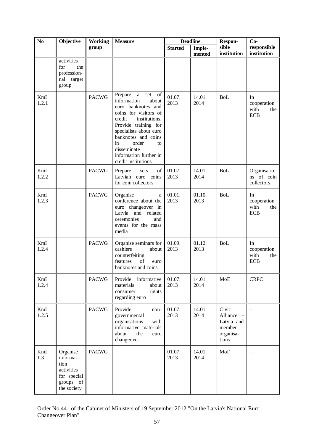| N <sub>o</sub>     | Objective                                                                             | <b>Working</b> | <b>Measure</b>                                                                                                                                                                                                                                                                                   |                | <b>Deadline</b>  | Respon-                                                         | $Co-$                                          |
|--------------------|---------------------------------------------------------------------------------------|----------------|--------------------------------------------------------------------------------------------------------------------------------------------------------------------------------------------------------------------------------------------------------------------------------------------------|----------------|------------------|-----------------------------------------------------------------|------------------------------------------------|
|                    |                                                                                       | group          |                                                                                                                                                                                                                                                                                                  | <b>Started</b> | Imple-<br>mented | sible<br>institution                                            | responsible<br>institution                     |
|                    | activities<br>for<br>the<br>profession-<br>nal target<br>group                        |                |                                                                                                                                                                                                                                                                                                  |                |                  |                                                                 |                                                |
| KmI<br>1.2.1       |                                                                                       | <b>PACWG</b>   | Prepare<br>$\rm{a}$<br>set<br>of<br>information<br>about<br>euro banknotes and<br>coins for visitors of<br>credit<br>institutions.<br>Provide training for<br>specialists about euro<br>banknotes and coins<br>order<br>in<br>to<br>disseminate<br>information further in<br>credit institutions | 01.07.<br>2013 | 14.01.<br>2014   | <b>BoL</b>                                                      | In<br>cooperation<br>with<br>the<br><b>ECB</b> |
| KmI<br>1.2.2       |                                                                                       | <b>PACWG</b>   | Prepare<br>of<br>sets<br>Latvian euro coins<br>for coin collectors                                                                                                                                                                                                                               | 01.07.<br>2013 | 14.01.<br>2014   | <b>BoL</b>                                                      | Organisatio<br>ns of coin<br>collectors        |
| KmI<br>1.2.3       |                                                                                       | <b>PACWG</b>   | Organise<br>a<br>conference about the<br>euro changeover in<br>Latvia and related<br>ceremonies<br>and<br>events for the mass<br>media                                                                                                                                                           | 01.01.<br>2013 | 01.10.<br>2013   | <b>BoL</b>                                                      | In<br>cooperation<br>with<br>the<br><b>ECB</b> |
| KmI<br>1.2.4       |                                                                                       | <b>PACWG</b>   | Organise seminars for<br>cashiers<br>about<br>counterfeiting<br>features<br>of<br>euro<br>banknotes and coins                                                                                                                                                                                    | 01.09.<br>2013 | 01.12.<br>2013   | <b>BoL</b>                                                      | In<br>cooperation<br>with<br>the<br><b>ECB</b> |
| KmI<br>1.2.4       |                                                                                       | <b>PACWG</b>   | Provide informative<br>materials<br>about<br>rights<br>consumer<br>regarding euro                                                                                                                                                                                                                | 01.07.<br>2013 | 14.01.<br>2014   | MoE                                                             | <b>CRPC</b>                                    |
| $\rm KmI$<br>1.2.5 |                                                                                       | <b>PACWG</b>   | Provide<br>non-<br>governmental<br>organisations<br>with<br>informative materials<br>about<br>the<br>euro<br>changeover                                                                                                                                                                          | 01.07.<br>2013 | 14.01.<br>2014   | Civic<br>Alliance<br>Latvia and<br>member<br>organisa-<br>tions |                                                |
| KmI<br>1.3         | Organise<br>informa-<br>tion<br>activities<br>for special<br>groups of<br>the society | <b>PACWG</b>   |                                                                                                                                                                                                                                                                                                  | 01.07.<br>2013 | 14.01.<br>2014   | <b>MoF</b>                                                      |                                                |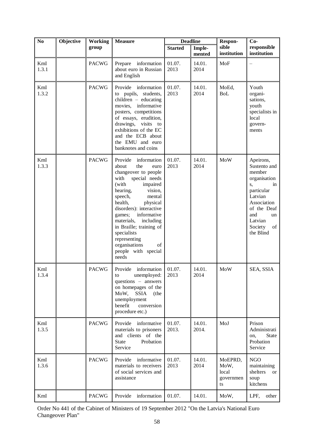| N <sub>0</sub> | Objective | Working      | <b>Measure</b>                                                                                                                                                                                                                                                                                                                                                                          |                 | <b>Deadline</b>  | Respon-                                     | $Co-$                                                                                                                                                                                   |
|----------------|-----------|--------------|-----------------------------------------------------------------------------------------------------------------------------------------------------------------------------------------------------------------------------------------------------------------------------------------------------------------------------------------------------------------------------------------|-----------------|------------------|---------------------------------------------|-----------------------------------------------------------------------------------------------------------------------------------------------------------------------------------------|
|                |           | group        |                                                                                                                                                                                                                                                                                                                                                                                         | <b>Started</b>  | Imple-<br>mented | sible<br>institution                        | responsible<br>institution                                                                                                                                                              |
| KmI<br>1.3.1   |           | <b>PACWG</b> | Prepare information<br>about euro in Russian<br>and English                                                                                                                                                                                                                                                                                                                             | 01.07.<br>2013  | 14.01.<br>2014   | MoF                                         |                                                                                                                                                                                         |
| KmI<br>1.3.2   |           | <b>PACWG</b> | Provide<br>information<br>to pupils, students,<br>children $-$ educating<br>movies, informative<br>posters, competitions<br>of essays, erudition,<br>drawings, visits to<br>exhibitions of the EC<br>and the ECB about<br>the EMU and euro<br>banknotes and coins                                                                                                                       | 01.07.<br>2013  | 14.01.<br>2014   | MoEd,<br><b>BoL</b>                         | Youth<br>organi-<br>sations,<br>youth<br>specialists in<br>local<br>govern-<br>ments                                                                                                    |
| KmI<br>1.3.3   |           | <b>PACWG</b> | Provide<br>information<br>about<br>the<br>euro<br>changeover to people<br>with<br>special needs<br>(with<br>impaired<br>hearing,<br>vision,<br>speech,<br>mental<br>health,<br>physical<br>disorders): interactive<br>informative<br>games;<br>materials,<br>including<br>in Braille; training of<br>specialists<br>representing<br>organisations<br>of<br>people with special<br>needs | 01.07.<br>2013  | 14.01.<br>2014   | MoW                                         | Apeirons,<br>Sustento and<br>member<br>organisation<br>$S_{\bullet}$<br>in<br>particular<br>Latvian<br>Association<br>of the Deaf<br>and<br>un<br>Latvian<br>Society<br>of<br>the Blind |
| KmI<br>1.3.4   |           | <b>PACWG</b> | Provide information<br>unemployed:<br>to<br>questions - answers<br>on homepages of the<br><b>SSIA</b><br>MoW,<br>(the<br>unemployment<br>benefit<br>conversion<br>procedure etc.)                                                                                                                                                                                                       | 01.07.<br>2013  | 14.01.<br>2014   | MoW                                         | SEA, SSIA                                                                                                                                                                               |
| KmI<br>1.3.5   |           | <b>PACWG</b> | Provide<br>informative<br>materials to prisoners<br>and clients of the<br><b>State</b><br>Probation<br>Service                                                                                                                                                                                                                                                                          | 01.07.<br>2013. | 14.01.<br>2014.  | MoJ                                         | Prison<br>Administrati<br><b>State</b><br>on,<br>Probation<br>Service                                                                                                                   |
| KmI<br>1.3.6   |           | <b>PACWG</b> | Provide<br>informative<br>materials to receivers<br>of social services and<br>assistance                                                                                                                                                                                                                                                                                                | 01.07.<br>2013  | 14.01.<br>2014   | MoEPRD,<br>MoW,<br>local<br>governmen<br>ts | <b>NGO</b><br>maintaining<br>shelters<br>or<br>soup<br>kitchens                                                                                                                         |
| KmI            |           | <b>PACWG</b> | Provide<br>information                                                                                                                                                                                                                                                                                                                                                                  | 01.07.          | 14.01.           | MoW,                                        | LPF,<br>other                                                                                                                                                                           |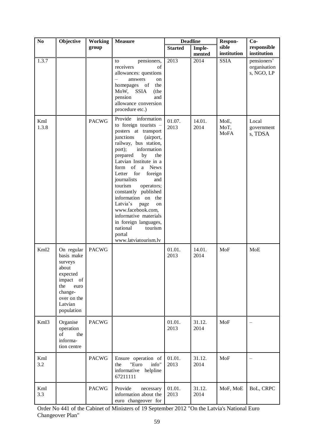| No           | Objective                                                                                                                               | <b>Working</b> | <b>Measure</b>                                                                                                                                                                                                                                                                                                                                                                                                                                                                                              |                | <b>Deadline</b>  | Respon-              | $Co-$                                     |
|--------------|-----------------------------------------------------------------------------------------------------------------------------------------|----------------|-------------------------------------------------------------------------------------------------------------------------------------------------------------------------------------------------------------------------------------------------------------------------------------------------------------------------------------------------------------------------------------------------------------------------------------------------------------------------------------------------------------|----------------|------------------|----------------------|-------------------------------------------|
|              |                                                                                                                                         | group          |                                                                                                                                                                                                                                                                                                                                                                                                                                                                                                             | <b>Started</b> | Imple-<br>mented | sible<br>institution | responsible<br>institution                |
| 1.3.7        |                                                                                                                                         |                | pensioners,<br>to<br>receivers<br>of<br>allowances: questions<br>answers<br>on<br>homepages<br>of<br>the<br>MoW,<br><b>SSIA</b><br>(the<br>pension<br>and<br>allowance conversion<br>procedure etc.)                                                                                                                                                                                                                                                                                                        | 2013           | 2014             | <b>SSIA</b>          | pensioners'<br>organisation<br>s, NGO, LP |
| KmI<br>1.3.8 |                                                                                                                                         | <b>PACWG</b>   | Provide information<br>to foreign tourists -<br>posters at transport<br>junctions<br>(airport,<br>railway, bus station,<br>information<br>port);<br>prepared<br>by<br>the<br>Latvian Institute in a<br>form of<br>a News<br>for<br>Letter<br>foreign<br>journalists<br>and<br>tourism<br>operators;<br>constantly published<br>information on the<br>Latvia's<br>page<br>on<br>www.facebook.com,<br>informative materials<br>in foreign languages,<br>national<br>tourism<br>portal<br>www.latviatourism.lv | 01.07.<br>2013 | 14.01.<br>2014   | MoE,<br>MoT,<br>MoFA | Local<br>government<br>s, TDSA            |
| KmI2         | On regular<br>basis make<br>surveys<br>about<br>expected<br>impact of<br>the<br>euro<br>change-<br>over on the<br>Latvian<br>population | <b>PACWG</b>   |                                                                                                                                                                                                                                                                                                                                                                                                                                                                                                             | 01.01.<br>2013 | 14.01.<br>2014   | MoF                  | MoE                                       |
| KmI3         | Organise<br>operation<br>of<br>the<br>informa-<br>tion centre                                                                           | <b>PACWG</b>   |                                                                                                                                                                                                                                                                                                                                                                                                                                                                                                             | 01.01.<br>2013 | 31.12.<br>2014   | MoF                  |                                           |
| KmI<br>3.2   |                                                                                                                                         | <b>PACWG</b>   | Ensure operation of<br>info"<br>"Euro<br>the<br>informative<br>helpline<br>67211111                                                                                                                                                                                                                                                                                                                                                                                                                         | 01.01.<br>2013 | 31.12.<br>2014   | MoF                  |                                           |
| KmI<br>3.3   |                                                                                                                                         | <b>PACWG</b>   | Provide<br>necessary<br>information about the<br>euro changeover for                                                                                                                                                                                                                                                                                                                                                                                                                                        | 01.01.<br>2013 | 31.12.<br>2014   | MoF, MoE             | BoL, CRPC                                 |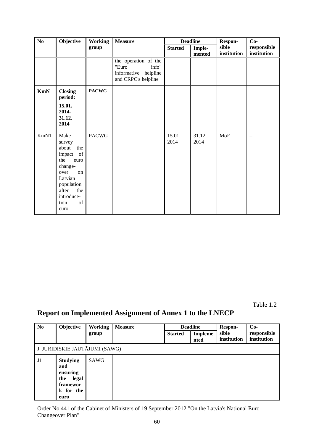| No         | Objective                                                                                                                                                                                                                                                           | <b>Working</b> | <b>Measure</b>                                                                        |                | <b>Deadline</b>  | Respon-              | $Co-$                      |
|------------|---------------------------------------------------------------------------------------------------------------------------------------------------------------------------------------------------------------------------------------------------------------------|----------------|---------------------------------------------------------------------------------------|----------------|------------------|----------------------|----------------------------|
|            |                                                                                                                                                                                                                                                                     | group          |                                                                                       | <b>Started</b> | Imple-<br>mented | sible<br>institution | responsible<br>institution |
|            |                                                                                                                                                                                                                                                                     |                | the operation of the<br>"Euro<br>info"<br>informative helpline<br>and CRPC's helpline |                |                  |                      |                            |
| <b>KmN</b> | <b>Closing</b><br>period:                                                                                                                                                                                                                                           | <b>PACWG</b>   |                                                                                       |                |                  |                      |                            |
|            | 15.01.<br>2014-<br>31.12.<br>2014                                                                                                                                                                                                                                   |                |                                                                                       |                |                  |                      |                            |
| KmN1       | Make<br>survey<br>the<br>about<br>$% \left( \left( \mathcal{A},\mathcal{A}\right) \right) =\left( \mathcal{A},\mathcal{A}\right)$ of<br>impact<br>the<br>euro<br>change-<br>over<br>on<br>Latvian<br>population<br>the<br>after<br>introduce-<br>of<br>tion<br>euro | <b>PACWG</b>   |                                                                                       | 15.01.<br>2014 | 31.12.<br>2014   | MoF                  |                            |

Table 1.2

## **Report on Implemented Assignment of Annex 1 to the LNECP**

| N <sub>0</sub> | Objective                                                                           | <b>Working</b> | <b>Measure</b> |                | <b>Deadline</b>        | <b>Respon-</b><br>$Co-$ |                            |
|----------------|-------------------------------------------------------------------------------------|----------------|----------------|----------------|------------------------|-------------------------|----------------------------|
|                |                                                                                     | group          |                | <b>Started</b> | <b>Impleme</b><br>nted | sible<br>institution    | responsible<br>institution |
|                | J. JURIDISKIE JAUTĀJUMI (SAWG)                                                      |                |                |                |                        |                         |                            |
| J1             | <b>Studying</b><br>and<br>ensuring<br>the<br>legal<br>framewor<br>k for the<br>euro | <b>SAWG</b>    |                |                |                        |                         |                            |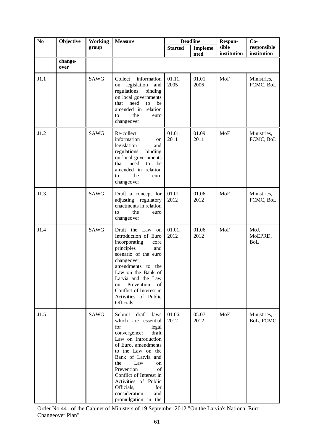| N <sub>0</sub> | Objective       | <b>Working</b> | <b>Measure</b>                                                                                                                                                                                                                                                                                                                               | <b>Deadline</b> |                 | Respon-              | $Co-$                         |
|----------------|-----------------|----------------|----------------------------------------------------------------------------------------------------------------------------------------------------------------------------------------------------------------------------------------------------------------------------------------------------------------------------------------------|-----------------|-----------------|----------------------|-------------------------------|
|                |                 | group          |                                                                                                                                                                                                                                                                                                                                              | <b>Started</b>  | Impleme<br>nted | sible<br>institution | responsible<br>institution    |
|                | change-<br>over |                |                                                                                                                                                                                                                                                                                                                                              |                 |                 |                      |                               |
| J1.1           |                 | <b>SAWG</b>    | Collect<br>information<br>legislation<br>and<br>on<br>regulations<br>binding<br>on local governments<br>that<br>need<br>be<br>to<br>amended in relation<br>the<br>euro<br>to<br>changeover                                                                                                                                                   | 01.11.<br>2005  | 01.01.<br>2006  | <b>MoF</b>           | Ministries,<br>FCMC, BoL      |
| J1.2           |                 | <b>SAWG</b>    | Re-collect<br>information<br>on<br>legislation<br>and<br>regulations<br>binding<br>on local governments<br>need<br>be<br>that<br>to<br>amended in relation<br>the<br>to<br>euro<br>changeover                                                                                                                                                | 01.01.<br>2011  | 01.09.<br>2011  | MoF                  | Ministries,<br>FCMC, BoL      |
| J1.3           |                 | <b>SAWG</b>    | Draft a concept for<br>adjusting regulatory<br>enactments in relation<br>the<br>to<br>euro<br>changeover                                                                                                                                                                                                                                     | 01.01.<br>2012  | 01.06.<br>2012  | <b>MoF</b>           | Ministries,<br>FCMC, BoL      |
| J1.4           |                 | <b>SAWG</b>    | Draft the Law on<br>Introduction of Euro<br>incorporating<br>core<br>principles<br>and<br>scenario of the euro<br>changeover;<br>amendments to the<br>Law on the Bank of<br>Latvia and the Law<br>Prevention<br>of<br>on<br>Conflict of Interest in<br>Activities of Public<br>Officials                                                     | 01.01.<br>2012  | 01.06.<br>2012  | MoF                  | MoJ,<br>MoEPRD,<br><b>BoL</b> |
| J1.5           |                 | <b>SAWG</b>    | Submit draft<br>laws<br>which are essential<br>for<br>legal<br>convergence:<br>draft<br>Law on Introduction<br>of Euro, amendments<br>to the Law on the<br>Bank of Latvia and<br>Law<br>the<br>on<br>Prevention<br>of<br>Conflict of Interest in<br>Activities of Public<br>Officials,<br>for<br>consideration<br>and<br>promulgation in the | 01.06.<br>2012  | 05.07.<br>2012  | MoF                  | Ministries,<br>BoL, FCMC      |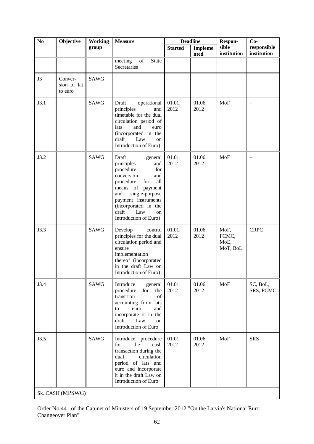| N <sub>0</sub> | Objective                         | <b>Working</b> | <b>Measure</b>                                                                                                                                                                                                                                       | <b>Deadline</b> |                 | Respon-<br>$Co-$                  |                            |  |  |  |
|----------------|-----------------------------------|----------------|------------------------------------------------------------------------------------------------------------------------------------------------------------------------------------------------------------------------------------------------------|-----------------|-----------------|-----------------------------------|----------------------------|--|--|--|
|                |                                   | group          |                                                                                                                                                                                                                                                      | <b>Started</b>  | Impleme<br>nted | sible<br>institution              | responsible<br>institution |  |  |  |
|                |                                   |                | of<br>State<br>meeting<br>Secretaries                                                                                                                                                                                                                |                 |                 |                                   |                            |  |  |  |
| J3             | Conver-<br>sion of lat<br>to euro | <b>SAWG</b>    |                                                                                                                                                                                                                                                      |                 |                 |                                   |                            |  |  |  |
| J3.1           |                                   | <b>SAWG</b>    | Draft<br>operational<br>principles<br>and<br>timetable for the dual<br>circulation period of<br>lats<br>and<br>euro<br>(incorporated in the<br>draft<br>Law<br>on<br>Introduction of Euro)                                                           | 01.01.<br>2012  | 01.06.<br>2012  | MoF                               |                            |  |  |  |
| J3.2           |                                   | <b>SAWG</b>    | Draft<br>general<br>principles<br>and<br>procedure<br>for<br>conversion<br>and<br>procedure<br>all<br>for<br>means of payment<br>single-purpose<br>and<br>payment instruments<br>(incorporated in the<br>draft<br>Law<br>on<br>Introduction of Euro) | 01.01.<br>2012  | 01.06.<br>2012  | MoF                               |                            |  |  |  |
| J3.3           |                                   | <b>SAWG</b>    | Develop<br>control<br>principles for the dual<br>circulation period and<br>ensure<br>implementation<br>thereof (incorporated<br>in the draft Law on<br>Introduction of Euro)                                                                         | 01.01.<br>2012  | 01.06.<br>2012  | MoF,<br>FCMC,<br>MoE,<br>MoT, BoL | <b>CRPC</b>                |  |  |  |
| J3.4           |                                   | <b>SAWG</b>    | Introduce<br>general<br>procedure<br>for<br>the<br>of<br>transition<br>accounting from lats<br>euro<br>and<br>to<br>incorporate it in the<br>draft<br>Law<br>on<br>Introduction of Euro                                                              | 01.01.<br>2012  | 01.06.<br>2012  | MoF                               | SC, BoL,<br>SRS, FCMC      |  |  |  |
| J3.5           |                                   | <b>SAWG</b>    | Introduce procedure<br>the<br>for<br>cash<br>transaction during the<br>circulation<br>dual<br>period of lats and<br>euro and incorporate<br>it in the draft Law on<br>Introduction of Euro                                                           | 01.01.<br>2012  | 01.06.<br>2012  | MoF                               | <b>SRS</b>                 |  |  |  |
|                | Sk. CASH (MPSWG)                  |                |                                                                                                                                                                                                                                                      |                 |                 |                                   |                            |  |  |  |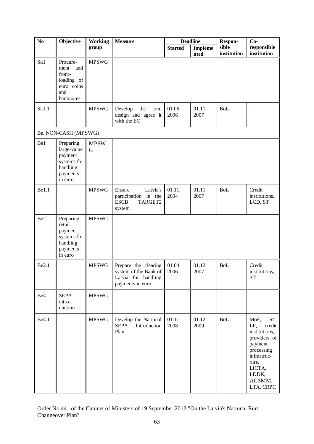| N <sub>0</sub> | Objective                                                                             | <b>Working</b>   | <b>Measure</b>                                                                                | <b>Deadline</b> |                        | Respon-              | $Co-$                                                                                                                                                    |  |
|----------------|---------------------------------------------------------------------------------------|------------------|-----------------------------------------------------------------------------------------------|-----------------|------------------------|----------------------|----------------------------------------------------------------------------------------------------------------------------------------------------------|--|
|                |                                                                                       | group            |                                                                                               | <b>Started</b>  | <b>Impleme</b><br>nted | sible<br>institution | responsible<br>institution                                                                                                                               |  |
| Sk1            | Procure-<br>and<br>ment<br>front-<br>loading of<br>euro coins<br>and<br>banknotes     | <b>MPSWG</b>     |                                                                                               |                 |                        |                      |                                                                                                                                                          |  |
| Sk1.1          |                                                                                       | <b>MPSWG</b>     | Develop<br>the<br>coin<br>design and agree it<br>with the EC                                  | 01.06.<br>2006  | 01.11.<br>2007         | <b>BoL</b>           |                                                                                                                                                          |  |
|                | Be. NON-CASH (MPSWG)                                                                  |                  |                                                                                               |                 |                        |                      |                                                                                                                                                          |  |
| Be1            | Preparing<br>large-value<br>payment<br>systems for<br>handling<br>payments<br>in euro | <b>MPSW</b><br>G |                                                                                               |                 |                        |                      |                                                                                                                                                          |  |
| Bel.1          |                                                                                       | <b>MPSWG</b>     | Ensure<br>Latvia's<br>participation in the<br><b>ESCB</b><br>TARGET2<br>system                | 01.11.<br>2004  | 01.11.<br>2007         | <b>BoL</b>           | Credit<br>institutions,<br>LCD, ST                                                                                                                       |  |
| Be2            | Preparing<br>retail<br>payment<br>systems for<br>handling<br>payments<br>in euro      | <b>MPSWG</b>     |                                                                                               |                 |                        |                      |                                                                                                                                                          |  |
| Be2.1          |                                                                                       | <b>MPSWG</b>     | Prepare the clearing<br>system of the Bank of 2006<br>Latvia for handling<br>payments in euro | 01.04.          | 01.12.<br>2007         | <b>BoL</b>           | Credit<br>institutions,<br><b>ST</b>                                                                                                                     |  |
| Be4            | <b>SEPA</b><br>intro-<br>duction                                                      | <b>MPSWG</b>     |                                                                                               |                 |                        |                      |                                                                                                                                                          |  |
| Be4.1          |                                                                                       | <b>MPSWG</b>     | Develop the National<br>Introduction<br><b>SEPA</b><br>Plan                                   | 01.11.<br>2008  | 01.12.<br>2009         | <b>BoL</b>           | MoF,<br>ST,<br>LP,<br>credit<br>institutions,<br>providers of<br>payment<br>processing<br>infrastruc-<br>ture,<br>LICTA,<br>LDDK,<br>ACSMM,<br>LTA, CRPC |  |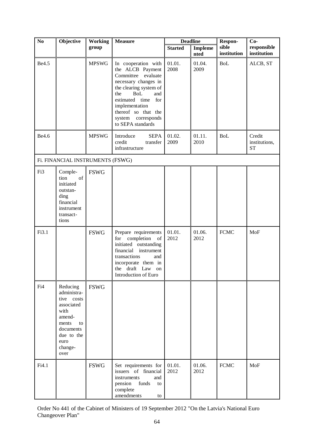| N <sub>0</sub> | Objective                                                                                                                                  | <b>Working</b> | <b>Measure</b>                                                                                                                                                                                                                                                 | <b>Deadline</b> |                        | Respon-              | $Co-$                                |
|----------------|--------------------------------------------------------------------------------------------------------------------------------------------|----------------|----------------------------------------------------------------------------------------------------------------------------------------------------------------------------------------------------------------------------------------------------------------|-----------------|------------------------|----------------------|--------------------------------------|
|                |                                                                                                                                            | group          |                                                                                                                                                                                                                                                                | <b>Started</b>  | <b>Impleme</b><br>nted | sible<br>institution | responsible<br>institution           |
| Be4.5          |                                                                                                                                            | <b>MPSWG</b>   | In cooperation with<br>the ALCB Payment<br>Committee<br>evaluate<br>necessary changes in<br>the clearing system of<br><b>BoL</b><br>the<br>and<br>for<br>estimated<br>time<br>implementation<br>thereof so that the<br>system corresponds<br>to SEPA standards | 01.01.<br>2008  | 01.04.<br>2009         | <b>BoL</b>           | ALCB, ST                             |
| Be4.6          |                                                                                                                                            | <b>MPSWG</b>   | Introduce<br><b>SEPA</b><br>credit<br>transfer<br>infrastructure                                                                                                                                                                                               | 01.02.<br>2009  | 01.11.<br>2010         | <b>BoL</b>           | Credit<br>institutions,<br><b>ST</b> |
|                | Fi. FINANCIAL INSTRUMENTS (FSWG)                                                                                                           |                |                                                                                                                                                                                                                                                                |                 |                        |                      |                                      |
| Fi3            | Comple-<br>$% \overline{a}$ of<br>tion<br>initiated<br>outstan-<br>ding<br>financial<br>instrument<br>transact-<br>tions                   | <b>FSWG</b>    |                                                                                                                                                                                                                                                                |                 |                        |                      |                                      |
| Fi3.1          |                                                                                                                                            | <b>FSWG</b>    | Prepare requirements<br>completion<br>for<br>of<br>initiated outstanding<br>financial instrument<br>transactions<br>and<br>incorporate them in<br>the draft Law on<br>Introduction of Euro                                                                     | 01.01.<br>2012  | 01.06.<br>2012         | <b>FCMC</b>          | MoF                                  |
| Fi4            | Reducing<br>administra-<br>tive costs<br>associated<br>with<br>amend-<br>ments<br>to<br>documents<br>due to the<br>euro<br>change-<br>over | <b>FSWG</b>    |                                                                                                                                                                                                                                                                |                 |                        |                      |                                      |
| Fi4.1          |                                                                                                                                            | <b>FSWG</b>    | Set requirements for<br>issuers of financial<br>instruments<br>and<br>funds<br>pension<br>to<br>complete<br>amendments<br>to                                                                                                                                   | 01.01.<br>2012  | 01.06.<br>2012         | <b>FCMC</b>          | <b>MoF</b>                           |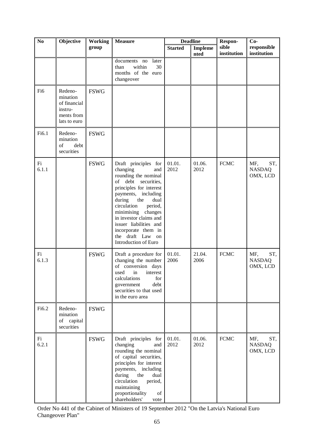| N <sub>0</sub>  | Objective                                                                    | <b>Working</b> | <b>Measure</b>                                                                                                                                                                                                                                                                                                                                 | <b>Deadline</b> |                 | $Co-$<br>Respon-     |                                         |
|-----------------|------------------------------------------------------------------------------|----------------|------------------------------------------------------------------------------------------------------------------------------------------------------------------------------------------------------------------------------------------------------------------------------------------------------------------------------------------------|-----------------|-----------------|----------------------|-----------------------------------------|
|                 |                                                                              | group          |                                                                                                                                                                                                                                                                                                                                                | <b>Started</b>  | Impleme<br>nted | sible<br>institution | $\bf{response}$<br>institution          |
|                 |                                                                              |                | later<br>documents<br>no<br>within<br>30<br>than<br>months of the euro<br>changeover                                                                                                                                                                                                                                                           |                 |                 |                      |                                         |
| F <sub>i6</sub> | Redeno-<br>mination<br>of financial<br>instru-<br>ments from<br>lats to euro | <b>FSWG</b>    |                                                                                                                                                                                                                                                                                                                                                |                 |                 |                      |                                         |
| Fi6.1           | Redeno-<br>mination<br>of<br>debt<br>securities                              | <b>FSWG</b>    |                                                                                                                                                                                                                                                                                                                                                |                 |                 |                      |                                         |
| Fi<br>6.1.1     |                                                                              | <b>FSWG</b>    | Draft principles for<br>changing<br>and<br>rounding the nominal<br>of<br>debt<br>securities,<br>principles for interest<br>payments, including<br>during<br>the<br>dual<br>circulation<br>period,<br>minimising changes<br>in investor claims and<br>issuer liabilities and<br>incorporate them in<br>the draft Law on<br>Introduction of Euro | 01.01.<br>2012  | 01.06.<br>2012  | <b>FCMC</b>          | MF,<br>ST,<br><b>NASDAQ</b><br>OMX, LCD |
| Fi<br>6.1.3     |                                                                              | <b>FSWG</b>    | Draft a procedure for<br>changing the number<br>of conversion days<br>used in interest<br>for<br>calculations<br>debt<br>government<br>securities to that used<br>in the euro area                                                                                                                                                             | 01.01.<br>2006  | 21.04.<br>2006  | <b>FCMC</b>          | MF,<br>ST,<br><b>NASDAQ</b><br>OMX, LCD |
| Fi6.2           | Redeno-<br>mination<br>of capital<br>securities                              | <b>FSWG</b>    |                                                                                                                                                                                                                                                                                                                                                |                 |                 |                      |                                         |
| Fi<br>6.2.1     |                                                                              | <b>FSWG</b>    | Draft principles for<br>changing<br>and<br>rounding the nominal<br>of capital securities,<br>principles for interest<br>payments,<br>including<br>the<br>during<br>dual<br>circulation<br>period,<br>maintaining<br>proportionality<br>of<br>shareholders'<br>vote                                                                             | 01.01.<br>2012  | 01.06.<br>2012  | <b>FCMC</b>          | MF,<br>ST,<br><b>NASDAQ</b><br>OMX, LCD |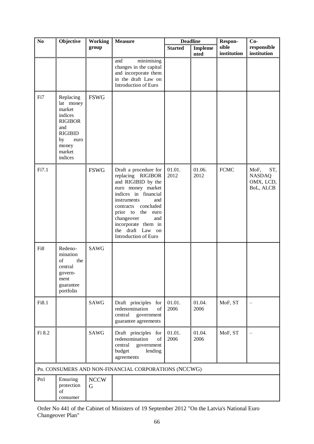| No     | Objective                                                                                                                          | <b>Working</b><br><b>Measure</b> |                                                                                                                                                                                                                                                                                  |                | <b>Deadline</b>        | $Co-$<br>Respon-     |                                                        |
|--------|------------------------------------------------------------------------------------------------------------------------------------|----------------------------------|----------------------------------------------------------------------------------------------------------------------------------------------------------------------------------------------------------------------------------------------------------------------------------|----------------|------------------------|----------------------|--------------------------------------------------------|
|        |                                                                                                                                    | group                            |                                                                                                                                                                                                                                                                                  | <b>Started</b> | <b>Impleme</b><br>nted | sible<br>institution | responsible<br>institution                             |
|        |                                                                                                                                    |                                  | minimising<br>and<br>changes in the capital<br>and incorporate them<br>in the draft Law on<br>Introduction of Euro                                                                                                                                                               |                |                        |                      |                                                        |
| Fi7    | Replacing<br>lat money<br>market<br>indices<br><b>RIGIBOR</b><br>and<br><b>RIGIBID</b><br>by<br>euro<br>money<br>market<br>indices | <b>FSWG</b>                      |                                                                                                                                                                                                                                                                                  |                |                        |                      |                                                        |
| Fi7.1  |                                                                                                                                    | <b>FSWG</b>                      | Draft a procedure for<br>replacing RIGIBOR<br>and RIGIBID by the<br>euro money market<br>indices in financial<br>instruments<br>and<br>concluded<br>contracts<br>the<br>prior to<br>euro<br>changeover<br>and<br>incorporate them in<br>the draft Law on<br>Introduction of Euro | 01.01.<br>2012 | 01.06.<br>2012         | <b>FCMC</b>          | ST,<br>MoF,<br><b>NASDAQ</b><br>OMX, LCD,<br>BoL, ALCB |
| Fi8    | Redeno-<br>mination<br>of<br>the<br>central<br>govern-<br>ment<br>guarantee<br>portfolio                                           | <b>SAWG</b>                      |                                                                                                                                                                                                                                                                                  |                |                        |                      |                                                        |
| Fi8.1  |                                                                                                                                    | <b>SAWG</b>                      | Draft principles for<br>redenomination<br>of<br>central<br>government<br>guarantee agreements                                                                                                                                                                                    | 01.01.<br>2006 | 01.04.<br>2006         | MoF, ST              |                                                        |
| Fi 8.2 |                                                                                                                                    | SAWG                             | Draft principles for<br>redenomination<br>of<br>central<br>government<br>budget<br>lending<br>agreements                                                                                                                                                                         | 01.01.<br>2006 | 01.04.<br>2006         | MoF, ST              |                                                        |
|        |                                                                                                                                    |                                  | Pn. CONSUMERS AND NON-FINANCIAL CORPORATIONS (NCCWG)                                                                                                                                                                                                                             |                |                        |                      |                                                        |
| Pn1    | Ensuring<br>protection<br>of<br>consumer                                                                                           | <b>NCCW</b><br>G                 |                                                                                                                                                                                                                                                                                  |                |                        |                      |                                                        |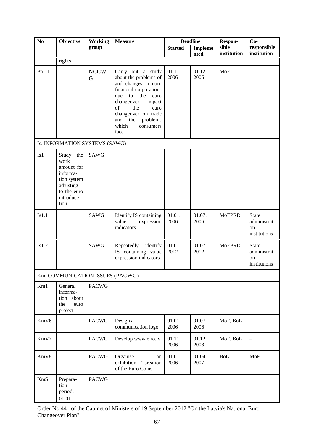| N <sub>0</sub> | Objective                                                                                                    | <b>Working</b>   | <b>Measure</b>                                                                                                                                                                                                                                    |                 | <b>Deadline</b>        | Respon-              | $Co-$                                              |
|----------------|--------------------------------------------------------------------------------------------------------------|------------------|---------------------------------------------------------------------------------------------------------------------------------------------------------------------------------------------------------------------------------------------------|-----------------|------------------------|----------------------|----------------------------------------------------|
|                |                                                                                                              | group            |                                                                                                                                                                                                                                                   | <b>Started</b>  | <b>Impleme</b><br>nted | sible<br>institution | responsible<br>institution                         |
|                | rights                                                                                                       |                  |                                                                                                                                                                                                                                                   |                 |                        |                      |                                                    |
| Pn1.1          |                                                                                                              | <b>NCCW</b><br>G | Carry out a study<br>about the problems of<br>and changes in non-<br>financial corporations<br>to the<br>due<br>euro<br>$changeover - impact$<br>of<br>the<br>euro<br>changeover on trade<br>and<br>problems<br>the<br>which<br>consumers<br>face | 01.11.<br>2006  | 01.12.<br>2006         | MoE                  |                                                    |
|                | Is. INFORMATION SYSTEMS (SAWG)                                                                               |                  |                                                                                                                                                                                                                                                   |                 |                        |                      |                                                    |
| Is1            | Study the<br>work<br>amount for<br>informa-<br>tion system<br>adjusting<br>to the euro<br>introduce-<br>tion | <b>SAWG</b>      |                                                                                                                                                                                                                                                   |                 |                        |                      |                                                    |
| Is1.1          |                                                                                                              | <b>SAWG</b>      | Identify IS containing<br>value<br>expression<br>indicators                                                                                                                                                                                       | 01.01.<br>2006. | 01.07.<br>2006.        | <b>MoEPRD</b>        | <b>State</b><br>administrati<br>on<br>institutions |
| Is1.2          |                                                                                                              | <b>SAWG</b>      | Repeatedly<br>identify<br>IS containing value<br>expression indicators                                                                                                                                                                            | 01.01.<br>2012  | 01.07.<br>2012         | <b>MoEPRD</b>        | <b>State</b><br>administrati<br>on<br>institutions |
|                | Km. COMMUNICATION ISSUES (PACWG)                                                                             |                  |                                                                                                                                                                                                                                                   |                 |                        |                      |                                                    |
| Km1            | General<br>informa-<br>tion about<br>the<br>euro<br>project                                                  | <b>PACWG</b>     |                                                                                                                                                                                                                                                   |                 |                        |                      |                                                    |
| KmV6           |                                                                                                              | <b>PACWG</b>     | Design a<br>communication logo                                                                                                                                                                                                                    | 01.01.<br>2006  | 01.07.<br>2006         | MoF, BoL             |                                                    |
| KmV7           |                                                                                                              | <b>PACWG</b>     | Develop www.eiro.lv                                                                                                                                                                                                                               | 01.11.<br>2006  | 01.12.<br>2008         | MoF, BoL             |                                                    |
| KmV8           |                                                                                                              | <b>PACWG</b>     | Organise<br>an<br>exhibition<br>"Creation<br>of the Euro Coins"                                                                                                                                                                                   | 01.01.<br>2006  | 01.04.<br>2007         | <b>BoL</b>           | MoF                                                |
| <b>KmS</b>     | Prepara-<br>tion<br>period:<br>01.01.                                                                        | <b>PACWG</b>     |                                                                                                                                                                                                                                                   |                 |                        |                      |                                                    |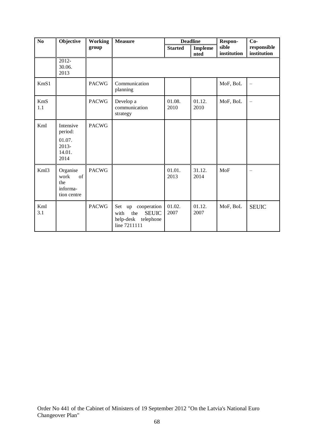| $\mathbf{N}\mathbf{o}$ | Objective                                                 | <b>Working</b> | <b>Measure</b>                                                                              | <b>Deadline</b> |                        | Respon-<br>$Co-$     |                            |
|------------------------|-----------------------------------------------------------|----------------|---------------------------------------------------------------------------------------------|-----------------|------------------------|----------------------|----------------------------|
|                        |                                                           | group          |                                                                                             | <b>Started</b>  | <b>Impleme</b><br>nted | sible<br>institution | responsible<br>institution |
|                        | 2012-<br>30.06.<br>2013                                   |                |                                                                                             |                 |                        |                      |                            |
| KmS1                   |                                                           | <b>PACWG</b>   | Communication<br>planning                                                                   |                 |                        | MoF, BoL             |                            |
| <b>KmS</b><br>1.1      |                                                           | <b>PACWG</b>   | Develop a<br>communication<br>strategy                                                      | 01.08.<br>2010  | 01.12.<br>2010         | MoF, BoL             |                            |
| KmI                    | Intensive<br>period:<br>01.07.<br>2013-<br>14.01.<br>2014 | <b>PACWG</b>   |                                                                                             |                 |                        |                      |                            |
| KmI3                   | Organise<br>of<br>work<br>the<br>informa-<br>tion centre  | <b>PACWG</b>   |                                                                                             | 01.01.<br>2013  | 31.12.<br>2014         | MoF                  |                            |
| KmI<br>3.1             |                                                           | <b>PACWG</b>   | Set up cooperation<br><b>SEUIC</b><br>with<br>the<br>help-desk<br>telephone<br>line 7211111 | 01.02.<br>2007  | 01.12.<br>2007         | MoF, BoL             | <b>SEUIC</b>               |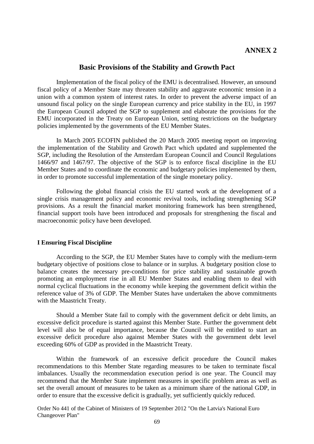#### **Basic Provisions of the Stability and Growth Pact**

Implementation of the fiscal policy of the EMU is decentralised. However, an unsound fiscal policy of a Member State may threaten stability and aggravate economic tension in a union with a common system of interest rates. In order to prevent the adverse impact of an unsound fiscal policy on the single European currency and price stability in the EU, in 1997 the European Council adopted the SGP to supplement and elaborate the provisions for the EMU incorporated in the Treaty on European Union, setting restrictions on the budgetary policies implemented by the governments of the EU Member States.

In March 2005 ECOFIN published the 20 March 2005 meeting report on improving the implementation of the Stability and Growth Pact which updated and supplemented the SGP, including the Resolution of the Amsterdam European Council and Council Regulations 1466/97 and 1467/97. The objective of the SGP is to enforce fiscal discipline in the EU Member States and to coordinate the economic and budgetary policies implemented by them, in order to promote successful implementation of the single monetary policy.

Following the global financial crisis the EU started work at the development of a single crisis management policy and economic revival tools, including strengthening SGP provisions. As a result the financial market monitoring framework has been strengthened, financial support tools have been introduced and proposals for strengthening the fiscal and macroeconomic policy have been developed.

#### **I Ensuring Fiscal Discipline**

According to the SGP, the EU Member States have to comply with the medium-term budgetary objective of positions close to balance or in surplus. A budgetary position close to balance creates the necessary pre-conditions for price stability and sustainable growth promoting an employment rise in all EU Member States and enabling them to deal with normal cyclical fluctuations in the economy while keeping the government deficit within the reference value of 3% of GDP. The Member States have undertaken the above commitments with the Maastricht Treaty.

Should a Member State fail to comply with the government deficit or debt limits, an excessive deficit procedure is started against this Member State. Further the government debt level will also be of equal importance, because the Council will be entitled to start an excessive deficit procedure also against Member States with the government debt level exceeding 60% of GDP as provided in the Maastricht Treaty.

Within the framework of an excessive deficit procedure the Council makes recommendations to this Member State regarding measures to be taken to terminate fiscal imbalances. Usually the recommendation execution period is one year. The Council may recommend that the Member State implement measures in specific problem areas as well as set the overall amount of measures to be taken as a minimum share of the national GDP, in order to ensure that the excessive deficit is gradually, yet sufficiently quickly reduced.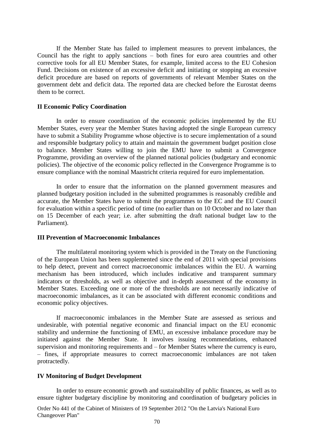If the Member State has failed to implement measures to prevent imbalances, the Council has the right to apply sanctions – both fines for euro area countries and other corrective tools for all EU Member States, for example, limited access to the EU Cohesion Fund. Decisions on existence of an excessive deficit and initiating or stopping an excessive deficit procedure are based on reports of governments of relevant Member States on the government debt and deficit data. The reported data are checked before the Eurostat deems them to be correct.

#### **II Economic Policy Coordination**

In order to ensure coordination of the economic policies implemented by the EU Member States, every year the Member States having adopted the single European currency have to submit a Stability Programme whose objective is to secure implementation of a sound and responsible budgetary policy to attain and maintain the government budget position close to balance. Member States willing to join the EMU have to submit a Convergence Programme, providing an overview of the planned national policies (budgetary and economic policies). The objective of the economic policy reflected in the Convergence Programme is to ensure compliance with the nominal Maastricht criteria required for euro implementation.

In order to ensure that the information on the planned government measures and planned budgetary position included in the submitted programmes is reasonably credible and accurate, the Member States have to submit the programmes to the EC and the EU Council for evaluation within a specific period of time (no earlier than on 10 October and no later than on 15 December of each year; i.e. after submitting the draft national budget law to the Parliament).

#### **III Prevention of Macroeconomic Imbalances**

The multilateral monitoring system which is provided in the Treaty on the Functioning of the European Union has been supplemented since the end of 2011 with special provisions to help detect, prevent and correct macroeconomic imbalances within the EU. A warning mechanism has been introduced, which includes indicative and transparent summary indicators or thresholds, as well as objective and in-depth assessment of the economy in Member States. Exceeding one or more of the thresholds are not necessarily indicative of macroeconomic imbalances, as it can be associated with different economic conditions and economic policy objectives.

 If macroeconomic imbalances in the Member State are assessed as serious and undesirable, with potential negative economic and financial impact on the EU economic stability and undermine the functioning of EMU, an excessive imbalance procedure may be initiated against the Member State. It involves issuing recommendations, enhanced supervision and monitoring requirements and – for Member States where the currency is euro, – fines, if appropriate measures to correct macroeconomic imbalances are not taken protractedly.

#### **IV Monitoring of Budget Development**

In order to ensure economic growth and sustainability of public finances, as well as to ensure tighter budgetary discipline by monitoring and coordination of budgetary policies in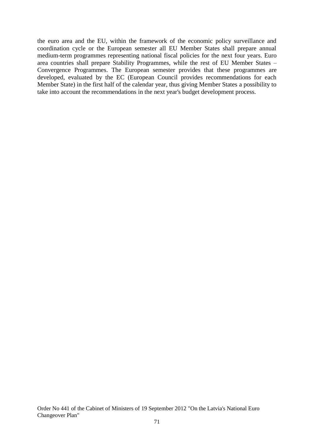the euro area and the EU, within the framework of the economic policy surveillance and coordination cycle or the European semester all EU Member States shall prepare annual medium-term programmes representing national fiscal policies for the next four years. Euro area countries shall prepare Stability Programmes, while the rest of EU Member States – Convergence Programmes. The European semester provides that these programmes are developed, evaluated by the EC (European Council provides recommendations for each Member State) in the first half of the calendar year, thus giving Member States a possibility to take into account the recommendations in the next year's budget development process.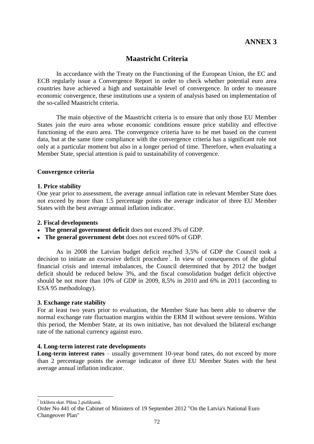### **Maastricht Criteria**

In accordance with the Treaty on the Functioning of the European Union, the EC and ECB regularly issue a Convergence Report in order to check whether potential euro area countries have achieved a high and sustainable level of convergence. In order to measure economic convergence, these institutions use a system of analysis based on implementation of the so-called Maastricht criteria.

The main objective of the Maastricht criteria is to ensure that only those EU Member States join the euro area whose economic conditions ensure price stability and effective functioning of the euro area. The convergence criteria have to be met based on the current data, but at the same time compliance with the convergence criteria has a significant role not only at a particular moment but also in a longer period of time. Therefore, when evaluating a Member State, special attention is paid to sustainability of convergence.

#### **Convergence criteria**

#### **1. Price stability**

One year prior to assessment, the average annual inflation rate in relevant Member State does not exceed by more than 1.5 percentage points the average indicator of three EU Member States with the best average annual inflation indicator.

#### **2. Fiscal developments**

- **The general government deficit** does not exceed 3% of GDP.
- **The general government debt** does not exceed 60% of GDP.

As in 2008 the Latvian budget deficit reached 3,5% of GDP the Council took a decision to initiate an excessive deficit procedure<sup>7</sup>. In view of consequences of the global financial crisis and internal imbalances, the Council determined that by 2012 the budget deficit should be reduced below 3%, and the fiscal consolidation budget deficit objective should be not more than 10% of GDP in 2009, 8,5% in 2010 and 6% in 2011 (according to ESA 95 methodology).

#### **3. Exchange rate stability**

For at least two years prior to evaluation, the Member State has been able to observe the normal exchange rate fluctuation margins within the ERM II without severe tensions. Within this period, the Member State, at its own initiative, has not devalued the bilateral exchange rate of the national currency against euro.

#### **4. Long-term interest rate developments**

**Long-term interest rates** – usually government 10-year bond rates, do not exceed by more than 2 percentage points the average indicator of three EU Member States with the best average annual inflation indicator.

7 Izklāstu skat. Plāna 2.pielikumā.

 $\overline{a}$ 

Order No 441 of the Cabinet of Ministers of 19 September 2012 "On the Latvia's National Euro Changeover Plan"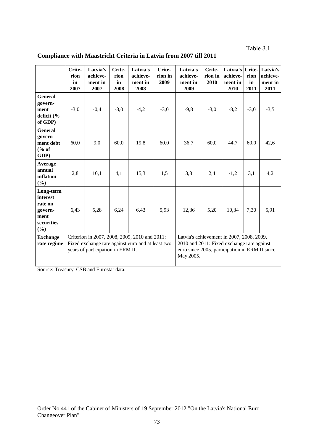Table 3.1

| Compliance with Maastricht Criteria in Latvia from 2007 till 2011 |  |
|-------------------------------------------------------------------|--|
|                                                                   |  |

|                                                                          | Crite-<br>rion<br>in<br>2007                                                                                                                                                                                                                                                                      | Latvia's<br>achieve-<br>ment in<br>2007 | Crite-<br>rion<br>in<br>2008 | Latvia's<br>achieve-<br>ment in<br>2008 | Crite-<br>rion in<br>2009 | Latvia's<br>achieve-<br>ment in<br>2009 | Crite-<br>rion in<br>2010 | achieve-<br>ment in<br>2010 | rion<br>in<br>2011 | Latvia's Crite- Latvia's<br>achieve-<br>ment in<br>2011 |
|--------------------------------------------------------------------------|---------------------------------------------------------------------------------------------------------------------------------------------------------------------------------------------------------------------------------------------------------------------------------------------------|-----------------------------------------|------------------------------|-----------------------------------------|---------------------------|-----------------------------------------|---------------------------|-----------------------------|--------------------|---------------------------------------------------------|
| General<br>govern-<br>ment<br>deficit (%<br>of GDP)                      | $-3,0$                                                                                                                                                                                                                                                                                            | $-0,4$                                  | $-3,0$                       | $-4,2$                                  | $-3,0$                    | $-9,8$                                  | $-3,0$                    | $-8,2$                      | $-3,0$             | $-3,5$                                                  |
| General<br>govern-<br>ment debt<br>% of<br>GDP)                          | 60,0                                                                                                                                                                                                                                                                                              | 9,0                                     | 60,0                         | 19,8                                    | 60,0                      | 36,7                                    | 60,0                      | 44,7                        | 60,0               | 42,6                                                    |
| <b>Average</b><br>annual<br>inflation<br>$(\%)$                          | 2,8                                                                                                                                                                                                                                                                                               | 10,1                                    | 4,1                          | 15,3                                    | 1,5                       | 3,3                                     | 2,4                       | $-1,2$                      | 3,1                | 4,2                                                     |
| Long-term<br>interest<br>rate on<br>govern-<br>ment<br>securities<br>(%) | 6,43                                                                                                                                                                                                                                                                                              | 5,28                                    | 6,24                         | 6,43                                    | 5,93                      | 12,36                                   | 5,20                      | 10,34                       | 7,30               | 5,91                                                    |
| <b>Exchange</b><br>rate regime                                           | Criterion in 2007, 2008, 2009, 2010 and 2011:<br>Latvia's achievement in 2007, 2008, 2009,<br>Fixed exchange rate against euro and at least two<br>2010 and 2011: Fixed exchange rate against<br>years of participation in ERM II.<br>euro since 2005, participation in ERM II since<br>May 2005. |                                         |                              |                                         |                           |                                         |                           |                             |                    |                                                         |

Source: Treasury, CSB and Eurostat data.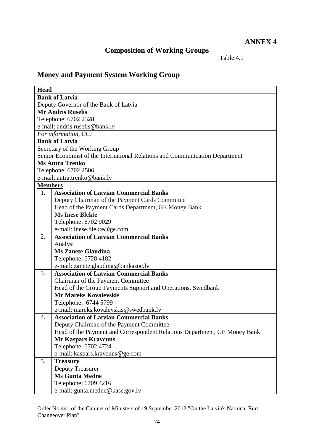**ANNEX 4**

### **Composition of Working Groups**

Table 4.1

## **Money and Payment System Working Group**

| <b>Head</b>    |                                                                              |
|----------------|------------------------------------------------------------------------------|
|                | <b>Bank of Latvia</b>                                                        |
|                | Deputy Governor of the Bank of Latvia                                        |
|                | <b>Mr Andris Ruselis</b>                                                     |
|                | Telephone: 6702 2328                                                         |
|                | e-mail: andris.ruselis@bank.lv                                               |
|                | For information, CC:                                                         |
|                | <b>Bank of Latvia</b>                                                        |
|                | Secretary of the Working Group                                               |
|                | Senior Economist of the International Relations and Communication Department |
|                | <b>Ms Antra Trenko</b>                                                       |
|                | Telephone: 6702 2506                                                         |
|                | e-mail: antra.trenko@bank.lv                                                 |
| <b>Members</b> |                                                                              |
| 1.             | <b>Association of Latvian Commercial Banks</b>                               |
|                | Deputy Chairman of the Payment Cards Committee                               |
|                | Head of the Payment Cards Department, GE Money Bank                          |
|                | <b>Ms Inese Blekte</b>                                                       |
|                | Telephone: 6702 9029                                                         |
|                | e-mail: inese.blekte@ge.com                                                  |
| 2.             | <b>Association of Latvian Commercial Banks</b>                               |
|                | Analyst                                                                      |
|                | <b>Ms Zanete Glaudina</b>                                                    |
|                | Telephone: 6728 4182                                                         |
|                | e-mail: zanete.glaudina@bankasoc.lv                                          |
| 3.             | <b>Association of Latvian Commercial Banks</b>                               |
|                | Chairman of the Payment Committee                                            |
|                | Head of the Group Payments Support and Operations, Swedbank                  |
|                | <b>Mr Mareks Kovalevskis</b>                                                 |
|                | Telephone: 6744 5799                                                         |
|                | e-mail: mareks.kovalevskis@swedbank.lv                                       |
| 4.             | <b>Association of Latvian Commercial Banks</b>                               |
|                | Deputy Chairman of the Payment Committee                                     |
|                | Head of the Payment and Correspondent Relations Department, GE Money Bank    |
|                | <b>Mr Kaspars Kravcuns</b>                                                   |
|                | Telephone: 6702 4724                                                         |
|                | e-mail: kaspars.kravcuns@ge.com                                              |
| 5.             | <b>Treasury</b>                                                              |
|                | <b>Deputy Treasurer</b>                                                      |
|                | <b>Ms Gunta Medne</b>                                                        |
|                | Telephone: 6709 4216                                                         |
|                | e-mail: gunta.medne@kase.gov.lv                                              |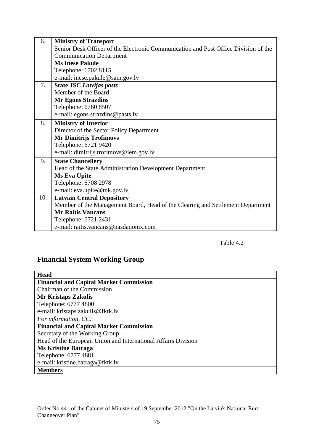| 6.  | <b>Ministry of Transport</b>                                                        |
|-----|-------------------------------------------------------------------------------------|
|     | Senior Desk Officer of the Electronic Communication and Post Office Division of the |
|     | <b>Communication Department</b>                                                     |
|     | <b>Ms Inese Pakule</b>                                                              |
|     | Telephone: 6702 8115                                                                |
|     | e-mail: inese.pakule@sam.gov.lv                                                     |
| 7.  | <b>State JSC Latvijas pasts</b>                                                     |
|     | Member of the Board                                                                 |
|     | <b>Mr Egons Strazdins</b>                                                           |
|     | Telephone: 6760 8507                                                                |
|     | e-mail: egons.strazdins@pasts.lv                                                    |
| 8.  | <b>Ministry of Interior</b>                                                         |
|     | Director of the Sector Policy Department                                            |
|     | <b>Mr Dimitrijs Trofimovs</b>                                                       |
|     | Telephone: 6721 9420                                                                |
|     | e-mail: dimitrijs.trofimovs@iem.gov.lv                                              |
| 9.  | <b>State Chancellery</b>                                                            |
|     | Head of the State Administration Development Department                             |
|     | <b>Ms Eva Upite</b>                                                                 |
|     | Telephone: 6708 2978                                                                |
|     | e-mail: eva.upite@mk.gov.lv                                                         |
| 10. | <b>Latvian Central Depository</b>                                                   |
|     | Member of the Management Board, Head of the Clearing and Settlement Department      |
|     | <b>Mr Raitis Vancans</b>                                                            |
|     | Telephone: 6721 2431                                                                |
|     | e-mail: raitis.vancans@nasdaqomx.com                                                |

Table 4.2

## **Financial System Working Group**

| <b>Head</b>                                                   |
|---------------------------------------------------------------|
| <b>Financial and Capital Market Commission</b>                |
| Chairman of the Commission                                    |
| <b>Mr Kristaps Zakulis</b>                                    |
| Telephone: 6777 4800                                          |
| e-mail: kristaps.zakulis@fktk.lv                              |
| For information, CC:                                          |
| <b>Financial and Capital Market Commission</b>                |
| Secretary of the Working Group                                |
| Head of the European Union and International Affairs Division |
| <b>Ms Kristine Batraga</b>                                    |
| Telephone: 6777 4881                                          |
| e-mail: kristine.batraga@fktk.lv                              |
| <b>Members</b>                                                |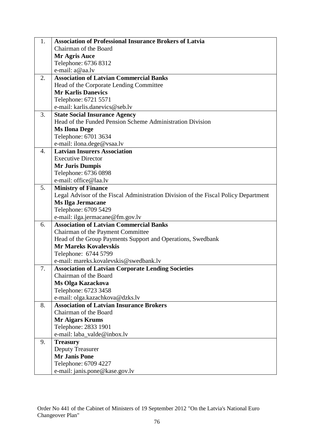| 1.               | <b>Association of Professional Insurance Brokers of Latvia</b>                      |
|------------------|-------------------------------------------------------------------------------------|
|                  | Chairman of the Board                                                               |
|                  | <b>Mr Agris Auce</b>                                                                |
|                  | Telephone: 6736 8312                                                                |
|                  | e-mail: a@aa.lv                                                                     |
| 2.               | <b>Association of Latvian Commercial Banks</b>                                      |
|                  | Head of the Corporate Lending Committee                                             |
|                  | <b>Mr Karlis Danevics</b>                                                           |
|                  | Telephone: 6721 5571                                                                |
|                  | e-mail: karlis.danevics@seb.lv                                                      |
| 3.               | <b>State Social Insurance Agency</b>                                                |
|                  | Head of the Funded Pension Scheme Administration Division                           |
|                  | <b>Ms Ilona Dege</b>                                                                |
|                  | Telephone: 6701 3634                                                                |
|                  | e-mail: ilona.dege@vsaa.lv                                                          |
| $\overline{4}$ . | <b>Latvian Insurers Association</b>                                                 |
|                  | <b>Executive Director</b>                                                           |
|                  | <b>Mr Juris Dumpis</b>                                                              |
|                  | Telephone: 6736 0898                                                                |
|                  | e-mail: office@laa.lv                                                               |
| 5.               | <b>Ministry of Finance</b>                                                          |
|                  | Legal Advisor of the Fiscal Administration Division of the Fiscal Policy Department |
|                  | <b>Ms Ilga Jermacane</b>                                                            |
|                  | Telephone: 6709 5429                                                                |
|                  | e-mail: ilga.jermacane@fm.gov.lv                                                    |
| 6.               | <b>Association of Latvian Commercial Banks</b>                                      |
|                  | Chairman of the Payment Committee                                                   |
|                  | Head of the Group Payments Support and Operations, Swedbank                         |
|                  | <b>Mr Mareks Kovalevskis</b>                                                        |
|                  | Telephone: 6744 5799                                                                |
|                  | e-mail: mareks.kovalevskis@swedbank.lv                                              |
| 7.               | <b>Association of Latvian Corporate Lending Societies</b>                           |
|                  | Chairman of the Board                                                               |
|                  | Ms Olga Kazackova                                                                   |
|                  | Telephone: 6723 3458                                                                |
|                  | e-mail: olga.kazachkova@dzks.lv                                                     |
| 8.               | <b>Association of Latvian Insurance Brokers</b>                                     |
|                  | Chairman of the Board                                                               |
|                  | <b>Mr Aigars Krums</b>                                                              |
|                  | Telephone: 2833 1901                                                                |
|                  | e-mail: laba_valde@inbox.lv                                                         |
| 9.               | <b>Treasury</b>                                                                     |
|                  | <b>Deputy Treasurer</b>                                                             |
|                  | <b>Mr Janis Pone</b>                                                                |
|                  | Telephone: 6709 4227                                                                |
|                  | e-mail: janis.pone@kase.gov.lv                                                      |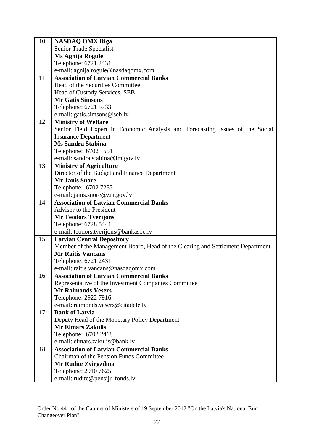| 10. | <b>NASDAQ OMX Riga</b>                                                         |
|-----|--------------------------------------------------------------------------------|
|     | Senior Trade Specialist                                                        |
|     | Ms Agnija Rogule                                                               |
|     | Telephone: 6721 2431                                                           |
|     | e-mail: agnija.rogule@nasdaqomx.com                                            |
| 11. | <b>Association of Latvian Commercial Banks</b>                                 |
|     | Head of the Securities Committee                                               |
|     | Head of Custody Services, SEB                                                  |
|     | <b>Mr Gatis Simsons</b>                                                        |
|     | Telephone: 6721 5733                                                           |
|     | e-mail: gatis.simsons@seb.lv                                                   |
| 12. | <b>Ministry of Welfare</b>                                                     |
|     | Senior Field Expert in Economic Analysis and Forecasting Issues of the Social  |
|     | <b>Insurance Department</b>                                                    |
|     | <b>Ms Sandra Stabina</b>                                                       |
|     | Telephone: 6702 1551                                                           |
|     | e-mail: sandra.stabina@lm.gov.lv                                               |
| 13. | <b>Ministry of Agriculture</b>                                                 |
|     | Director of the Budget and Finance Department                                  |
|     | <b>Mr Janis Snore</b>                                                          |
|     | Telephone: 6702 7283                                                           |
|     | e-mail: janis.snore@zm.gov.lv                                                  |
| 14. | <b>Association of Latvian Commercial Banks</b>                                 |
|     | Advisor to the President                                                       |
|     | <b>Mr Teodors Tverijons</b>                                                    |
|     | Telephone: 6728 5441                                                           |
|     | e-mail: teodors.tverijons@bankasoc.lv                                          |
| 15. | <b>Latvian Central Depository</b>                                              |
|     | Member of the Management Board, Head of the Clearing and Settlement Department |
|     | <b>Mr Raitis Vancans</b>                                                       |
|     | Telephone: 6721 2431                                                           |
|     | e-mail: raitis.vancans@nasdaqomx.com                                           |
| 16. | <b>Association of Latvian Commercial Banks</b>                                 |
|     | Representative of the Investment Companies Committee                           |
|     | <b>Mr Raimonds Vesers</b>                                                      |
|     | Telephone: 2922 7916<br>e-mail: raimonds.vesers@citadele.lv                    |
| 17. | <b>Bank of Latvia</b>                                                          |
|     | Deputy Head of the Monetary Policy Department                                  |
|     | <b>Mr Elmars Zakulis</b>                                                       |
|     | Telephone: 6702 2418                                                           |
|     | e-mail: elmars.zakulis@bank.lv                                                 |
| 18. | <b>Association of Latvian Commercial Banks</b>                                 |
|     | Chairman of the Pension Funds Committee                                        |
|     | <b>Mr Rudite Zvirgzdina</b>                                                    |
|     | Telephone: 2910 7625                                                           |
|     | e-mail: rudite@pensiju-fonds.lv                                                |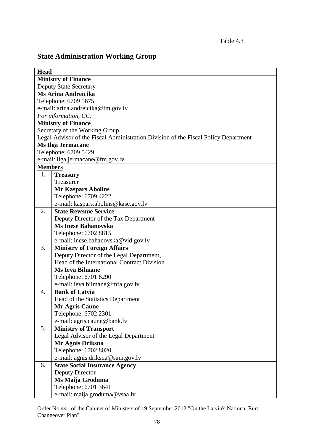# **State Administration Working Group**

| <b>Head</b>                                                                         |  |
|-------------------------------------------------------------------------------------|--|
| <b>Ministry of Finance</b>                                                          |  |
| <b>Deputy State Secretary</b>                                                       |  |
| <b>Ms Arina Andreicika</b>                                                          |  |
| Telephone: 6709 5675                                                                |  |
| e-mail: arina.andreicika@fm.gov.lv                                                  |  |
| For information, CC:                                                                |  |
| <b>Ministry of Finance</b>                                                          |  |
| Secretary of the Working Group                                                      |  |
| Legal Advisor of the Fiscal Administration Division of the Fiscal Policy Department |  |
| <b>Ms Ilga Jermacane</b>                                                            |  |
| Telephone: 6709 5429                                                                |  |
| e-mail: ilga.jermacane@fm.gov.lv                                                    |  |
| <b>Members</b>                                                                      |  |
| 1.<br><b>Treasury</b>                                                               |  |
| Treasurer                                                                           |  |
| <b>Mr Kaspars Abolins</b>                                                           |  |
| Telephone: 6709 4222                                                                |  |
| e-mail: kaspars.abolins@kase.gov.lv                                                 |  |
| <b>State Revenue Service</b><br>2.                                                  |  |
| Deputy Director of the Tax Department                                               |  |
| <b>Ms Inese Bahanovska</b>                                                          |  |
| Telephone: 6702 8815                                                                |  |
| e-mail: inese.bahanovska@vid.gov.lv                                                 |  |
| <b>Ministry of Foreign Affairs</b><br>3.                                            |  |
| Deputy Director of the Legal Department,                                            |  |
| Head of the International Contract Division                                         |  |
| <b>Ms Ieva Bilmane</b>                                                              |  |
| Telephone: 6701 6290                                                                |  |
| e-mail: ieva.bilmane@mfa.gov.lv                                                     |  |
| <b>Bank of Latvia</b><br>4.                                                         |  |
| Head of the Statistics Department                                                   |  |
| <b>Mr Agris Caune</b>                                                               |  |
| Telephone: 6702 2301                                                                |  |
| e-mail: agris.caune@bank.lv                                                         |  |
| 5.<br><b>Ministry of Transport</b>                                                  |  |
| Legal Advisor of the Legal Department                                               |  |
| Mr Agnis Driksna                                                                    |  |
| Telephone: 6702 8020                                                                |  |
| e-mail: agnis.driksna@sam.gov.lv                                                    |  |
| <b>State Social Insurance Agency</b><br>6.                                          |  |
| Deputy Director                                                                     |  |
| Ms Maija Groduma                                                                    |  |
| Telephone: 6701 3641                                                                |  |
| e-mail: maija.groduma@vsaa.lv                                                       |  |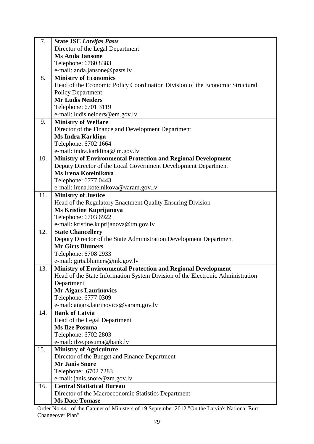| 7.  | <b>State JSC Latvijas Pasts</b>                                                                   |
|-----|---------------------------------------------------------------------------------------------------|
|     | Director of the Legal Department                                                                  |
|     | <b>Ms Anda Jansone</b>                                                                            |
|     | Telephone: 6760 8383                                                                              |
|     | e-mail: anda.jansone@pasts.lv                                                                     |
| 8.  | <b>Ministry of Economics</b>                                                                      |
|     | Head of the Economic Policy Coordination Division of the Economic Structural                      |
|     | <b>Policy Department</b>                                                                          |
|     | <b>Mr Ludis Neiders</b>                                                                           |
|     | Telephone: 6701 3119                                                                              |
|     | e-mail: ludis.neiders@em.gov.lv                                                                   |
| 9.  | <b>Ministry of Welfare</b>                                                                        |
|     | Director of the Finance and Development Department                                                |
|     | Ms Indra Karklina                                                                                 |
|     | Telephone: 6702 1664                                                                              |
|     | e-mail: indra.karklina@lm.gov.lv                                                                  |
| 10. | <b>Ministry of Environmental Protection and Regional Development</b>                              |
|     | Deputy Director of the Local Government Development Department                                    |
|     | Ms Irena Kotelnikova                                                                              |
|     | Telephone: 6777 0443                                                                              |
|     | e-mail: irena.kotelnikova@varam.gov.lv                                                            |
| 11. | <b>Ministry of Justice</b>                                                                        |
|     | Head of the Regulatory Enactment Quality Ensuring Division                                        |
|     | Ms Kristine Kuprijanova                                                                           |
|     | Telephone: 6703 6922                                                                              |
|     | e-mail: kristine.kuprijanova@tm.gov.lv                                                            |
| 12. | <b>State Chancellery</b>                                                                          |
|     | Deputy Director of the State Administration Development Department                                |
|     | <b>Mr Girts Blumers</b>                                                                           |
|     | Telephone: 6708 2933                                                                              |
|     | e-mail: girts.blumers@mk.gov.lv                                                                   |
| 13. | <b>Ministry of Environmental Protection and Regional Development</b>                              |
|     | Head of the State Information System Division of the Electronic Administration                    |
|     | Department                                                                                        |
|     | <b>Mr Aigars Laurinovics</b>                                                                      |
|     | Telephone: 6777 0309                                                                              |
|     | e-mail: aigars.laurinovics@varam.gov.lv                                                           |
| 14. | <b>Bank of Latvia</b>                                                                             |
|     | Head of the Legal Department                                                                      |
|     | <b>Ms Ilze Posuma</b>                                                                             |
|     | Telephone: 6702 2803                                                                              |
|     | e-mail: ilze.posuma@bank.lv                                                                       |
| 15. | <b>Ministry of Agriculture</b>                                                                    |
|     | Director of the Budget and Finance Department                                                     |
|     | <b>Mr Janis Snore</b>                                                                             |
|     | Telephone: 6702 7283                                                                              |
|     | e-mail: janis.snore@zm.gov.lv                                                                     |
| 16. | <b>Central Statistical Bureau</b>                                                                 |
|     | Director of the Macroeconomic Statistics Department                                               |
|     | <b>Ms Dace Tomase</b>                                                                             |
|     | £10 Contambon 2012 "On the Lattick Not<br>$f_{\text{obs}}$ $C_{\text{obs}}$ is at of Ministers of |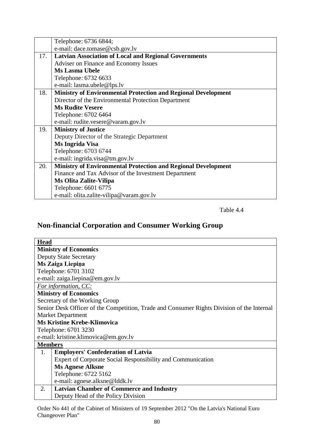|     | Telephone: 6736 6844;                                                |
|-----|----------------------------------------------------------------------|
|     | e-mail: dace.tomase@csb.gov.lv                                       |
| 17. | <b>Latvian Association of Local and Regional Governments</b>         |
|     | Adviser on Finance and Economy Issues                                |
|     | <b>Ms Lasma Ubele</b>                                                |
|     | Telephone: 6732 6633                                                 |
|     | e-mail: lasma.ubele@lps.lv                                           |
| 18. | <b>Ministry of Environmental Protection and Regional Development</b> |
|     | Director of the Environmental Protection Department                  |
|     | <b>Ms Rudite Vesere</b>                                              |
|     | Telephone: 6702 6464                                                 |
|     | e-mail: rudite.vesere@varam.gov.lv                                   |
| 19. | <b>Ministry of Justice</b>                                           |
|     | Deputy Director of the Strategic Department                          |
|     | Ms Ingrida Visa                                                      |
|     | Telephone: 6703 6744                                                 |
|     | e-mail: ingrida.visa@tm.gov.lv                                       |
| 20. | <b>Ministry of Environmental Protection and Regional Development</b> |
|     | Finance and Tax Advisor of the Investment Department                 |
|     | <b>Ms Olita Zalite-Vilipa</b>                                        |
|     | Telephone: 6601 6775                                                 |
|     | e-mail: olita.zalite-vilipa@varam.gov.lv                             |

Table 4.4

# **Non-financial Corporation and Consumer Working Group**

| <b>Head</b>                                                                                |
|--------------------------------------------------------------------------------------------|
| <b>Ministry of Economics</b>                                                               |
| <b>Deputy State Secretary</b>                                                              |
| Ms Zaiga Liepiņa                                                                           |
| Telephone: 6701 3102                                                                       |
| e-mail: zaiga.liepina@em.gov.lv                                                            |
| For information, CC:                                                                       |
| <b>Ministry of Economics</b>                                                               |
| Secretary of the Working Group                                                             |
| Senior Desk Officer of the Competition, Trade and Consumer Rights Division of the Internal |
| <b>Market Department</b>                                                                   |
| <b>Ms Kristine Krebe-Klimovica</b>                                                         |
| Telephone: 6701 3230                                                                       |
| e-mail: kristine.klimovica@em.gov.lv                                                       |
| <b>Members</b>                                                                             |
| <b>Employers' Confederation of Latvia</b><br>1.                                            |
| Expert of Corporate Social Responsibility and Communication                                |
| <b>Ms Agnese Alksne</b>                                                                    |
| Telephone: 6722 5162                                                                       |
| e-mail: agnese.alksne@lddk.lv                                                              |
| <b>Latvian Chamber of Commerce and Industry</b><br>2.                                      |
| Deputy Head of the Policy Division                                                         |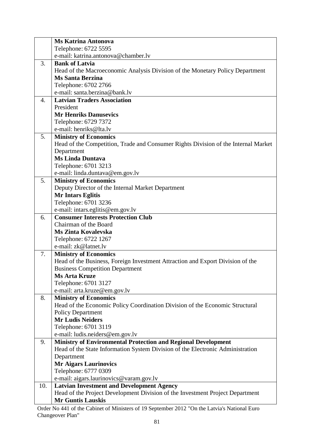|     | <b>Ms Katrina Antonova</b>                                                         |
|-----|------------------------------------------------------------------------------------|
|     | Telephone: 6722 5595                                                               |
|     | e-mail: katrina.antonova@chamber.lv                                                |
| 3.  | <b>Bank of Latvia</b>                                                              |
|     | Head of the Macroeconomic Analysis Division of the Monetary Policy Department      |
|     | <b>Ms Santa Berzina</b>                                                            |
|     | Telephone: 6702 2766                                                               |
|     | e-mail: santa.berzina@bank.lv                                                      |
| 4.  | <b>Latvian Traders Association</b>                                                 |
|     | President                                                                          |
|     | <b>Mr Henriks Danusevics</b>                                                       |
|     | Telephone: 6729 7372                                                               |
|     | e-mail: henriks@lta.lv                                                             |
| 5.  | <b>Ministry of Economics</b>                                                       |
|     | Head of the Competition, Trade and Consumer Rights Division of the Internal Market |
|     | Department                                                                         |
|     | <b>Ms Linda Duntava</b>                                                            |
|     | Telephone: 6701 3213                                                               |
|     | e-mail: linda.duntava@em.gov.lv                                                    |
| 5.  | <b>Ministry of Economics</b>                                                       |
|     | Deputy Director of the Internal Market Department                                  |
|     | <b>Mr Intars Eglitis</b>                                                           |
|     | Telephone: 6701 3236                                                               |
|     | e-mail: intars.eglitis@em.gov.lv                                                   |
| 6.  | <b>Consumer Interests Protection Club</b>                                          |
|     | Chairman of the Board                                                              |
|     | <b>Ms Zinta Kovalevska</b>                                                         |
|     | Telephone: 6722 1267                                                               |
|     | e-mail: zk@latnet.lv                                                               |
| 7.  | <b>Ministry of Economics</b>                                                       |
|     | Head of the Business, Foreign Investment Attraction and Export Division of the     |
|     | <b>Business Competition Department</b>                                             |
|     | <b>Ms Arta Kruze</b>                                                               |
|     | Telephone: 6701 3127                                                               |
|     | e-mail: arta.kruze@em.gov.lv                                                       |
| 8.  | <b>Ministry of Economics</b>                                                       |
|     | Head of the Economic Policy Coordination Division of the Economic Structural       |
|     | <b>Policy Department</b>                                                           |
|     | <b>Mr Ludis Neiders</b>                                                            |
|     | Telephone: 6701 3119                                                               |
|     | e-mail: ludis.neiders@em.gov.lv                                                    |
| 9.  | <b>Ministry of Environmental Protection and Regional Development</b>               |
|     | Head of the State Information System Division of the Electronic Administration     |
|     | Department                                                                         |
|     | <b>Mr Aigars Laurinovics</b>                                                       |
|     | Telephone: 6777 0309                                                               |
|     | e-mail: aigars.laurinovics@varam.gov.lv                                            |
| 10. | <b>Latvian Investment and Development Agency</b>                                   |
|     | Head of the Project Development Division of the Investment Project Department      |
|     | <b>Mr Guntis Lauskis</b>                                                           |
|     |                                                                                    |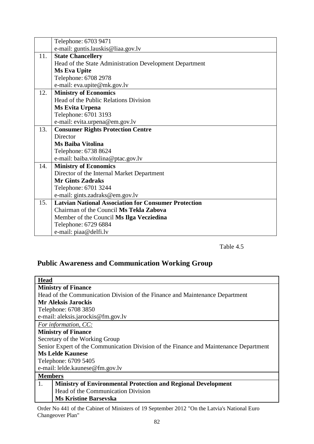|     | Telephone: 6703 9471                                        |
|-----|-------------------------------------------------------------|
|     | e-mail: guntis.lauskis@liaa.gov.lv                          |
| 11. | <b>State Chancellery</b>                                    |
|     | Head of the State Administration Development Department     |
|     | <b>Ms Eva Upite</b>                                         |
|     | Telephone: 6708 2978                                        |
|     | e-mail: eva.upite@mk.gov.lv                                 |
| 12. | <b>Ministry of Economics</b>                                |
|     | Head of the Public Relations Division                       |
|     | <b>Ms Evita Urpena</b>                                      |
|     | Telephone: 6701 3193                                        |
|     | e-mail: evita.urpena@em.gov.lv                              |
| 13. | <b>Consumer Rights Protection Centre</b>                    |
|     | Director                                                    |
|     | Ms Baiba Vitolina                                           |
|     | Telephone: 6738 8624                                        |
|     | e-mail: baiba.vitolina@ptac.gov.lv                          |
| 14. | <b>Ministry of Economics</b>                                |
|     | Director of the Internal Market Department                  |
|     | <b>Mr Gints Zadraks</b>                                     |
|     | Telephone: 6701 3244                                        |
|     | e-mail: gints.zadraks@em.gov.lv                             |
| 15. | <b>Latvian National Association for Consumer Protection</b> |
|     | Chairman of the Council Ms Tekla Zabova                     |
|     | Member of the Council Ms Ilga Vecziedina                    |
|     | Telephone: 6729 6884                                        |
|     | e-mail: piaa@delfi.lv                                       |

Table 4.5

### **Public Awareness and Communication Working Group**

| <b>Head</b>                                                                           |  |  |
|---------------------------------------------------------------------------------------|--|--|
| <b>Ministry of Finance</b>                                                            |  |  |
| Head of the Communication Division of the Finance and Maintenance Department          |  |  |
| <b>Mr Aleksis Jarockis</b>                                                            |  |  |
| Telephone: 6708 3850                                                                  |  |  |
| e-mail: aleksis.jarockis@fm.gov.lv                                                    |  |  |
| For information, CC:                                                                  |  |  |
| <b>Ministry of Finance</b>                                                            |  |  |
| Secretary of the Working Group                                                        |  |  |
| Senior Expert of the Communication Division of the Finance and Maintenance Department |  |  |
| <b>Ms Lelde Kaunese</b>                                                               |  |  |
| Telephone: 6709 5405                                                                  |  |  |
| e-mail: lelde.kaunese@fm.gov.lv                                                       |  |  |
| <b>Members</b>                                                                        |  |  |
| 1.<br><b>Ministry of Environmental Protection and Regional Development</b>            |  |  |
| Head of the Communication Division                                                    |  |  |
| <b>Ms Kristine Barsevska</b>                                                          |  |  |
|                                                                                       |  |  |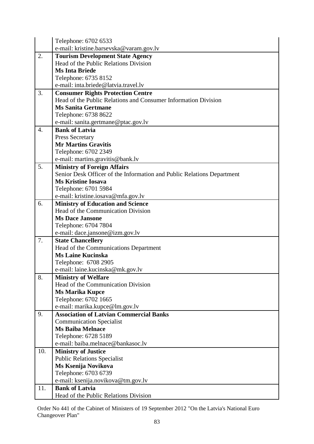|     | Telephone: 6702 6533                                                             |
|-----|----------------------------------------------------------------------------------|
|     | e-mail: kristine.barsevska@varam.gov.lv                                          |
| 2.  | <b>Tourism Development State Agency</b>                                          |
|     | Head of the Public Relations Division                                            |
|     | <b>Ms Inta Briede</b>                                                            |
|     | Telephone: 6735 8152                                                             |
|     | e-mail: inta.briede@latvia.travel.lv                                             |
| 3.  | <b>Consumer Rights Protection Centre</b>                                         |
|     | Head of the Public Relations and Consumer Information Division                   |
|     | <b>Ms Sanita Gertmane</b>                                                        |
|     | Telephone: 6738 8622                                                             |
|     | e-mail: sanita.gertmane@ptac.gov.lv                                              |
| 4.  | <b>Bank of Latvia</b>                                                            |
|     | Press Secretary                                                                  |
|     | <b>Mr Martins Gravitis</b>                                                       |
|     | Telephone: 6702 2349                                                             |
|     | e-mail: martins.gravitis@bank.lv                                                 |
| 5.  | <b>Ministry of Foreign Affairs</b>                                               |
|     | Senior Desk Officer of the Information and Public Relations Department           |
|     | <b>Ms Kristine Iosava</b>                                                        |
|     | Telephone: 6701 5984                                                             |
|     | e-mail: kristine.iosava@mfa.gov.lv                                               |
| 6.  | <b>Ministry of Education and Science</b>                                         |
|     | Head of the Communication Division                                               |
|     | <b>Ms Dace Jansone</b>                                                           |
|     | Telephone: 6704 7804                                                             |
|     | e-mail: dace.jansone@izm.gov.lv                                                  |
| 7.  | <b>State Chancellery</b>                                                         |
|     | Head of the Communications Department                                            |
|     | <b>Ms Laine Kucinska</b>                                                         |
|     | Telephone: 6708 2905                                                             |
|     | e-mail: laine.kucinska@mk.gov.lv                                                 |
| 8.  | <b>Ministry of Welfare</b>                                                       |
|     | Head of the Communication Division                                               |
|     | <b>Ms Marika Kupce</b>                                                           |
|     | Telephone: 6702 1665                                                             |
|     | e-mail: marika.kupce@lm.gov.lv<br><b>Association of Latvian Commercial Banks</b> |
| 9.  | <b>Communication Specialist</b>                                                  |
|     | <b>Ms Baiba Melnace</b>                                                          |
|     | Telephone: 6728 5189                                                             |
|     | e-mail: baiba.melnace@bankasoc.lv                                                |
| 10. |                                                                                  |
|     | <b>Ministry of Justice</b><br><b>Public Relations Specialist</b>                 |
|     | Ms Ksenija Novikova                                                              |
|     | Telephone: 6703 6739                                                             |
|     | e-mail: ksenija.novikova@tm.gov.lv                                               |
| 11. | <b>Bank of Latvia</b>                                                            |
|     | Head of the Public Relations Division                                            |
|     |                                                                                  |